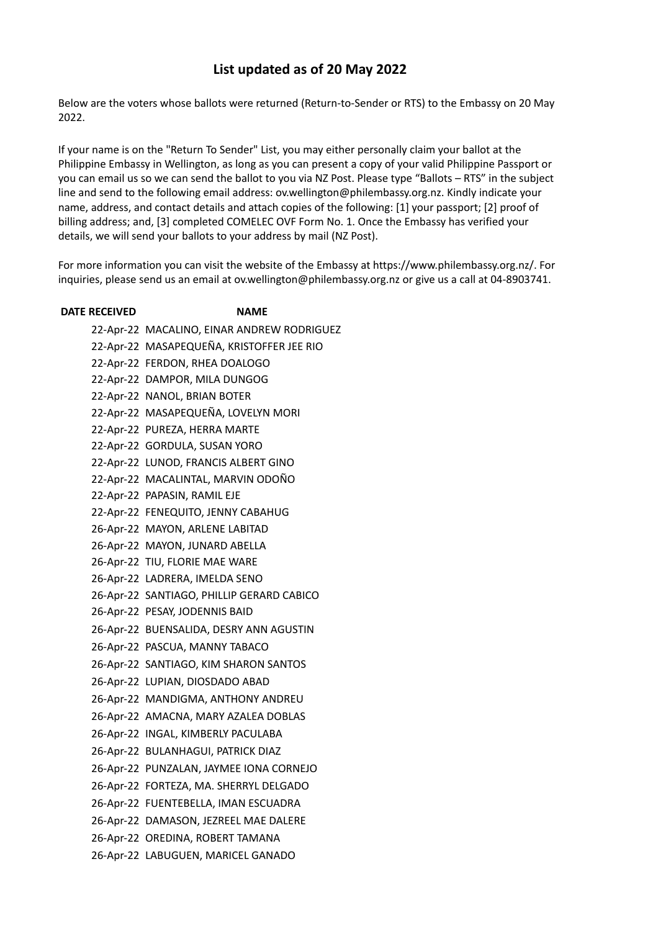## **List updated as of 20 May 2022**

Below are the voters whose ballots were returned (Return-to-Sender or RTS) to the Embassy on 20 May 2022.

If your name is on the "Return To Sender" List, you may either personally claim your ballot at the Philippine Embassy in Wellington, as long as you can present a copy of your valid Philippine Passport or you can email us so we can send the ballot to you via NZ Post. Please type "Ballots – RTS" in the subject line and send to the following email address: ov.wellington@philembassy.org.nz. Kindly indicate your name, address, and contact details and attach copies of the following: [1] your passport; [2] proof of billing address; and, [3] completed COMELEC OVF Form No. 1. Once the Embassy has verified your details, we will send your ballots to your address by mail (NZ Post).

For more information you can visit the website of the Embassy at https://www.philembassy.org.nz/. For inquiries, please send us an email at ov.wellington@philembassy.org.nz or give us a call at 04-8903741.

## **DATE RECEIVED NAME** 22-Apr-22 MACALINO, EINAR ANDREW RODRIGUEZ 22-Apr-22 MASAPEQUEÑA, KRISTOFFER JEE RIO 22-Apr-22 FERDON, RHEA DOALOGO 22-Apr-22 DAMPOR, MILA DUNGOG 22-Apr-22 NANOL, BRIAN BOTER 22-Apr-22 MASAPEQUEÑA, LOVELYN MORI 22-Apr-22 PUREZA, HERRA MARTE 22-Apr-22 GORDULA, SUSAN YORO 22-Apr-22 LUNOD, FRANCIS ALBERT GINO 22-Apr-22 MACALINTAL, MARVIN ODOÑO 22-Apr-22 PAPASIN, RAMIL EJE 22-Apr-22 FENEQUITO, JENNY CABAHUG 26-Apr-22 MAYON, ARLENE LABITAD 26-Apr-22 MAYON, JUNARD ABELLA 26-Apr-22 TIU, FLORIE MAE WARE 26-Apr-22 LADRERA, IMELDA SENO 26-Apr-22 SANTIAGO, PHILLIP GERARD CABICO 26-Apr-22 PESAY, JODENNIS BAID 26-Apr-22 BUENSALIDA, DESRY ANN AGUSTIN 26-Apr-22 PASCUA, MANNY TABACO 26-Apr-22 SANTIAGO, KIM SHARON SANTOS 26-Apr-22 LUPIAN, DIOSDADO ABAD 26-Apr-22 MANDIGMA, ANTHONY ANDREU 26-Apr-22 AMACNA, MARY AZALEA DOBLAS 26-Apr-22 INGAL, KIMBERLY PACULABA 26-Apr-22 BULANHAGUI, PATRICK DIAZ 26-Apr-22 PUNZALAN, JAYMEE IONA CORNEJO 26-Apr-22 FORTEZA, MA. SHERRYL DELGADO 26-Apr-22 FUENTEBELLA, IMAN ESCUADRA 26-Apr-22 DAMASON, JEZREEL MAE DALERE 26-Apr-22 OREDINA, ROBERT TAMANA 26-Apr-22 LABUGUEN, MARICEL GANADO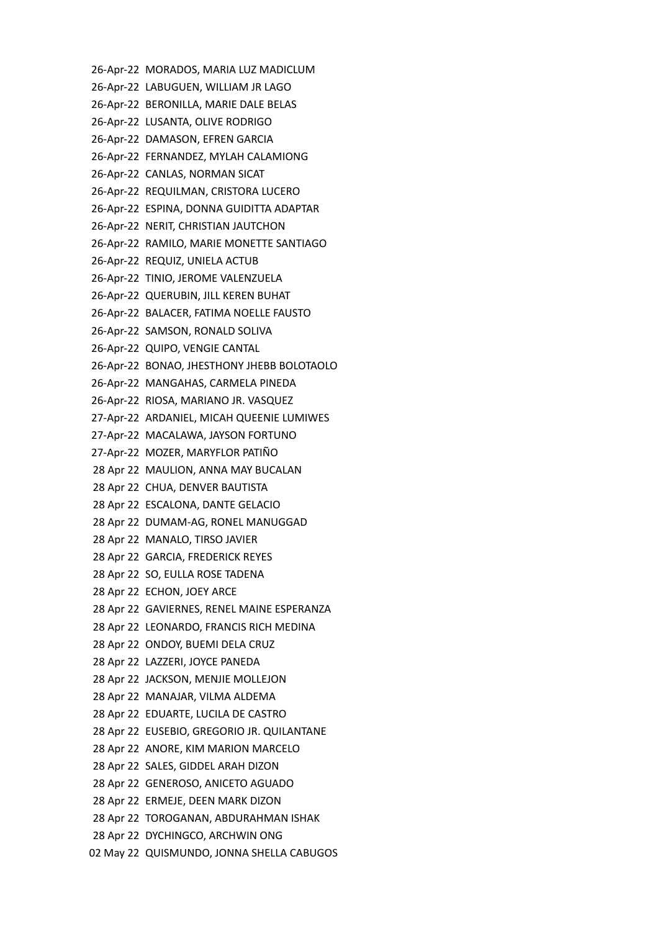26-Apr-22 MORADOS, MARIA LUZ MADICLUM 26-Apr-22 LABUGUEN, WILLIAM JR LAGO 26-Apr-22 BERONILLA, MARIE DALE BELAS 26-Apr-22 LUSANTA, OLIVE RODRIGO 26-Apr-22 DAMASON, EFREN GARCIA 26-Apr-22 FERNANDEZ, MYLAH CALAMIONG 26-Apr-22 CANLAS, NORMAN SICAT 26-Apr-22 REQUILMAN, CRISTORA LUCERO 26-Apr-22 ESPINA, DONNA GUIDITTA ADAPTAR 26-Apr-22 NERIT, CHRISTIAN JAUTCHON 26-Apr-22 RAMILO, MARIE MONETTE SANTIAGO 26-Apr-22 REQUIZ, UNIELA ACTUB 26-Apr-22 TINIO, JEROME VALENZUELA 26-Apr-22 QUERUBIN, JILL KEREN BUHAT 26-Apr-22 BALACER, FATIMA NOELLE FAUSTO 26-Apr-22 SAMSON, RONALD SOLIVA 26-Apr-22 QUIPO, VENGIE CANTAL 26-Apr-22 BONAO, JHESTHONY JHEBB BOLOTAOLO 26-Apr-22 MANGAHAS, CARMELA PINEDA 26-Apr-22 RIOSA, MARIANO JR. VASQUEZ 27-Apr-22 ARDANIEL, MICAH QUEENIE LUMIWES 27-Apr-22 MACALAWA, JAYSON FORTUNO 27-Apr-22 MOZER, MARYFLOR PATIÑO 28 Apr 22 MAULION, ANNA MAY BUCALAN 28 Apr 22 CHUA, DENVER BAUTISTA 28 Apr 22 ESCALONA, DANTE GELACIO 28 Apr 22 DUMAM-AG, RONEL MANUGGAD 28 Apr 22 MANALO, TIRSO JAVIER 28 Apr 22 GARCIA, FREDERICK REYES 28 Apr 22 SO, EULLA ROSE TADENA 28 Apr 22 ECHON, JOEY ARCE 28 Apr 22 GAVIERNES, RENEL MAINE ESPERANZA 28 Apr 22 LEONARDO, FRANCIS RICH MEDINA 28 Apr 22 ONDOY, BUEMI DELA CRUZ 28 Apr 22 LAZZERI, JOYCE PANEDA 28 Apr 22 JACKSON, MENJIE MOLLEJON 28 Apr 22 MANAJAR, VILMA ALDEMA 28 Apr 22 EDUARTE, LUCILA DE CASTRO 28 Apr 22 EUSEBIO, GREGORIO JR. QUILANTANE 28 Apr 22 ANORE, KIM MARION MARCELO 28 Apr 22 SALES, GIDDEL ARAH DIZON 28 Apr 22 GENEROSO, ANICETO AGUADO 28 Apr 22 ERMEJE, DEEN MARK DIZON 28 Apr 22 TOROGANAN, ABDURAHMAN ISHAK 28 Apr 22 DYCHINGCO, ARCHWIN ONG 02 May 22 QUISMUNDO, JONNA SHELLA CABUGOS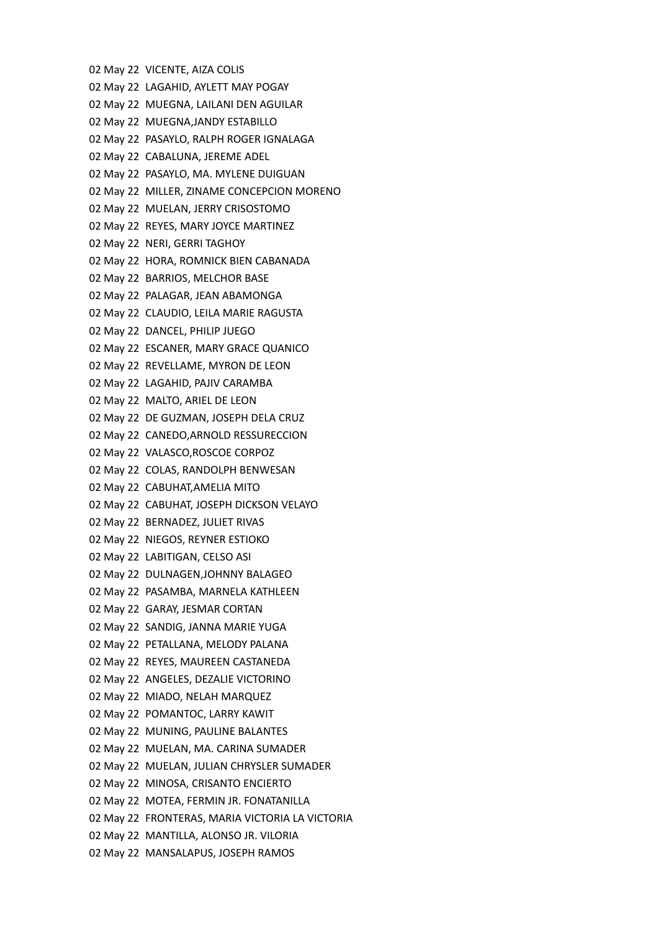02 May 22 VICENTE, AIZA COLIS 02 May 22 LAGAHID, AYLETT MAY POGAY 02 May 22 MUEGNA, LAILANI DEN AGUILAR 02 May 22 MUEGNA,JANDY ESTABILLO 02 May 22 PASAYLO, RALPH ROGER IGNALAGA 02 May 22 CABALUNA, JEREME ADEL 02 May 22 PASAYLO, MA. MYLENE DUIGUAN 02 May 22 MILLER, ZINAME CONCEPCION MORENO 02 May 22 MUELAN, JERRY CRISOSTOMO 02 May 22 REYES, MARY JOYCE MARTINEZ 02 May 22 NERI, GERRI TAGHOY 02 May 22 HORA, ROMNICK BIEN CABANADA 02 May 22 BARRIOS, MELCHOR BASE 02 May 22 PALAGAR, JEAN ABAMONGA 02 May 22 CLAUDIO, LEILA MARIE RAGUSTA 02 May 22 DANCEL, PHILIP JUEGO 02 May 22 ESCANER, MARY GRACE QUANICO 02 May 22 REVELLAME, MYRON DE LEON 02 May 22 LAGAHID, PAJIV CARAMBA 02 May 22 MALTO, ARIEL DE LEON 02 May 22 DE GUZMAN, JOSEPH DELA CRUZ 02 May 22 CANEDO,ARNOLD RESSURECCION 02 May 22 VALASCO,ROSCOE CORPOZ 02 May 22 COLAS, RANDOLPH BENWESAN 02 May 22 CABUHAT,AMELIA MITO 02 May 22 CABUHAT, JOSEPH DICKSON VELAYO 02 May 22 BERNADEZ, JULIET RIVAS 02 May 22 NIEGOS, REYNER ESTIOKO 02 May 22 LABITIGAN, CELSO ASI 02 May 22 DULNAGEN,JOHNNY BALAGEO 02 May 22 PASAMBA, MARNELA KATHLEEN 02 May 22 GARAY, JESMAR CORTAN 02 May 22 SANDIG, JANNA MARIE YUGA 02 May 22 PETALLANA, MELODY PALANA 02 May 22 REYES, MAUREEN CASTANEDA 02 May 22 ANGELES, DEZALIE VICTORINO 02 May 22 MIADO, NELAH MARQUEZ 02 May 22 POMANTOC, LARRY KAWIT 02 May 22 MUNING, PAULINE BALANTES 02 May 22 MUELAN, MA. CARINA SUMADER 02 May 22 MUELAN, JULIAN CHRYSLER SUMADER 02 May 22 MINOSA, CRISANTO ENCIERTO 02 May 22 MOTEA, FERMIN JR. FONATANILLA 02 May 22 FRONTERAS, MARIA VICTORIA LA VICTORIA 02 May 22 MANTILLA, ALONSO JR. VILORIA 02 May 22 MANSALAPUS, JOSEPH RAMOS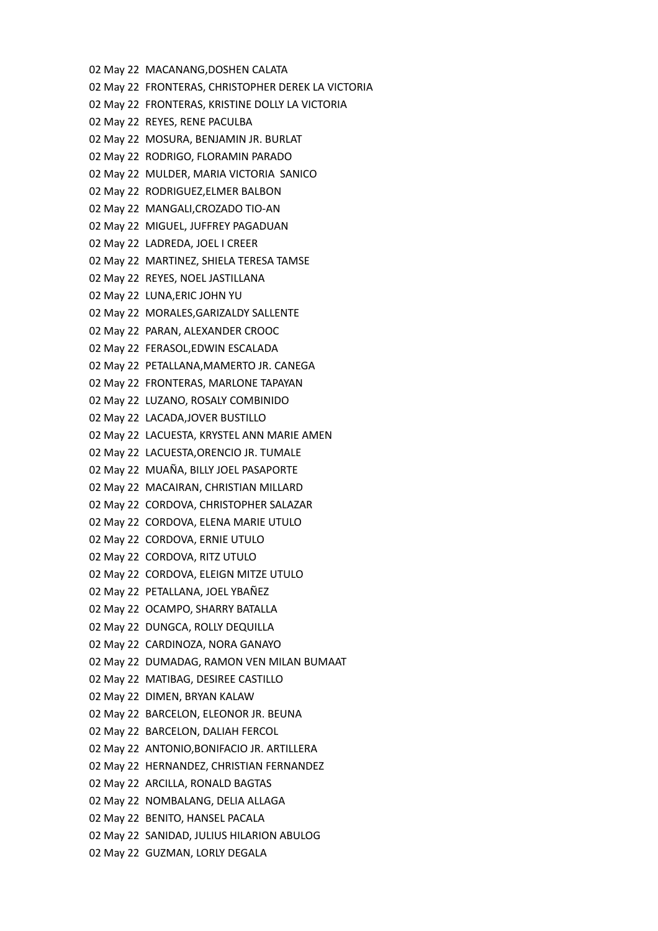02 May 22 MACANANG,DOSHEN CALATA 02 May 22 FRONTERAS, CHRISTOPHER DEREK LA VICTORIA 02 May 22 FRONTERAS, KRISTINE DOLLY LA VICTORIA 02 May 22 REYES, RENE PACULBA 02 May 22 MOSURA, BENJAMIN JR. BURLAT 02 May 22 RODRIGO, FLORAMIN PARADO 02 May 22 MULDER, MARIA VICTORIA SANICO 02 May 22 RODRIGUEZ,ELMER BALBON 02 May 22 MANGALI,CROZADO TIO-AN 02 May 22 MIGUEL, JUFFREY PAGADUAN 02 May 22 LADREDA, JOEL I CREER 02 May 22 MARTINEZ, SHIELA TERESA TAMSE 02 May 22 REYES, NOEL JASTILLANA 02 May 22 LUNA,ERIC JOHN YU 02 May 22 MORALES,GARIZALDY SALLENTE 02 May 22 PARAN, ALEXANDER CROOC 02 May 22 FERASOL,EDWIN ESCALADA 02 May 22 PETALLANA,MAMERTO JR. CANEGA 02 May 22 FRONTERAS, MARLONE TAPAYAN 02 May 22 LUZANO, ROSALY COMBINIDO 02 May 22 LACADA,JOVER BUSTILLO 02 May 22 LACUESTA, KRYSTEL ANN MARIE AMEN 02 May 22 LACUESTA,ORENCIO JR. TUMALE 02 May 22 MUAÑA, BILLY JOEL PASAPORTE 02 May 22 MACAIRAN, CHRISTIAN MILLARD 02 May 22 CORDOVA, CHRISTOPHER SALAZAR 02 May 22 CORDOVA, ELENA MARIE UTULO 02 May 22 CORDOVA, ERNIE UTULO 02 May 22 CORDOVA, RITZ UTULO 02 May 22 CORDOVA, ELEIGN MITZE UTULO 02 May 22 PETALLANA, JOEL YBAÑEZ 02 May 22 OCAMPO, SHARRY BATALLA 02 May 22 DUNGCA, ROLLY DEQUILLA 02 May 22 CARDINOZA, NORA GANAYO 02 May 22 DUMADAG, RAMON VEN MILAN BUMAAT 02 May 22 MATIBAG, DESIREE CASTILLO 02 May 22 DIMEN, BRYAN KALAW 02 May 22 BARCELON, ELEONOR JR. BEUNA 02 May 22 BARCELON, DALIAH FERCOL 02 May 22 ANTONIO,BONIFACIO JR. ARTILLERA 02 May 22 HERNANDEZ, CHRISTIAN FERNANDEZ 02 May 22 ARCILLA, RONALD BAGTAS 02 May 22 NOMBALANG, DELIA ALLAGA 02 May 22 BENITO, HANSEL PACALA 02 May 22 SANIDAD, JULIUS HILARION ABULOG 02 May 22 GUZMAN, LORLY DEGALA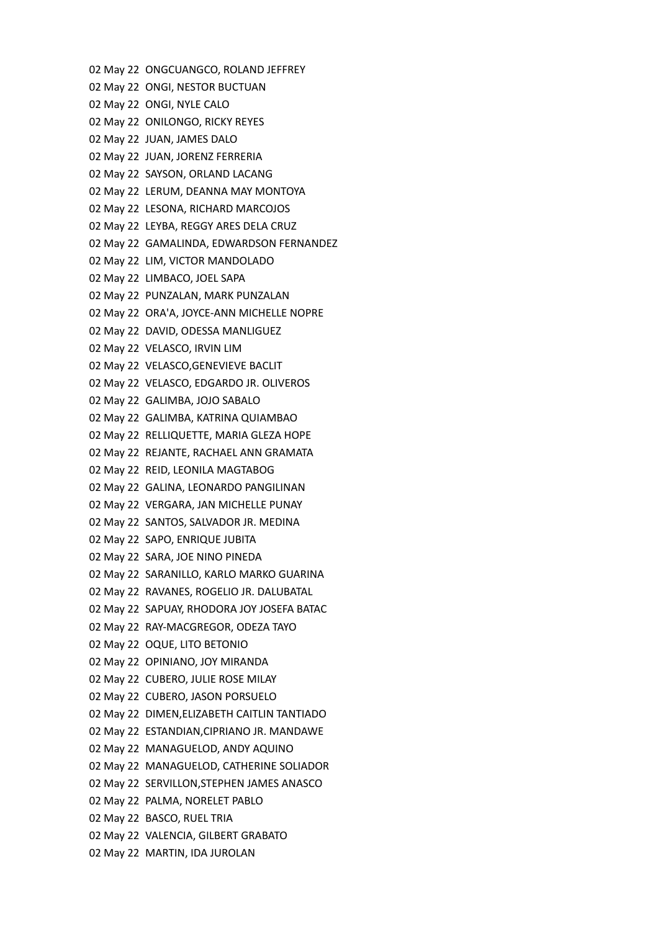02 May 22 ONGCUANGCO, ROLAND JEFFREY 02 May 22 ONGI, NESTOR BUCTUAN 02 May 22 ONGI, NYLE CALO 02 May 22 ONILONGO, RICKY REYES 02 May 22 JUAN, JAMES DALO 02 May 22 JUAN, JORENZ FERRERIA 02 May 22 SAYSON, ORLAND LACANG 02 May 22 LERUM, DEANNA MAY MONTOYA 02 May 22 LESONA, RICHARD MARCOJOS 02 May 22 LEYBA, REGGY ARES DELA CRUZ 02 May 22 GAMALINDA, EDWARDSON FERNANDEZ 02 May 22 LIM, VICTOR MANDOLADO 02 May 22 LIMBACO, JOEL SAPA 02 May 22 PUNZALAN, MARK PUNZALAN 02 May 22 ORA'A, JOYCE-ANN MICHELLE NOPRE 02 May 22 DAVID, ODESSA MANLIGUEZ 02 May 22 VELASCO, IRVIN LIM 02 May 22 VELASCO,GENEVIEVE BACLIT 02 May 22 VELASCO, EDGARDO JR. OLIVEROS 02 May 22 GALIMBA, JOJO SABALO 02 May 22 GALIMBA, KATRINA QUIAMBAO 02 May 22 RELLIQUETTE, MARIA GLEZA HOPE 02 May 22 REJANTE, RACHAEL ANN GRAMATA 02 May 22 REID, LEONILA MAGTABOG 02 May 22 GALINA, LEONARDO PANGILINAN 02 May 22 VERGARA, JAN MICHELLE PUNAY 02 May 22 SANTOS, SALVADOR JR. MEDINA 02 May 22 SAPO, ENRIQUE JUBITA 02 May 22 SARA, JOE NINO PINEDA 02 May 22 SARANILLO, KARLO MARKO GUARINA 02 May 22 RAVANES, ROGELIO JR. DALUBATAL 02 May 22 SAPUAY, RHODORA JOY JOSEFA BATAC 02 May 22 RAY-MACGREGOR, ODEZA TAYO 02 May 22 OQUE, LITO BETONIO 02 May 22 OPINIANO, JOY MIRANDA 02 May 22 CUBERO, JULIE ROSE MILAY 02 May 22 CUBERO, JASON PORSUELO 02 May 22 DIMEN,ELIZABETH CAITLIN TANTIADO 02 May 22 ESTANDIAN,CIPRIANO JR. MANDAWE 02 May 22 MANAGUELOD, ANDY AQUINO 02 May 22 MANAGUELOD, CATHERINE SOLIADOR 02 May 22 SERVILLON,STEPHEN JAMES ANASCO 02 May 22 PALMA, NORELET PABLO 02 May 22 BASCO, RUEL TRIA 02 May 22 VALENCIA, GILBERT GRABATO 02 May 22 MARTIN, IDA JUROLAN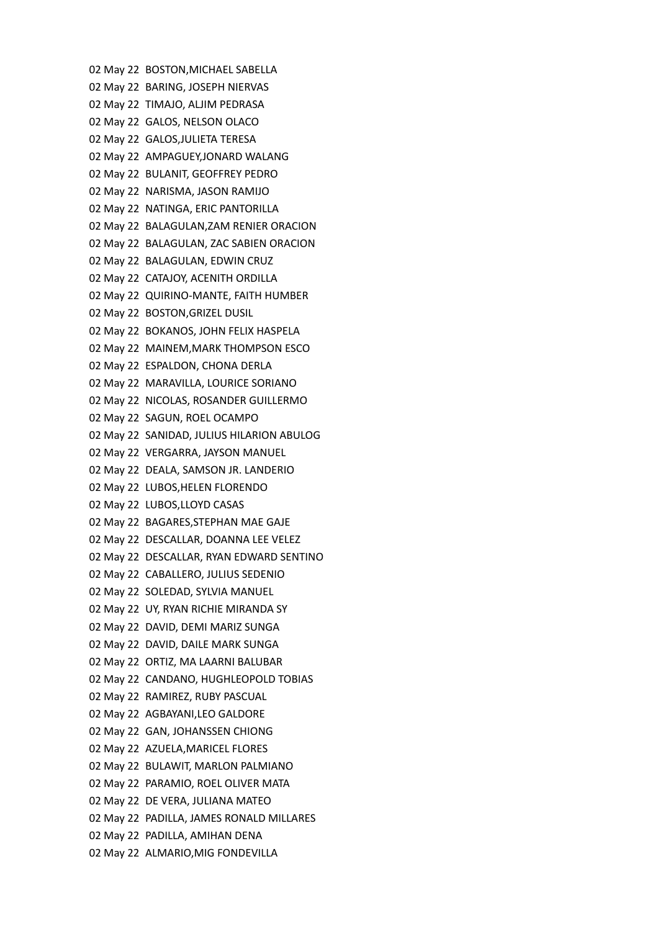02 May 22 BOSTON,MICHAEL SABELLA 02 May 22 BARING, JOSEPH NIERVAS 02 May 22 TIMAJO, ALJIM PEDRASA 02 May 22 GALOS, NELSON OLACO 02 May 22 GALOS,JULIETA TERESA 02 May 22 AMPAGUEY,JONARD WALANG 02 May 22 BULANIT, GEOFFREY PEDRO 02 May 22 NARISMA, JASON RAMIJO 02 May 22 NATINGA, ERIC PANTORILLA 02 May 22 BALAGULAN,ZAM RENIER ORACION 02 May 22 BALAGULAN, ZAC SABIEN ORACION 02 May 22 BALAGULAN, EDWIN CRUZ 02 May 22 CATAJOY, ACENITH ORDILLA 02 May 22 QUIRINO-MANTE, FAITH HUMBER 02 May 22 BOSTON,GRIZEL DUSIL 02 May 22 BOKANOS, JOHN FELIX HASPELA 02 May 22 MAINEM,MARK THOMPSON ESCO 02 May 22 ESPALDON, CHONA DERLA 02 May 22 MARAVILLA, LOURICE SORIANO 02 May 22 NICOLAS, ROSANDER GUILLERMO 02 May 22 SAGUN, ROEL OCAMPO 02 May 22 SANIDAD, JULIUS HILARION ABULOG 02 May 22 VERGARRA, JAYSON MANUEL 02 May 22 DEALA, SAMSON JR. LANDERIO 02 May 22 LUBOS,HELEN FLORENDO 02 May 22 LUBOS,LLOYD CASAS 02 May 22 BAGARES,STEPHAN MAE GAJE 02 May 22 DESCALLAR, DOANNA LEE VELEZ 02 May 22 DESCALLAR, RYAN EDWARD SENTINO 02 May 22 CABALLERO, JULIUS SEDENIO 02 May 22 SOLEDAD, SYLVIA MANUEL 02 May 22 UY, RYAN RICHIE MIRANDA SY 02 May 22 DAVID, DEMI MARIZ SUNGA 02 May 22 DAVID, DAILE MARK SUNGA 02 May 22 ORTIZ, MA LAARNI BALUBAR 02 May 22 CANDANO, HUGHLEOPOLD TOBIAS 02 May 22 RAMIREZ, RUBY PASCUAL 02 May 22 AGBAYANI,LEO GALDORE 02 May 22 GAN, JOHANSSEN CHIONG 02 May 22 AZUELA,MARICEL FLORES 02 May 22 BULAWIT, MARLON PALMIANO 02 May 22 PARAMIO, ROEL OLIVER MATA 02 May 22 DE VERA, JULIANA MATEO 02 May 22 PADILLA, JAMES RONALD MILLARES 02 May 22 PADILLA, AMIHAN DENA 02 May 22 ALMARIO,MIG FONDEVILLA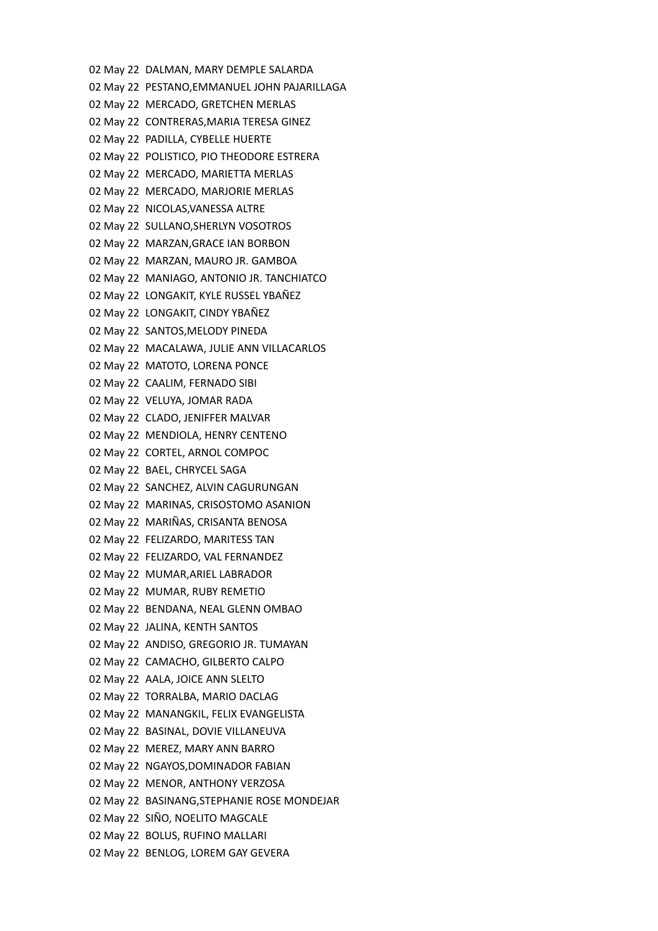02 May 22 DALMAN, MARY DEMPLE SALARDA 02 May 22 PESTANO,EMMANUEL JOHN PAJARILLAGA 02 May 22 MERCADO, GRETCHEN MERLAS 02 May 22 CONTRERAS,MARIA TERESA GINEZ 02 May 22 PADILLA, CYBELLE HUERTE 02 May 22 POLISTICO, PIO THEODORE ESTRERA 02 May 22 MERCADO, MARIETTA MERLAS 02 May 22 MERCADO, MARJORIE MERLAS 02 May 22 NICOLAS,VANESSA ALTRE 02 May 22 SULLANO,SHERLYN VOSOTROS 02 May 22 MARZAN,GRACE IAN BORBON 02 May 22 MARZAN, MAURO JR. GAMBOA 02 May 22 MANIAGO, ANTONIO JR. TANCHIATCO 02 May 22 LONGAKIT, KYLE RUSSEL YBAÑEZ 02 May 22 LONGAKIT, CINDY YBAÑEZ 02 May 22 SANTOS,MELODY PINEDA 02 May 22 MACALAWA, JULIE ANN VILLACARLOS 02 May 22 MATOTO, LORENA PONCE 02 May 22 CAALIM, FERNADO SIBI 02 May 22 VELUYA, JOMAR RADA 02 May 22 CLADO, JENIFFER MALVAR 02 May 22 MENDIOLA, HENRY CENTENO 02 May 22 CORTEL, ARNOL COMPOC 02 May 22 BAEL, CHRYCEL SAGA 02 May 22 SANCHEZ, ALVIN CAGURUNGAN 02 May 22 MARINAS, CRISOSTOMO ASANION 02 May 22 MARIÑAS, CRISANTA BENOSA 02 May 22 FELIZARDO, MARITESS TAN 02 May 22 FELIZARDO, VAL FERNANDEZ 02 May 22 MUMAR,ARIEL LABRADOR 02 May 22 MUMAR, RUBY REMETIO 02 May 22 BENDANA, NEAL GLENN OMBAO 02 May 22 JALINA, KENTH SANTOS 02 May 22 ANDISO, GREGORIO JR. TUMAYAN 02 May 22 CAMACHO, GILBERTO CALPO 02 May 22 AALA, JOICE ANN SLELTO 02 May 22 TORRALBA, MARIO DACLAG 02 May 22 MANANGKIL, FELIX EVANGELISTA 02 May 22 BASINAL, DOVIE VILLANEUVA 02 May 22 MEREZ, MARY ANN BARRO 02 May 22 NGAYOS,DOMINADOR FABIAN 02 May 22 MENOR, ANTHONY VERZOSA 02 May 22 BASINANG,STEPHANIE ROSE MONDEJAR 02 May 22 SIÑO, NOELITO MAGCALE 02 May 22 BOLUS, RUFINO MALLARI 02 May 22 BENLOG, LOREM GAY GEVERA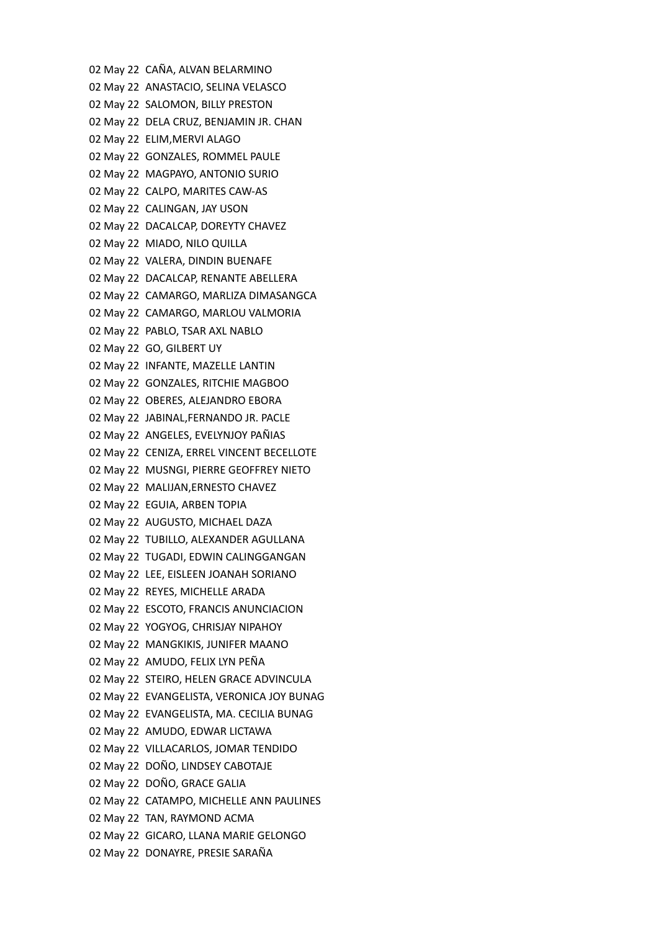02 May 22 CAÑA, ALVAN BELARMINO 02 May 22 ANASTACIO, SELINA VELASCO 02 May 22 SALOMON, BILLY PRESTON 02 May 22 DELA CRUZ, BENJAMIN JR. CHAN 02 May 22 ELIM,MERVI ALAGO 02 May 22 GONZALES, ROMMEL PAULE 02 May 22 MAGPAYO, ANTONIO SURIO 02 May 22 CALPO, MARITES CAW-AS 02 May 22 CALINGAN, JAY USON 02 May 22 DACALCAP, DOREYTY CHAVEZ 02 May 22 MIADO, NILO QUILLA 02 May 22 VALERA, DINDIN BUENAFE 02 May 22 DACALCAP, RENANTE ABELLERA 02 May 22 CAMARGO, MARLIZA DIMASANGCA 02 May 22 CAMARGO, MARLOU VALMORIA 02 May 22 PABLO, TSAR AXL NABLO 02 May 22 GO, GILBERT UY 02 May 22 INFANTE, MAZELLE LANTIN 02 May 22 GONZALES, RITCHIE MAGBOO 02 May 22 OBERES, ALEJANDRO EBORA 02 May 22 JABINAL,FERNANDO JR. PACLE 02 May 22 ANGELES, EVELYNJOY PAÑIAS 02 May 22 CENIZA, ERREL VINCENT BECELLOTE 02 May 22 MUSNGI, PIERRE GEOFFREY NIETO 02 May 22 MALIJAN,ERNESTO CHAVEZ 02 May 22 EGUIA, ARBEN TOPIA 02 May 22 AUGUSTO, MICHAEL DAZA 02 May 22 TUBILLO, ALEXANDER AGULLANA 02 May 22 TUGADI, EDWIN CALINGGANGAN 02 May 22 LEE, EISLEEN JOANAH SORIANO 02 May 22 REYES, MICHELLE ARADA 02 May 22 ESCOTO, FRANCIS ANUNCIACION 02 May 22 YOGYOG, CHRISJAY NIPAHOY 02 May 22 MANGKIKIS, JUNIFER MAANO 02 May 22 AMUDO, FELIX LYN PEÑA 02 May 22 STEIRO, HELEN GRACE ADVINCULA 02 May 22 EVANGELISTA, VERONICA JOY BUNAG 02 May 22 EVANGELISTA, MA. CECILIA BUNAG 02 May 22 AMUDO, EDWAR LICTAWA 02 May 22 VILLACARLOS, JOMAR TENDIDO 02 May 22 DOÑO, LINDSEY CABOTAJE 02 May 22 DOÑO, GRACE GALIA 02 May 22 CATAMPO, MICHELLE ANN PAULINES 02 May 22 TAN, RAYMOND ACMA 02 May 22 GICARO, LLANA MARIE GELONGO 02 May 22 DONAYRE, PRESIE SARAÑA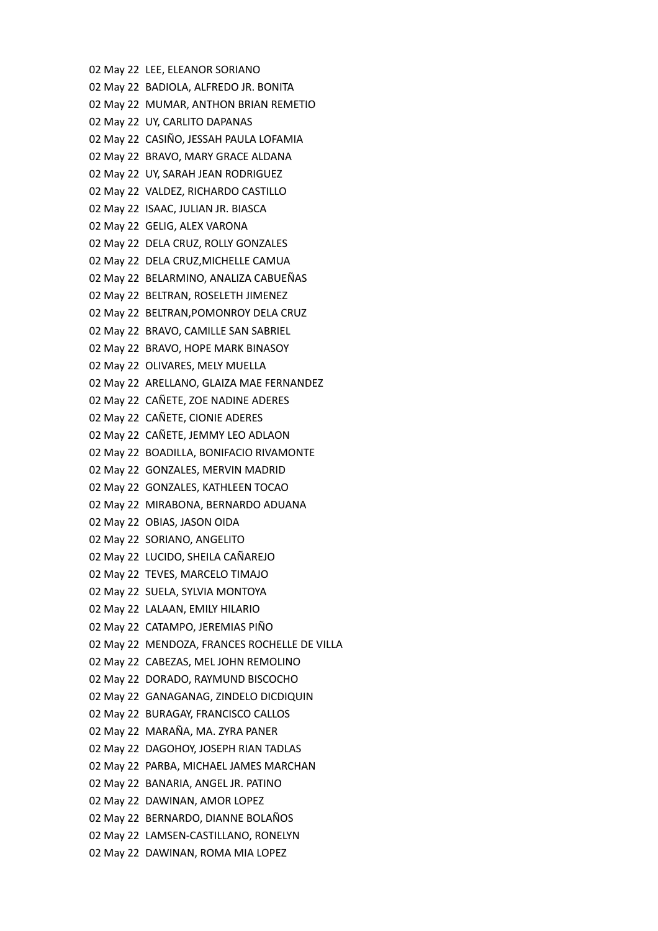02 May 22 LEE, ELEANOR SORIANO 02 May 22 BADIOLA, ALFREDO JR. BONITA 02 May 22 MUMAR, ANTHON BRIAN REMETIO 02 May 22 UY, CARLITO DAPANAS 02 May 22 CASIÑO, JESSAH PAULA LOFAMIA 02 May 22 BRAVO, MARY GRACE ALDANA 02 May 22 UY, SARAH JEAN RODRIGUEZ 02 May 22 VALDEZ, RICHARDO CASTILLO 02 May 22 ISAAC, JULIAN JR. BIASCA 02 May 22 GELIG, ALEX VARONA 02 May 22 DELA CRUZ, ROLLY GONZALES 02 May 22 DELA CRUZ,MICHELLE CAMUA 02 May 22 BELARMINO, ANALIZA CABUEÑAS 02 May 22 BELTRAN, ROSELETH JIMENEZ 02 May 22 BELTRAN,POMONROY DELA CRUZ 02 May 22 BRAVO, CAMILLE SAN SABRIEL 02 May 22 BRAVO, HOPE MARK BINASOY 02 May 22 OLIVARES, MELY MUELLA 02 May 22 ARELLANO, GLAIZA MAE FERNANDEZ 02 May 22 CAÑETE, ZOE NADINE ADERES 02 May 22 CAÑETE, CIONIE ADERES 02 May 22 CAÑETE, JEMMY LEO ADLAON 02 May 22 BOADILLA, BONIFACIO RIVAMONTE 02 May 22 GONZALES, MERVIN MADRID 02 May 22 GONZALES, KATHLEEN TOCAO 02 May 22 MIRABONA, BERNARDO ADUANA 02 May 22 OBIAS, JASON OIDA 02 May 22 SORIANO, ANGELITO 02 May 22 LUCIDO, SHEILA CAÑAREJO 02 May 22 TEVES, MARCELO TIMAJO 02 May 22 SUELA, SYLVIA MONTOYA 02 May 22 LALAAN, EMILY HILARIO 02 May 22 CATAMPO, JEREMIAS PIÑO 02 May 22 MENDOZA, FRANCES ROCHELLE DE VILLA 02 May 22 CABEZAS, MEL JOHN REMOLINO 02 May 22 DORADO, RAYMUND BISCOCHO 02 May 22 GANAGANAG, ZINDELO DICDIQUIN 02 May 22 BURAGAY, FRANCISCO CALLOS 02 May 22 MARAÑA, MA. ZYRA PANER 02 May 22 DAGOHOY, JOSEPH RIAN TADLAS 02 May 22 PARBA, MICHAEL JAMES MARCHAN 02 May 22 BANARIA, ANGEL JR. PATINO 02 May 22 DAWINAN, AMOR LOPEZ 02 May 22 BERNARDO, DIANNE BOLAÑOS 02 May 22 LAMSEN-CASTILLANO, RONELYN 02 May 22 DAWINAN, ROMA MIA LOPEZ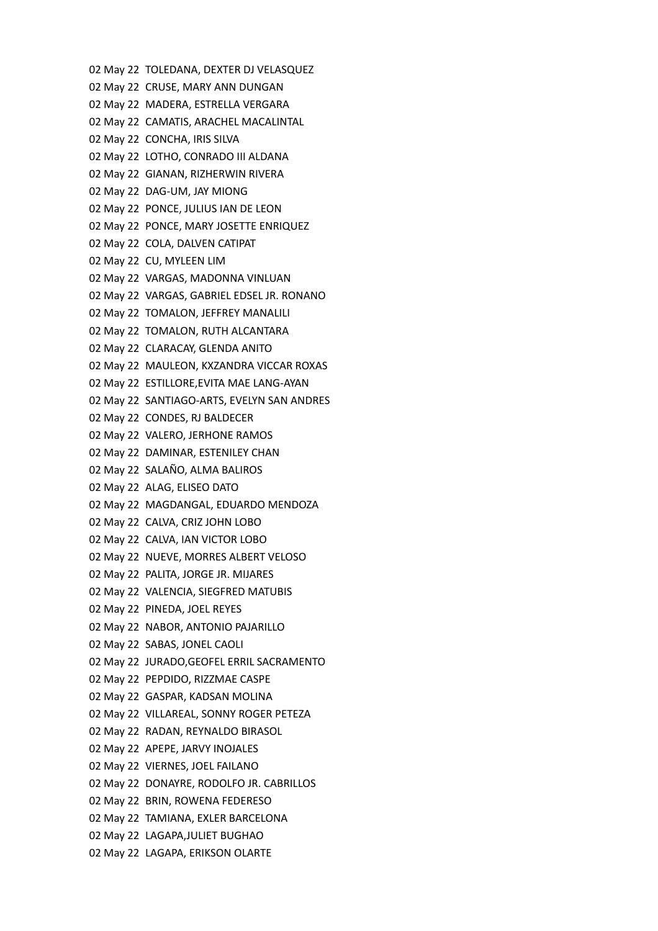02 May 22 TOLEDANA, DEXTER DJ VELASQUEZ 02 May 22 CRUSE, MARY ANN DUNGAN 02 May 22 MADERA, ESTRELLA VERGARA 02 May 22 CAMATIS, ARACHEL MACALINTAL 02 May 22 CONCHA, IRIS SILVA 02 May 22 LOTHO, CONRADO III ALDANA 02 May 22 GIANAN, RIZHERWIN RIVERA 02 May 22 DAG-UM, JAY MIONG 02 May 22 PONCE, JULIUS IAN DE LEON 02 May 22 PONCE, MARY JOSETTE ENRIQUEZ 02 May 22 COLA, DALVEN CATIPAT 02 May 22 CU, MYLEEN LIM 02 May 22 VARGAS, MADONNA VINLUAN 02 May 22 VARGAS, GABRIEL EDSEL JR. RONANO 02 May 22 TOMALON, JEFFREY MANALILI 02 May 22 TOMALON, RUTH ALCANTARA 02 May 22 CLARACAY, GLENDA ANITO 02 May 22 MAULEON, KXZANDRA VICCAR ROXAS 02 May 22 ESTILLORE,EVITA MAE LANG-AYAN 02 May 22 SANTIAGO-ARTS, EVELYN SAN ANDRES 02 May 22 CONDES, RJ BALDECER 02 May 22 VALERO, JERHONE RAMOS 02 May 22 DAMINAR, ESTENILEY CHAN 02 May 22 SALAÑO, ALMA BALIROS 02 May 22 ALAG, ELISEO DATO 02 May 22 MAGDANGAL, EDUARDO MENDOZA 02 May 22 CALVA, CRIZ JOHN LOBO 02 May 22 CALVA, IAN VICTOR LOBO 02 May 22 NUEVE, MORRES ALBERT VELOSO 02 May 22 PALITA, JORGE JR. MIJARES 02 May 22 VALENCIA, SIEGFRED MATUBIS 02 May 22 PINEDA, JOEL REYES 02 May 22 NABOR, ANTONIO PAJARILLO 02 May 22 SABAS, JONEL CAOLI 02 May 22 JURADO,GEOFEL ERRIL SACRAMENTO 02 May 22 PEPDIDO, RIZZMAE CASPE 02 May 22 GASPAR, KADSAN MOLINA 02 May 22 VILLAREAL, SONNY ROGER PETEZA 02 May 22 RADAN, REYNALDO BIRASOL 02 May 22 APEPE, JARVY INOJALES 02 May 22 VIERNES, JOEL FAILANO 02 May 22 DONAYRE, RODOLFO JR. CABRILLOS 02 May 22 BRIN, ROWENA FEDERESO 02 May 22 TAMIANA, EXLER BARCELONA 02 May 22 LAGAPA,JULIET BUGHAO 02 May 22 LAGAPA, ERIKSON OLARTE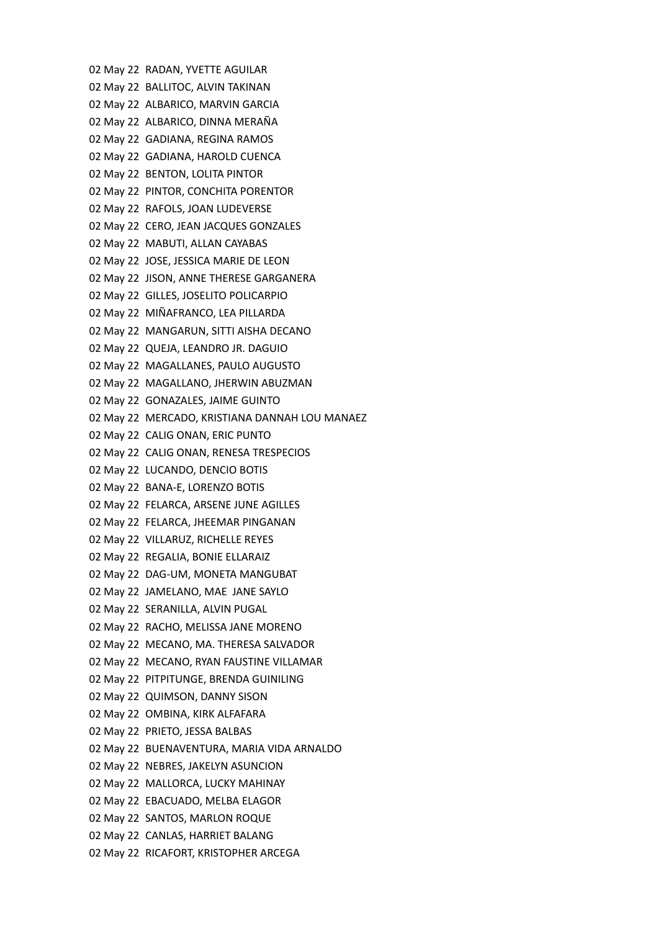02 May 22 RADAN, YVETTE AGUILAR 02 May 22 BALLITOC, ALVIN TAKINAN 02 May 22 ALBARICO, MARVIN GARCIA 02 May 22 ALBARICO, DINNA MERAÑA 02 May 22 GADIANA, REGINA RAMOS 02 May 22 GADIANA, HAROLD CUENCA 02 May 22 BENTON, LOLITA PINTOR 02 May 22 PINTOR, CONCHITA PORENTOR 02 May 22 RAFOLS, JOAN LUDEVERSE 02 May 22 CERO, JEAN JACQUES GONZALES 02 May 22 MABUTI, ALLAN CAYABAS 02 May 22 JOSE, JESSICA MARIE DE LEON 02 May 22 JISON, ANNE THERESE GARGANERA 02 May 22 GILLES, JOSELITO POLICARPIO 02 May 22 MIÑAFRANCO, LEA PILLARDA 02 May 22 MANGARUN, SITTI AISHA DECANO 02 May 22 QUEJA, LEANDRO JR. DAGUIO 02 May 22 MAGALLANES, PAULO AUGUSTO 02 May 22 MAGALLANO, JHERWIN ABUZMAN 02 May 22 GONAZALES, JAIME GUINTO 02 May 22 MERCADO, KRISTIANA DANNAH LOU MANAEZ 02 May 22 CALIG ONAN, ERIC PUNTO 02 May 22 CALIG ONAN, RENESA TRESPECIOS 02 May 22 LUCANDO, DENCIO BOTIS 02 May 22 BANA-E, LORENZO BOTIS 02 May 22 FELARCA, ARSENE JUNE AGILLES 02 May 22 FELARCA, JHEEMAR PINGANAN 02 May 22 VILLARUZ, RICHELLE REYES 02 May 22 REGALIA, BONIE ELLARAIZ 02 May 22 DAG-UM, MONETA MANGUBAT 02 May 22 JAMELANO, MAE JANE SAYLO 02 May 22 SERANILLA, ALVIN PUGAL 02 May 22 RACHO, MELISSA JANE MORENO 02 May 22 MECANO, MA. THERESA SALVADOR 02 May 22 MECANO, RYAN FAUSTINE VILLAMAR 02 May 22 PITPITUNGE, BRENDA GUINILING 02 May 22 QUIMSON, DANNY SISON 02 May 22 OMBINA, KIRK ALFAFARA 02 May 22 PRIETO, JESSA BALBAS 02 May 22 BUENAVENTURA, MARIA VIDA ARNALDO 02 May 22 NEBRES, JAKELYN ASUNCION 02 May 22 MALLORCA, LUCKY MAHINAY 02 May 22 EBACUADO, MELBA ELAGOR 02 May 22 SANTOS, MARLON ROQUE 02 May 22 CANLAS, HARRIET BALANG 02 May 22 RICAFORT, KRISTOPHER ARCEGA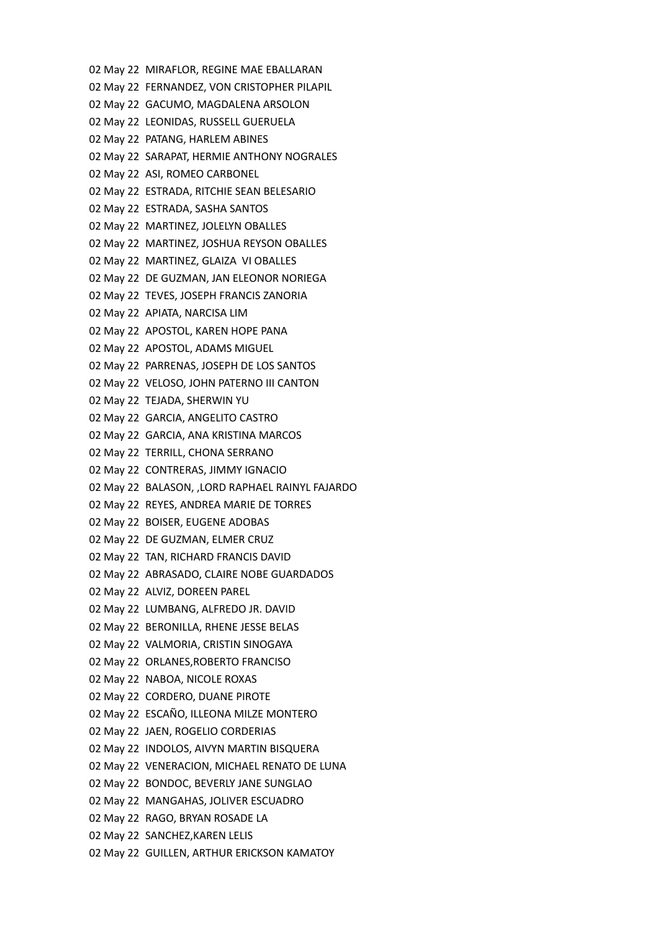02 May 22 MIRAFLOR, REGINE MAE EBALLARAN 02 May 22 FERNANDEZ, VON CRISTOPHER PILAPIL 02 May 22 GACUMO, MAGDALENA ARSOLON 02 May 22 LEONIDAS, RUSSELL GUERUELA 02 May 22 PATANG, HARLEM ABINES 02 May 22 SARAPAT, HERMIE ANTHONY NOGRALES 02 May 22 ASI, ROMEO CARBONEL 02 May 22 ESTRADA, RITCHIE SEAN BELESARIO 02 May 22 ESTRADA, SASHA SANTOS 02 May 22 MARTINEZ, JOLELYN OBALLES 02 May 22 MARTINEZ, JOSHUA REYSON OBALLES 02 May 22 MARTINEZ, GLAIZA VI OBALLES 02 May 22 DE GUZMAN, JAN ELEONOR NORIEGA 02 May 22 TEVES, JOSEPH FRANCIS ZANORIA 02 May 22 APIATA, NARCISA LIM 02 May 22 APOSTOL, KAREN HOPE PANA 02 May 22 APOSTOL, ADAMS MIGUEL 02 May 22 PARRENAS, JOSEPH DE LOS SANTOS 02 May 22 VELOSO, JOHN PATERNO III CANTON 02 May 22 TEJADA, SHERWIN YU 02 May 22 GARCIA, ANGELITO CASTRO 02 May 22 GARCIA, ANA KRISTINA MARCOS 02 May 22 TERRILL, CHONA SERRANO 02 May 22 CONTRERAS, JIMMY IGNACIO 02 May 22 BALASON, ,LORD RAPHAEL RAINYL FAJARDO 02 May 22 REYES, ANDREA MARIE DE TORRES 02 May 22 BOISER, EUGENE ADOBAS 02 May 22 DE GUZMAN, ELMER CRUZ 02 May 22 TAN, RICHARD FRANCIS DAVID 02 May 22 ABRASADO, CLAIRE NOBE GUARDADOS 02 May 22 ALVIZ, DOREEN PAREL 02 May 22 LUMBANG, ALFREDO JR. DAVID 02 May 22 BERONILLA, RHENE JESSE BELAS 02 May 22 VALMORIA, CRISTIN SINOGAYA 02 May 22 ORLANES,ROBERTO FRANCISO 02 May 22 NABOA, NICOLE ROXAS 02 May 22 CORDERO, DUANE PIROTE 02 May 22 ESCAÑO, ILLEONA MILZE MONTERO 02 May 22 JAEN, ROGELIO CORDERIAS 02 May 22 INDOLOS, AIVYN MARTIN BISQUERA 02 May 22 VENERACION, MICHAEL RENATO DE LUNA 02 May 22 BONDOC, BEVERLY JANE SUNGLAO 02 May 22 MANGAHAS, JOLIVER ESCUADRO 02 May 22 RAGO, BRYAN ROSADE LA 02 May 22 SANCHEZ,KAREN LELIS 02 May 22 GUILLEN, ARTHUR ERICKSON KAMATOY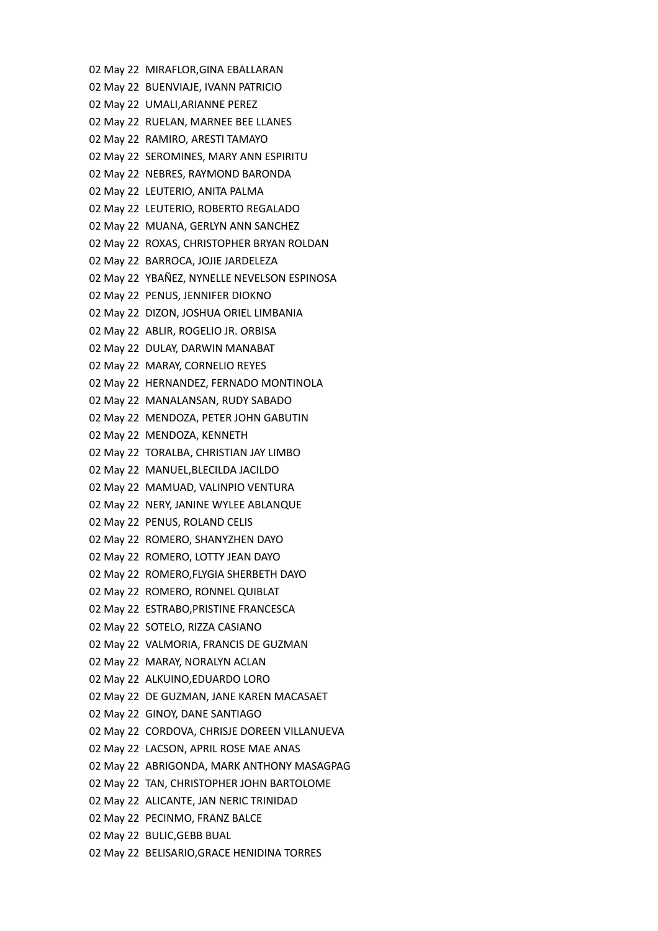02 May 22 MIRAFLOR,GINA EBALLARAN 02 May 22 BUENVIAJE, IVANN PATRICIO 02 May 22 UMALI,ARIANNE PEREZ 02 May 22 RUELAN, MARNEE BEE LLANES 02 May 22 RAMIRO, ARESTI TAMAYO 02 May 22 SEROMINES, MARY ANN ESPIRITU 02 May 22 NEBRES, RAYMOND BARONDA 02 May 22 LEUTERIO, ANITA PALMA 02 May 22 LEUTERIO, ROBERTO REGALADO 02 May 22 MUANA, GERLYN ANN SANCHEZ 02 May 22 ROXAS, CHRISTOPHER BRYAN ROLDAN 02 May 22 BARROCA, JOJIE JARDELEZA 02 May 22 YBAÑEZ, NYNELLE NEVELSON ESPINOSA 02 May 22 PENUS, JENNIFER DIOKNO 02 May 22 DIZON, JOSHUA ORIEL LIMBANIA 02 May 22 ABLIR, ROGELIO JR. ORBISA 02 May 22 DULAY, DARWIN MANABAT 02 May 22 MARAY, CORNELIO REYES 02 May 22 HERNANDEZ, FERNADO MONTINOLA 02 May 22 MANALANSAN, RUDY SABADO 02 May 22 MENDOZA, PETER JOHN GABUTIN 02 May 22 MENDOZA, KENNETH 02 May 22 TORALBA, CHRISTIAN JAY LIMBO 02 May 22 MANUEL,BLECILDA JACILDO 02 May 22 MAMUAD, VALINPIO VENTURA 02 May 22 NERY, JANINE WYLEE ABLANQUE 02 May 22 PENUS, ROLAND CELIS 02 May 22 ROMERO, SHANYZHEN DAYO 02 May 22 ROMERO, LOTTY JEAN DAYO 02 May 22 ROMERO,FLYGIA SHERBETH DAYO 02 May 22 ROMERO, RONNEL QUIBLAT 02 May 22 ESTRABO,PRISTINE FRANCESCA 02 May 22 SOTELO, RIZZA CASIANO 02 May 22 VALMORIA, FRANCIS DE GUZMAN 02 May 22 MARAY, NORALYN ACLAN 02 May 22 ALKUINO,EDUARDO LORO 02 May 22 DE GUZMAN, JANE KAREN MACASAET 02 May 22 GINOY, DANE SANTIAGO 02 May 22 CORDOVA, CHRISJE DOREEN VILLANUEVA 02 May 22 LACSON, APRIL ROSE MAE ANAS 02 May 22 ABRIGONDA, MARK ANTHONY MASAGPAG 02 May 22 TAN, CHRISTOPHER JOHN BARTOLOME 02 May 22 ALICANTE, JAN NERIC TRINIDAD 02 May 22 PECINMO, FRANZ BALCE 02 May 22 BULIC,GEBB BUAL 02 May 22 BELISARIO,GRACE HENIDINA TORRES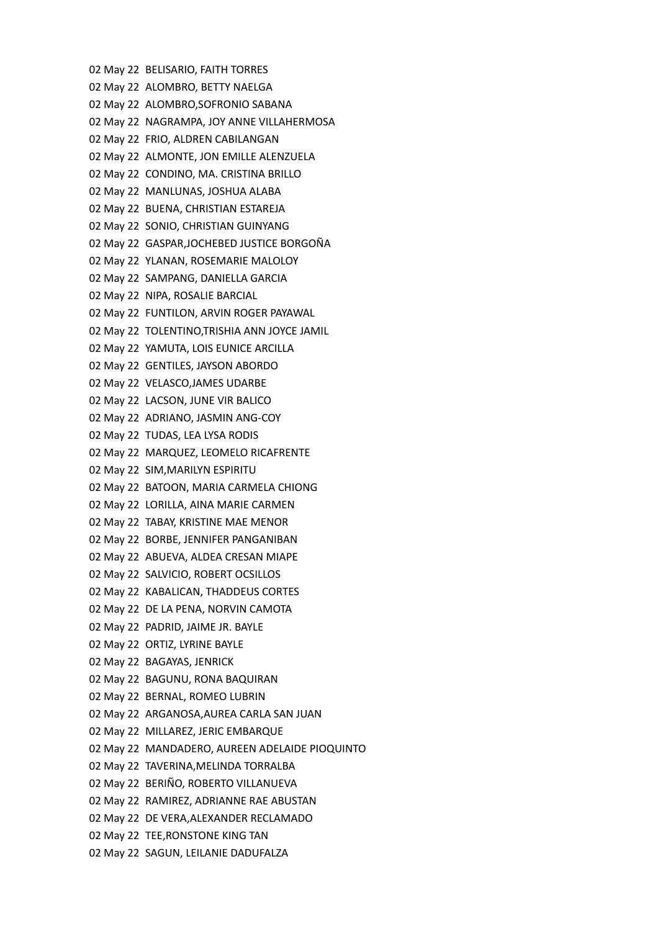02 May 22 BELISARIO, FAITH TORRES 02 May 22 ALOMBRO, BETTY NAELGA 02 May 22 ALOMBRO,SOFRONIO SABANA 02 May 22 NAGRAMPA, JOY ANNE VILLAHERMOSA 02 May 22 FRIO, ALDREN CABILANGAN 02 May 22 ALMONTE, JON EMILLE ALENZUELA 02 May 22 CONDINO, MA. CRISTINA BRILLO 02 May 22 MANLUNAS, JOSHUA ALABA 02 May 22 BUENA, CHRISTIAN ESTAREJA 02 May 22 SONIO, CHRISTIAN GUINYANG 02 May 22 GASPAR,JOCHEBED JUSTICE BORGOÑA 02 May 22 YLANAN, ROSEMARIE MALOLOY 02 May 22 SAMPANG, DANIELLA GARCIA 02 May 22 NIPA, ROSALIE BARCIAL 02 May 22 FUNTILON, ARVIN ROGER PAYAWAL 02 May 22 TOLENTINO,TRISHIA ANN JOYCE JAMIL 02 May 22 YAMUTA, LOIS EUNICE ARCILLA 02 May 22 GENTILES, JAYSON ABORDO 02 May 22 VELASCO,JAMES UDARBE 02 May 22 LACSON, JUNE VIR BALICO 02 May 22 ADRIANO, JASMIN ANG-COY 02 May 22 TUDAS, LEA LYSA RODIS 02 May 22 MARQUEZ, LEOMELO RICAFRENTE 02 May 22 SIM,MARILYN ESPIRITU 02 May 22 BATOON, MARIA CARMELA CHIONG 02 May 22 LORILLA, AINA MARIE CARMEN 02 May 22 TABAY, KRISTINE MAE MENOR 02 May 22 BORBE, JENNIFER PANGANIBAN 02 May 22 ABUEVA, ALDEA CRESAN MIAPE 02 May 22 SALVICIO, ROBERT OCSILLOS 02 May 22 KABALICAN, THADDEUS CORTES 02 May 22 DE LA PENA, NORVIN CAMOTA 02 May 22 PADRID, JAIME JR. BAYLE 02 May 22 ORTIZ, LYRINE BAYLE 02 May 22 BAGAYAS, JENRICK 02 May 22 BAGUNU, RONA BAQUIRAN 02 May 22 BERNAL, ROMEO LUBRIN 02 May 22 ARGANOSA,AUREA CARLA SAN JUAN 02 May 22 MILLAREZ, JERIC EMBARQUE 02 May 22 MANDADERO, AUREEN ADELAIDE PIOQUINTO 02 May 22 TAVERINA,MELINDA TORRALBA 02 May 22 BERIÑO, ROBERTO VILLANUEVA 02 May 22 RAMIREZ, ADRIANNE RAE ABUSTAN 02 May 22 DE VERA,ALEXANDER RECLAMADO 02 May 22 TEE,RONSTONE KING TAN 02 May 22 SAGUN, LEILANIE DADUFALZA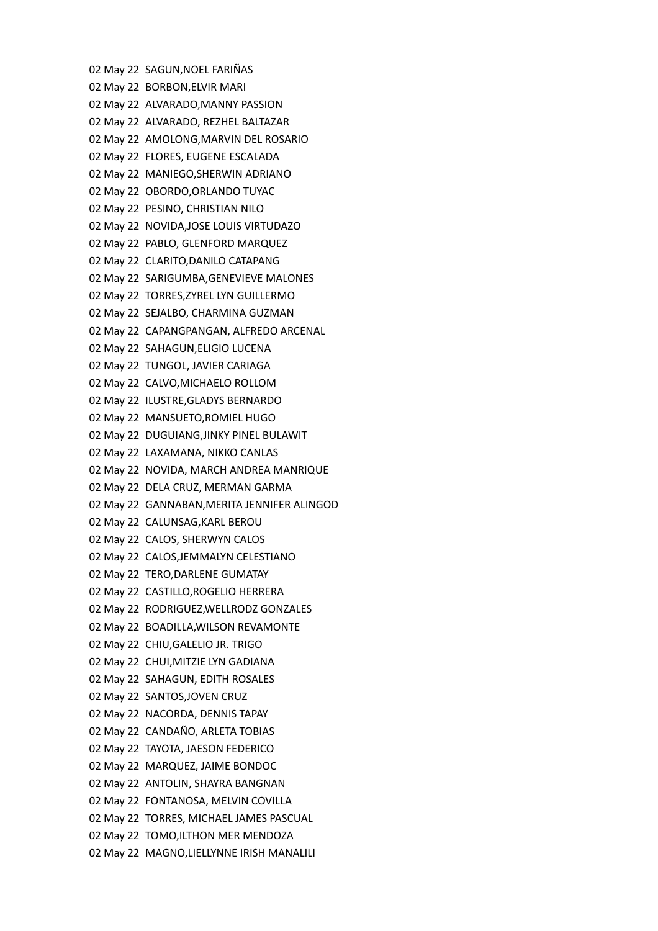02 May 22 SAGUN,NOEL FARIÑAS 02 May 22 BORBON,ELVIR MARI 02 May 22 ALVARADO,MANNY PASSION 02 May 22 ALVARADO, REZHEL BALTAZAR 02 May 22 AMOLONG,MARVIN DEL ROSARIO 02 May 22 FLORES, EUGENE ESCALADA 02 May 22 MANIEGO,SHERWIN ADRIANO 02 May 22 OBORDO,ORLANDO TUYAC 02 May 22 PESINO, CHRISTIAN NILO 02 May 22 NOVIDA,JOSE LOUIS VIRTUDAZO 02 May 22 PABLO, GLENFORD MARQUEZ 02 May 22 CLARITO,DANILO CATAPANG 02 May 22 SARIGUMBA,GENEVIEVE MALONES 02 May 22 TORRES,ZYREL LYN GUILLERMO 02 May 22 SEJALBO, CHARMINA GUZMAN 02 May 22 CAPANGPANGAN, ALFREDO ARCENAL 02 May 22 SAHAGUN,ELIGIO LUCENA 02 May 22 TUNGOL, JAVIER CARIAGA 02 May 22 CALVO,MICHAELO ROLLOM 02 May 22 ILUSTRE,GLADYS BERNARDO 02 May 22 MANSUETO,ROMIEL HUGO 02 May 22 DUGUIANG,JINKY PINEL BULAWIT 02 May 22 LAXAMANA, NIKKO CANLAS 02 May 22 NOVIDA, MARCH ANDREA MANRIQUE 02 May 22 DELA CRUZ, MERMAN GARMA 02 May 22 GANNABAN,MERITA JENNIFER ALINGOD 02 May 22 CALUNSAG,KARL BEROU 02 May 22 CALOS, SHERWYN CALOS 02 May 22 CALOS,JEMMALYN CELESTIANO 02 May 22 TERO,DARLENE GUMATAY 02 May 22 CASTILLO,ROGELIO HERRERA 02 May 22 RODRIGUEZ,WELLRODZ GONZALES 02 May 22 BOADILLA,WILSON REVAMONTE 02 May 22 CHIU,GALELIO JR. TRIGO 02 May 22 CHUI,MITZIE LYN GADIANA 02 May 22 SAHAGUN, EDITH ROSALES 02 May 22 SANTOS,JOVEN CRUZ 02 May 22 NACORDA, DENNIS TAPAY 02 May 22 CANDAÑO, ARLETA TOBIAS 02 May 22 TAYOTA, JAESON FEDERICO 02 May 22 MARQUEZ, JAIME BONDOC 02 May 22 ANTOLIN, SHAYRA BANGNAN 02 May 22 FONTANOSA, MELVIN COVILLA 02 May 22 TORRES, MICHAEL JAMES PASCUAL 02 May 22 TOMO,ILTHON MER MENDOZA 02 May 22 MAGNO,LIELLYNNE IRISH MANALILI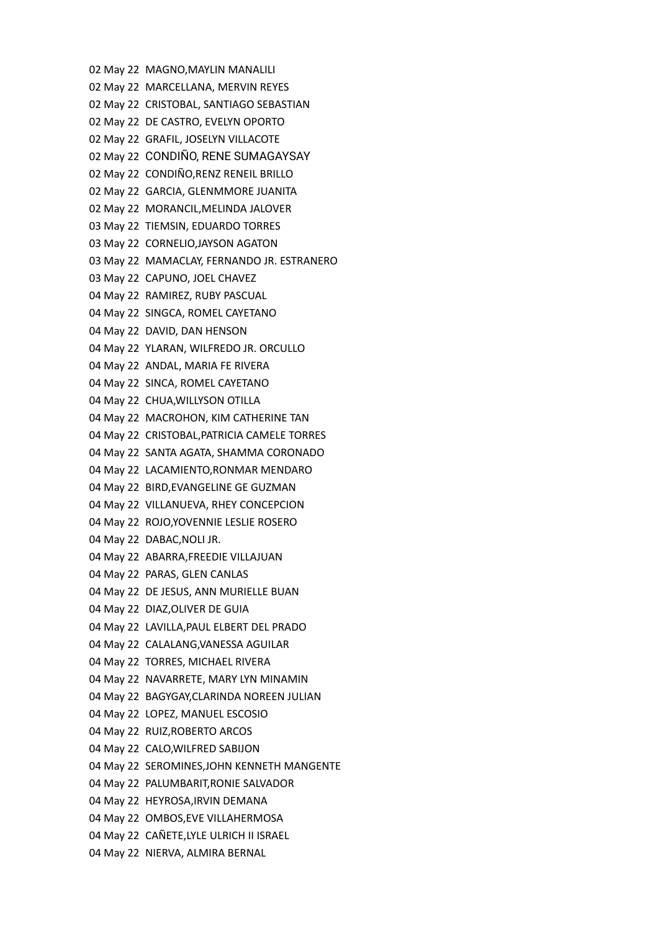02 May 22 MAGNO,MAYLIN MANALILI 02 May 22 MARCELLANA, MERVIN REYES 02 May 22 CRISTOBAL, SANTIAGO SEBASTIAN 02 May 22 DE CASTRO, EVELYN OPORTO 02 May 22 GRAFIL, JOSELYN VILLACOTE 02 May 22 CONDIÑO, RENE SUMAGAYSAY 02 May 22 CONDIÑO,RENZ RENEIL BRILLO 02 May 22 GARCIA, GLENMMORE JUANITA 02 May 22 MORANCIL,MELINDA JALOVER 03 May 22 TIEMSIN, EDUARDO TORRES 03 May 22 CORNELIO,JAYSON AGATON 03 May 22 MAMACLAY, FERNANDO JR. ESTRANERO 03 May 22 CAPUNO, JOEL CHAVEZ 04 May 22 RAMIREZ, RUBY PASCUAL 04 May 22 SINGCA, ROMEL CAYETANO 04 May 22 DAVID, DAN HENSON 04 May 22 YLARAN, WILFREDO JR. ORCULLO 04 May 22 ANDAL, MARIA FE RIVERA 04 May 22 SINCA, ROMEL CAYETANO 04 May 22 CHUA,WILLYSON OTILLA 04 May 22 MACROHON, KIM CATHERINE TAN 04 May 22 CRISTOBAL,PATRICIA CAMELE TORRES 04 May 22 SANTA AGATA, SHAMMA CORONADO 04 May 22 LACAMIENTO,RONMAR MENDARO 04 May 22 BIRD,EVANGELINE GE GUZMAN 04 May 22 VILLANUEVA, RHEY CONCEPCION 04 May 22 ROJO,YOVENNIE LESLIE ROSERO 04 May 22 DABAC,NOLI JR. 04 May 22 ABARRA,FREEDIE VILLAJUAN 04 May 22 PARAS, GLEN CANLAS 04 May 22 DE JESUS, ANN MURIELLE BUAN 04 May 22 DIAZ,OLIVER DE GUIA 04 May 22 LAVILLA,PAUL ELBERT DEL PRADO 04 May 22 CALALANG,VANESSA AGUILAR 04 May 22 TORRES, MICHAEL RIVERA 04 May 22 NAVARRETE, MARY LYN MINAMIN 04 May 22 BAGYGAY,CLARINDA NOREEN JULIAN 04 May 22 LOPEZ, MANUEL ESCOSIO 04 May 22 RUIZ,ROBERTO ARCOS 04 May 22 CALO,WILFRED SABIJON 04 May 22 SEROMINES,JOHN KENNETH MANGENTE 04 May 22 PALUMBARIT,RONIE SALVADOR 04 May 22 HEYROSA,IRVIN DEMANA 04 May 22 OMBOS,EVE VILLAHERMOSA 04 May 22 CAÑETE,LYLE ULRICH II ISRAEL 04 May 22 NIERVA, ALMIRA BERNAL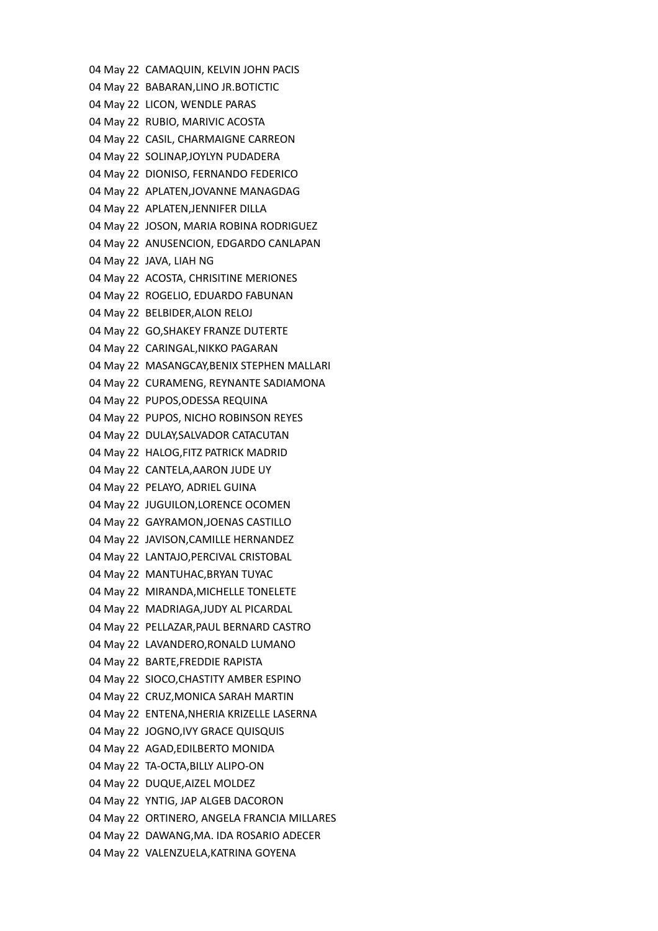04 May 22 CAMAQUIN, KELVIN JOHN PACIS 04 May 22 BABARAN,LINO JR.BOTICTIC 04 May 22 LICON, WENDLE PARAS 04 May 22 RUBIO, MARIVIC ACOSTA 04 May 22 CASIL, CHARMAIGNE CARREON 04 May 22 SOLINAP,JOYLYN PUDADERA 04 May 22 DIONISO, FERNANDO FEDERICO 04 May 22 APLATEN,JOVANNE MANAGDAG 04 May 22 APLATEN,JENNIFER DILLA 04 May 22 JOSON, MARIA ROBINA RODRIGUEZ 04 May 22 ANUSENCION, EDGARDO CANLAPAN 04 May 22 JAVA, LIAH NG 04 May 22 ACOSTA, CHRISITINE MERIONES 04 May 22 ROGELIO, EDUARDO FABUNAN 04 May 22 BELBIDER,ALON RELOJ 04 May 22 GO,SHAKEY FRANZE DUTERTE 04 May 22 CARINGAL,NIKKO PAGARAN 04 May 22 MASANGCAY,BENIX STEPHEN MALLARI 04 May 22 CURAMENG, REYNANTE SADIAMONA 04 May 22 PUPOS,ODESSA REQUINA 04 May 22 PUPOS, NICHO ROBINSON REYES 04 May 22 DULAY,SALVADOR CATACUTAN 04 May 22 HALOG,FITZ PATRICK MADRID 04 May 22 CANTELA,AARON JUDE UY 04 May 22 PELAYO, ADRIEL GUINA 04 May 22 JUGUILON,LORENCE OCOMEN 04 May 22 GAYRAMON,JOENAS CASTILLO 04 May 22 JAVISON,CAMILLE HERNANDEZ 04 May 22 LANTAJO,PERCIVAL CRISTOBAL 04 May 22 MANTUHAC,BRYAN TUYAC 04 May 22 MIRANDA,MICHELLE TONELETE 04 May 22 MADRIAGA,JUDY AL PICARDAL 04 May 22 PELLAZAR,PAUL BERNARD CASTRO 04 May 22 LAVANDERO,RONALD LUMANO 04 May 22 BARTE,FREDDIE RAPISTA 04 May 22 SIOCO,CHASTITY AMBER ESPINO 04 May 22 CRUZ,MONICA SARAH MARTIN 04 May 22 ENTENA,NHERIA KRIZELLE LASERNA 04 May 22 JOGNO,IVY GRACE QUISQUIS 04 May 22 AGAD,EDILBERTO MONIDA 04 May 22 TA-OCTA,BILLY ALIPO-ON 04 May 22 DUQUE,AIZEL MOLDEZ 04 May 22 YNTIG, JAP ALGEB DACORON 04 May 22 ORTINERO, ANGELA FRANCIA MILLARES 04 May 22 DAWANG,MA. IDA ROSARIO ADECER 04 May 22 VALENZUELA,KATRINA GOYENA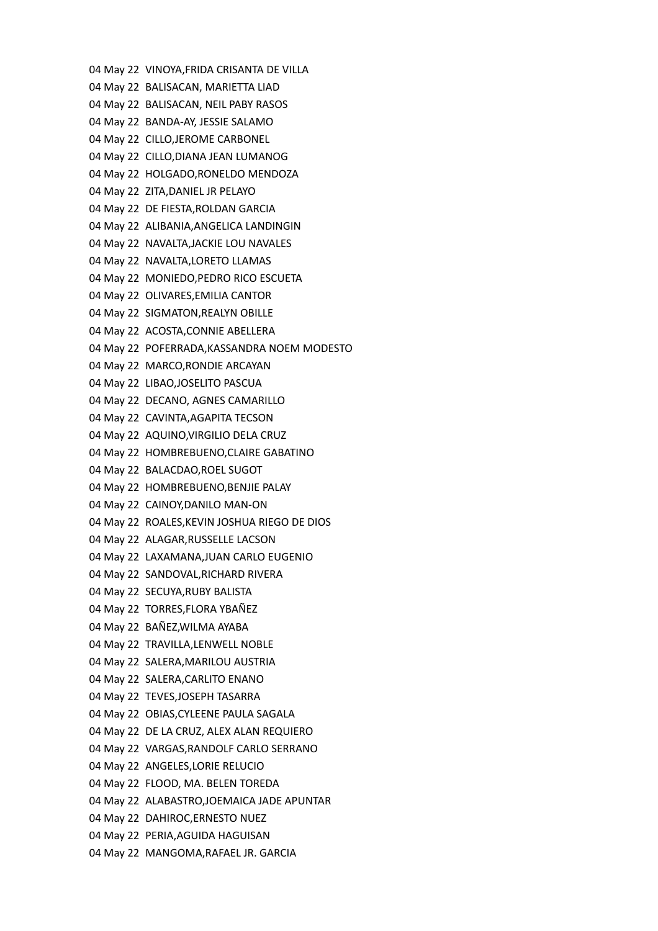04 May 22 VINOYA,FRIDA CRISANTA DE VILLA 04 May 22 BALISACAN, MARIETTA LIAD 04 May 22 BALISACAN, NEIL PABY RASOS 04 May 22 BANDA-AY, JESSIE SALAMO 04 May 22 CILLO,JEROME CARBONEL 04 May 22 CILLO,DIANA JEAN LUMANOG 04 May 22 HOLGADO,RONELDO MENDOZA 04 May 22 ZITA,DANIEL JR PELAYO 04 May 22 DE FIESTA,ROLDAN GARCIA 04 May 22 ALIBANIA,ANGELICA LANDINGIN 04 May 22 NAVALTA,JACKIE LOU NAVALES 04 May 22 NAVALTA,LORETO LLAMAS 04 May 22 MONIEDO,PEDRO RICO ESCUETA 04 May 22 OLIVARES,EMILIA CANTOR 04 May 22 SIGMATON,REALYN OBILLE 04 May 22 ACOSTA,CONNIE ABELLERA 04 May 22 POFERRADA,KASSANDRA NOEM MODESTO 04 May 22 MARCO,RONDIE ARCAYAN 04 May 22 LIBAO,JOSELITO PASCUA 04 May 22 DECANO, AGNES CAMARILLO 04 May 22 CAVINTA,AGAPITA TECSON 04 May 22 AQUINO,VIRGILIO DELA CRUZ 04 May 22 HOMBREBUENO,CLAIRE GABATINO 04 May 22 BALACDAO,ROEL SUGOT 04 May 22 HOMBREBUENO,BENJIE PALAY 04 May 22 CAINOY,DANILO MAN-ON 04 May 22 ROALES,KEVIN JOSHUA RIEGO DE DIOS 04 May 22 ALAGAR,RUSSELLE LACSON 04 May 22 LAXAMANA,JUAN CARLO EUGENIO 04 May 22 SANDOVAL,RICHARD RIVERA 04 May 22 SECUYA,RUBY BALISTA 04 May 22 TORRES,FLORA YBAÑEZ 04 May 22 BAÑEZ,WILMA AYABA 04 May 22 TRAVILLA,LENWELL NOBLE 04 May 22 SALERA,MARILOU AUSTRIA 04 May 22 SALERA,CARLITO ENANO 04 May 22 TEVES,JOSEPH TASARRA 04 May 22 OBIAS,CYLEENE PAULA SAGALA 04 May 22 DE LA CRUZ, ALEX ALAN REQUIERO 04 May 22 VARGAS,RANDOLF CARLO SERRANO 04 May 22 ANGELES,LORIE RELUCIO 04 May 22 FLOOD, MA. BELEN TOREDA 04 May 22 ALABASTRO,JOEMAICA JADE APUNTAR 04 May 22 DAHIROC,ERNESTO NUEZ 04 May 22 PERIA,AGUIDA HAGUISAN 04 May 22 MANGOMA,RAFAEL JR. GARCIA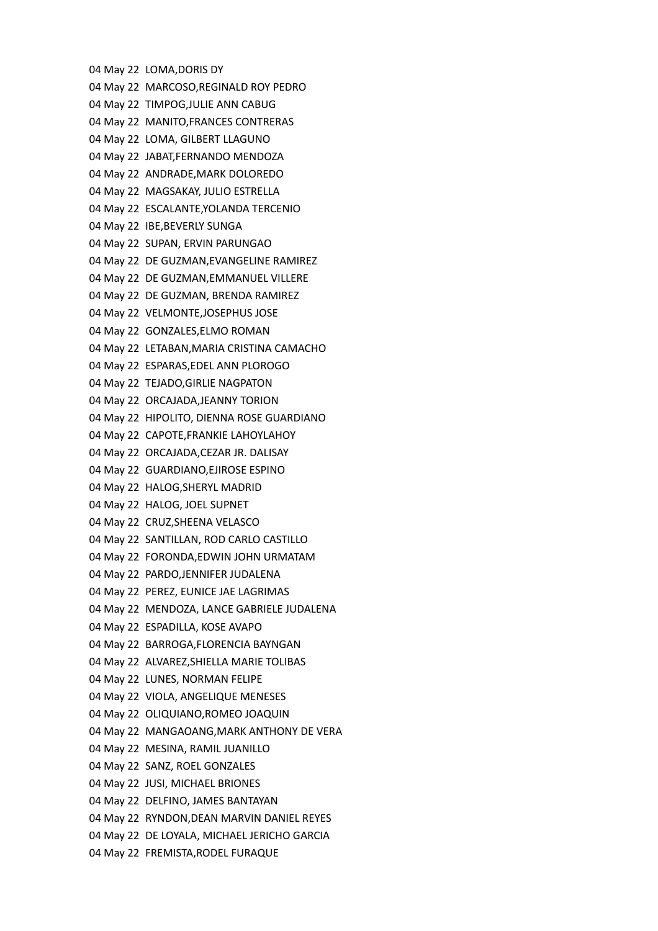04 May 22 LOMA,DORIS DY 04 May 22 MARCOSO,REGINALD ROY PEDRO 04 May 22 TIMPOG,JULIE ANN CABUG 04 May 22 MANITO,FRANCES CONTRERAS 04 May 22 LOMA, GILBERT LLAGUNO 04 May 22 JABAT,FERNANDO MENDOZA 04 May 22 ANDRADE,MARK DOLOREDO 04 May 22 MAGSAKAY, JULIO ESTRELLA 04 May 22 ESCALANTE,YOLANDA TERCENIO 04 May 22 IBE,BEVERLY SUNGA 04 May 22 SUPAN, ERVIN PARUNGAO 04 May 22 DE GUZMAN,EVANGELINE RAMIREZ 04 May 22 DE GUZMAN,EMMANUEL VILLERE 04 May 22 DE GUZMAN, BRENDA RAMIREZ 04 May 22 VELMONTE,JOSEPHUS JOSE 04 May 22 GONZALES,ELMO ROMAN 04 May 22 LETABAN,MARIA CRISTINA CAMACHO 04 May 22 ESPARAS,EDEL ANN PLOROGO 04 May 22 TEJADO,GIRLIE NAGPATON 04 May 22 ORCAJADA,JEANNY TORION 04 May 22 HIPOLITO, DIENNA ROSE GUARDIANO 04 May 22 CAPOTE,FRANKIE LAHOYLAHOY 04 May 22 ORCAJADA,CEZAR JR. DALISAY 04 May 22 GUARDIANO,EJIROSE ESPINO 04 May 22 HALOG,SHERYL MADRID 04 May 22 HALOG, JOEL SUPNET 04 May 22 CRUZ,SHEENA VELASCO 04 May 22 SANTILLAN, ROD CARLO CASTILLO 04 May 22 FORONDA,EDWIN JOHN URMATAM 04 May 22 PARDO,JENNIFER JUDALENA 04 May 22 PEREZ, EUNICE JAE LAGRIMAS 04 May 22 MENDOZA, LANCE GABRIELE JUDALENA 04 May 22 ESPADILLA, KOSE AVAPO 04 May 22 BARROGA,FLORENCIA BAYNGAN 04 May 22 ALVAREZ,SHIELLA MARIE TOLIBAS 04 May 22 LUNES, NORMAN FELIPE 04 May 22 VIOLA, ANGELIQUE MENESES 04 May 22 OLIQUIANO,ROMEO JOAQUIN 04 May 22 MANGAOANG,MARK ANTHONY DE VERA 04 May 22 MESINA, RAMIL JUANILLO 04 May 22 SANZ, ROEL GONZALES 04 May 22 JUSI, MICHAEL BRIONES 04 May 22 DELFINO, JAMES BANTAYAN 04 May 22 RYNDON,DEAN MARVIN DANIEL REYES 04 May 22 DE LOYALA, MICHAEL JERICHO GARCIA 04 May 22 FREMISTA,RODEL FURAQUE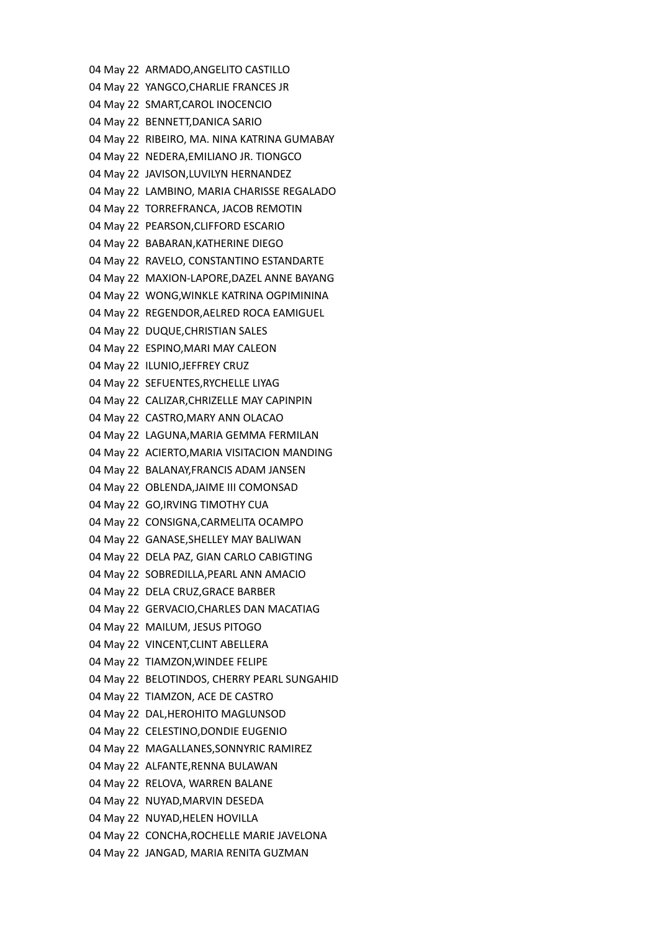04 May 22 ARMADO,ANGELITO CASTILLO 04 May 22 YANGCO,CHARLIE FRANCES JR 04 May 22 SMART,CAROL INOCENCIO 04 May 22 BENNETT,DANICA SARIO 04 May 22 RIBEIRO, MA. NINA KATRINA GUMABAY 04 May 22 NEDERA,EMILIANO JR. TIONGCO 04 May 22 JAVISON,LUVILYN HERNANDEZ 04 May 22 LAMBINO, MARIA CHARISSE REGALADO 04 May 22 TORREFRANCA, JACOB REMOTIN 04 May 22 PEARSON,CLIFFORD ESCARIO 04 May 22 BABARAN,KATHERINE DIEGO 04 May 22 RAVELO, CONSTANTINO ESTANDARTE 04 May 22 MAXION-LAPORE,DAZEL ANNE BAYANG 04 May 22 WONG,WINKLE KATRINA OGPIMININA 04 May 22 REGENDOR,AELRED ROCA EAMIGUEL 04 May 22 DUQUE,CHRISTIAN SALES 04 May 22 ESPINO,MARI MAY CALEON 04 May 22 ILUNIO,JEFFREY CRUZ 04 May 22 SEFUENTES,RYCHELLE LIYAG 04 May 22 CALIZAR,CHRIZELLE MAY CAPINPIN 04 May 22 CASTRO,MARY ANN OLACAO 04 May 22 LAGUNA,MARIA GEMMA FERMILAN 04 May 22 ACIERTO,MARIA VISITACION MANDING 04 May 22 BALANAY,FRANCIS ADAM JANSEN 04 May 22 OBLENDA,JAIME III COMONSAD 04 May 22 GO,IRVING TIMOTHY CUA 04 May 22 CONSIGNA,CARMELITA OCAMPO 04 May 22 GANASE,SHELLEY MAY BALIWAN 04 May 22 DELA PAZ, GIAN CARLO CABIGTING 04 May 22 SOBREDILLA,PEARL ANN AMACIO 04 May 22 DELA CRUZ,GRACE BARBER 04 May 22 GERVACIO,CHARLES DAN MACATIAG 04 May 22 MAILUM, JESUS PITOGO 04 May 22 VINCENT,CLINT ABELLERA 04 May 22 TIAMZON,WINDEE FELIPE 04 May 22 BELOTINDOS, CHERRY PEARL SUNGAHID 04 May 22 TIAMZON, ACE DE CASTRO 04 May 22 DAL,HEROHITO MAGLUNSOD 04 May 22 CELESTINO,DONDIE EUGENIO 04 May 22 MAGALLANES,SONNYRIC RAMIREZ 04 May 22 ALFANTE,RENNA BULAWAN 04 May 22 RELOVA, WARREN BALANE 04 May 22 NUYAD,MARVIN DESEDA 04 May 22 NUYAD,HELEN HOVILLA 04 May 22 CONCHA,ROCHELLE MARIE JAVELONA 04 May 22 JANGAD, MARIA RENITA GUZMAN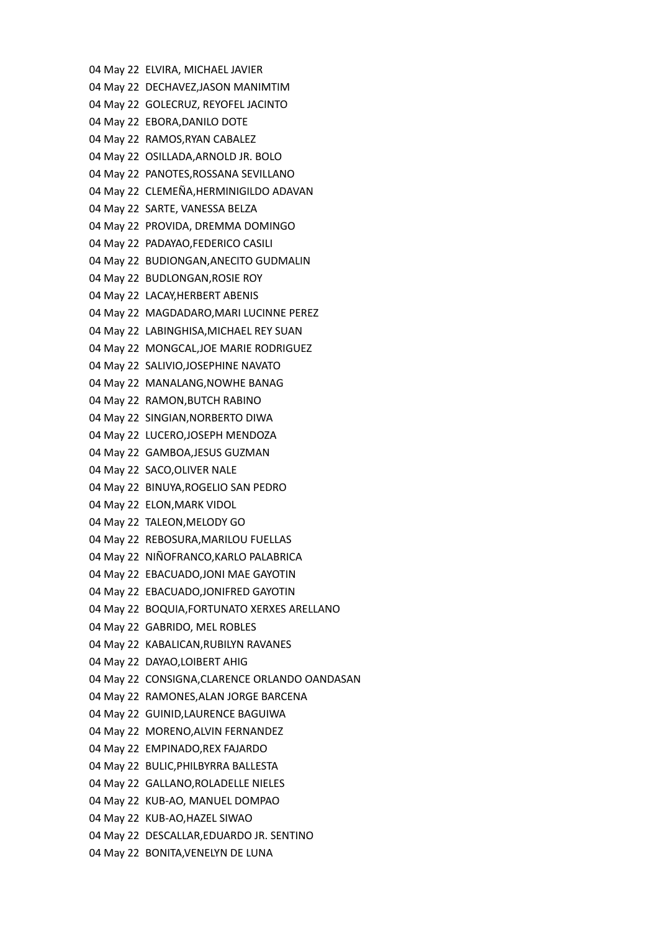04 May 22 ELVIRA, MICHAEL JAVIER 04 May 22 DECHAVEZ,JASON MANIMTIM 04 May 22 GOLECRUZ, REYOFEL JACINTO 04 May 22 EBORA,DANILO DOTE 04 May 22 RAMOS,RYAN CABALEZ 04 May 22 OSILLADA,ARNOLD JR. BOLO 04 May 22 PANOTES,ROSSANA SEVILLANO 04 May 22 CLEMEÑA,HERMINIGILDO ADAVAN 04 May 22 SARTE, VANESSA BELZA 04 May 22 PROVIDA, DREMMA DOMINGO 04 May 22 PADAYAO,FEDERICO CASILI 04 May 22 BUDIONGAN,ANECITO GUDMALIN 04 May 22 BUDLONGAN,ROSIE ROY 04 May 22 LACAY,HERBERT ABENIS 04 May 22 MAGDADARO,MARI LUCINNE PEREZ 04 May 22 LABINGHISA,MICHAEL REY SUAN 04 May 22 MONGCAL,JOE MARIE RODRIGUEZ 04 May 22 SALIVIO,JOSEPHINE NAVATO 04 May 22 MANALANG,NOWHE BANAG 04 May 22 RAMON,BUTCH RABINO 04 May 22 SINGIAN,NORBERTO DIWA 04 May 22 LUCERO,JOSEPH MENDOZA 04 May 22 GAMBOA,JESUS GUZMAN 04 May 22 SACO,OLIVER NALE 04 May 22 BINUYA,ROGELIO SAN PEDRO 04 May 22 ELON,MARK VIDOL 04 May 22 TALEON,MELODY GO 04 May 22 REBOSURA,MARILOU FUELLAS 04 May 22 NIÑOFRANCO,KARLO PALABRICA 04 May 22 EBACUADO,JONI MAE GAYOTIN 04 May 22 EBACUADO,JONIFRED GAYOTIN 04 May 22 BOQUIA,FORTUNATO XERXES ARELLANO 04 May 22 GABRIDO, MEL ROBLES 04 May 22 KABALICAN,RUBILYN RAVANES 04 May 22 DAYAO,LOIBERT AHIG 04 May 22 CONSIGNA,CLARENCE ORLANDO OANDASAN 04 May 22 RAMONES,ALAN JORGE BARCENA 04 May 22 GUINID,LAURENCE BAGUIWA 04 May 22 MORENO,ALVIN FERNANDEZ 04 May 22 EMPINADO,REX FAJARDO 04 May 22 BULIC,PHILBYRRA BALLESTA 04 May 22 GALLANO,ROLADELLE NIELES 04 May 22 KUB-AO, MANUEL DOMPAO 04 May 22 KUB-AO,HAZEL SIWAO 04 May 22 DESCALLAR,EDUARDO JR. SENTINO 04 May 22 BONITA,VENELYN DE LUNA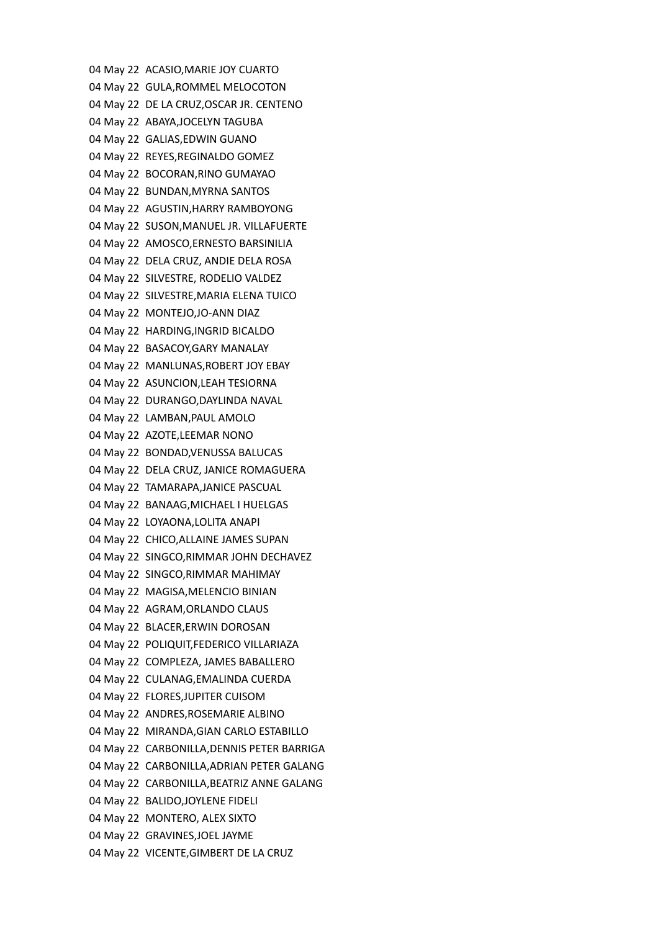04 May 22 ACASIO,MARIE JOY CUARTO 04 May 22 GULA,ROMMEL MELOCOTON 04 May 22 DE LA CRUZ,OSCAR JR. CENTENO 04 May 22 ABAYA,JOCELYN TAGUBA 04 May 22 GALIAS,EDWIN GUANO 04 May 22 REYES,REGINALDO GOMEZ 04 May 22 BOCORAN,RINO GUMAYAO 04 May 22 BUNDAN,MYRNA SANTOS 04 May 22 AGUSTIN,HARRY RAMBOYONG 04 May 22 SUSON,MANUEL JR. VILLAFUERTE 04 May 22 AMOSCO,ERNESTO BARSINILIA 04 May 22 DELA CRUZ, ANDIE DELA ROSA 04 May 22 SILVESTRE, RODELIO VALDEZ 04 May 22 SILVESTRE,MARIA ELENA TUICO 04 May 22 MONTEJO,JO-ANN DIAZ 04 May 22 HARDING,INGRID BICALDO 04 May 22 BASACOY,GARY MANALAY 04 May 22 MANLUNAS,ROBERT JOY EBAY 04 May 22 ASUNCION,LEAH TESIORNA 04 May 22 DURANGO,DAYLINDA NAVAL 04 May 22 LAMBAN,PAUL AMOLO 04 May 22 AZOTE,LEEMAR NONO 04 May 22 BONDAD,VENUSSA BALUCAS 04 May 22 DELA CRUZ, JANICE ROMAGUERA 04 May 22 TAMARAPA,JANICE PASCUAL 04 May 22 BANAAG,MICHAEL I HUELGAS 04 May 22 LOYAONA,LOLITA ANAPI 04 May 22 CHICO,ALLAINE JAMES SUPAN 04 May 22 SINGCO,RIMMAR JOHN DECHAVEZ 04 May 22 SINGCO,RIMMAR MAHIMAY 04 May 22 MAGISA,MELENCIO BINIAN 04 May 22 AGRAM,ORLANDO CLAUS 04 May 22 BLACER,ERWIN DOROSAN 04 May 22 POLIQUIT,FEDERICO VILLARIAZA 04 May 22 COMPLEZA, JAMES BABALLERO 04 May 22 CULANAG,EMALINDA CUERDA 04 May 22 FLORES,JUPITER CUISOM 04 May 22 ANDRES,ROSEMARIE ALBINO 04 May 22 MIRANDA,GIAN CARLO ESTABILLO 04 May 22 CARBONILLA,DENNIS PETER BARRIGA 04 May 22 CARBONILLA,ADRIAN PETER GALANG 04 May 22 CARBONILLA,BEATRIZ ANNE GALANG 04 May 22 BALIDO,JOYLENE FIDELI 04 May 22 MONTERO, ALEX SIXTO 04 May 22 GRAVINES,JOEL JAYME 04 May 22 VICENTE,GIMBERT DE LA CRUZ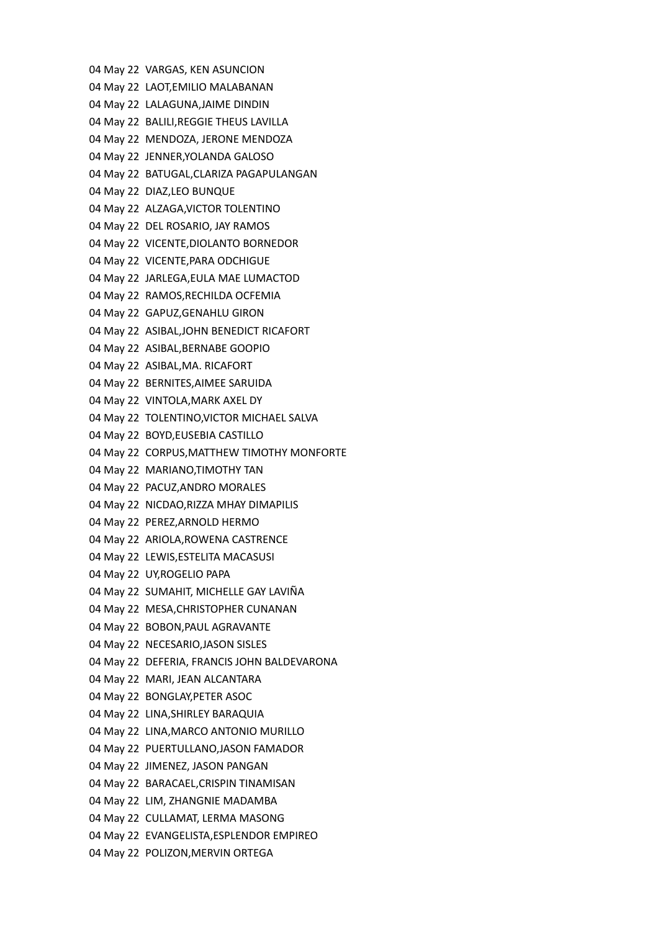04 May 22 VARGAS, KEN ASUNCION 04 May 22 LAOT,EMILIO MALABANAN 04 May 22 LALAGUNA,JAIME DINDIN 04 May 22 BALILI,REGGIE THEUS LAVILLA 04 May 22 MENDOZA, JERONE MENDOZA 04 May 22 JENNER,YOLANDA GALOSO 04 May 22 BATUGAL,CLARIZA PAGAPULANGAN 04 May 22 DIAZ,LEO BUNQUE 04 May 22 ALZAGA,VICTOR TOLENTINO 04 May 22 DEL ROSARIO, JAY RAMOS 04 May 22 VICENTE,DIOLANTO BORNEDOR 04 May 22 VICENTE,PARA ODCHIGUE 04 May 22 JARLEGA,EULA MAE LUMACTOD 04 May 22 RAMOS,RECHILDA OCFEMIA 04 May 22 GAPUZ,GENAHLU GIRON 04 May 22 ASIBAL,JOHN BENEDICT RICAFORT 04 May 22 ASIBAL,BERNABE GOOPIO 04 May 22 ASIBAL,MA. RICAFORT 04 May 22 BERNITES,AIMEE SARUIDA 04 May 22 VINTOLA,MARK AXEL DY 04 May 22 TOLENTINO,VICTOR MICHAEL SALVA 04 May 22 BOYD,EUSEBIA CASTILLO 04 May 22 CORPUS,MATTHEW TIMOTHY MONFORTE 04 May 22 MARIANO,TIMOTHY TAN 04 May 22 PACUZ,ANDRO MORALES 04 May 22 NICDAO,RIZZA MHAY DIMAPILIS 04 May 22 PEREZ,ARNOLD HERMO 04 May 22 ARIOLA,ROWENA CASTRENCE 04 May 22 LEWIS,ESTELITA MACASUSI 04 May 22 UY,ROGELIO PAPA 04 May 22 SUMAHIT, MICHELLE GAY LAVIÑA 04 May 22 MESA,CHRISTOPHER CUNANAN 04 May 22 BOBON,PAUL AGRAVANTE 04 May 22 NECESARIO,JASON SISLES 04 May 22 DEFERIA, FRANCIS JOHN BALDEVARONA 04 May 22 MARI, JEAN ALCANTARA 04 May 22 BONGLAY,PETER ASOC 04 May 22 LINA,SHIRLEY BARAQUIA 04 May 22 LINA,MARCO ANTONIO MURILLO 04 May 22 PUERTULLANO,JASON FAMADOR 04 May 22 JIMENEZ, JASON PANGAN 04 May 22 BARACAEL,CRISPIN TINAMISAN 04 May 22 LIM, ZHANGNIE MADAMBA 04 May 22 CULLAMAT, LERMA MASONG 04 May 22 EVANGELISTA,ESPLENDOR EMPIREO 04 May 22 POLIZON,MERVIN ORTEGA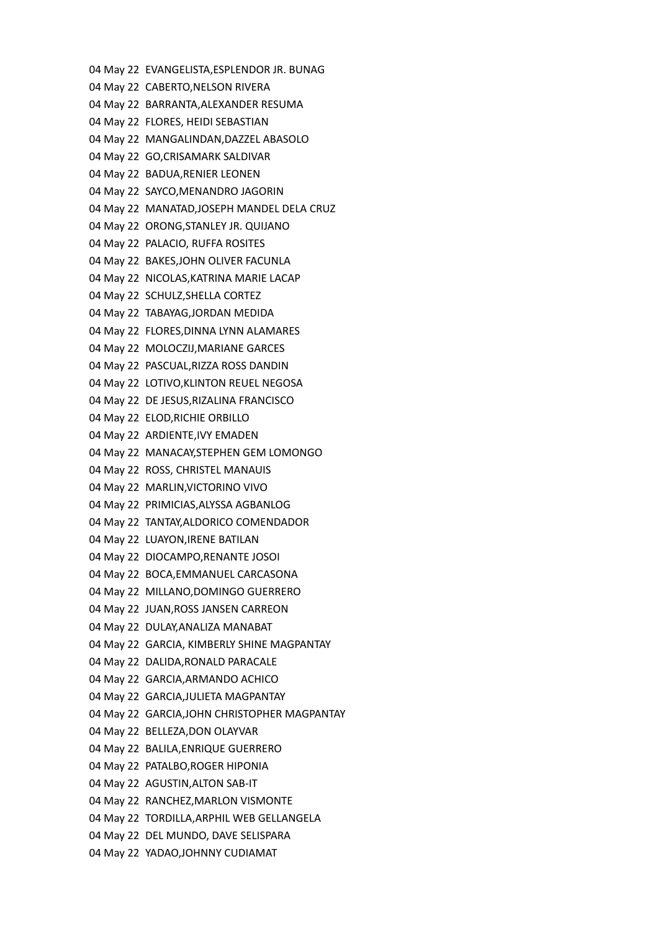04 May 22 EVANGELISTA,ESPLENDOR JR. BUNAG 04 May 22 CABERTO,NELSON RIVERA 04 May 22 BARRANTA,ALEXANDER RESUMA 04 May 22 FLORES, HEIDI SEBASTIAN 04 May 22 MANGALINDAN,DAZZEL ABASOLO 04 May 22 GO,CRISAMARK SALDIVAR 04 May 22 BADUA,RENIER LEONEN 04 May 22 SAYCO,MENANDRO JAGORIN 04 May 22 MANATAD,JOSEPH MANDEL DELA CRUZ 04 May 22 ORONG,STANLEY JR. QUIJANO 04 May 22 PALACIO, RUFFA ROSITES 04 May 22 BAKES,JOHN OLIVER FACUNLA 04 May 22 NICOLAS,KATRINA MARIE LACAP 04 May 22 SCHULZ,SHELLA CORTEZ 04 May 22 TABAYAG,JORDAN MEDIDA 04 May 22 FLORES,DINNA LYNN ALAMARES 04 May 22 MOLOCZIJ,MARIANE GARCES 04 May 22 PASCUAL,RIZZA ROSS DANDIN 04 May 22 LOTIVO,KLINTON REUEL NEGOSA 04 May 22 DE JESUS,RIZALINA FRANCISCO 04 May 22 ELOD,RICHIE ORBILLO 04 May 22 ARDIENTE,IVY EMADEN 04 May 22 MANACAY,STEPHEN GEM LOMONGO 04 May 22 ROSS, CHRISTEL MANAUIS 04 May 22 MARLIN,VICTORINO VIVO 04 May 22 PRIMICIAS,ALYSSA AGBANLOG 04 May 22 TANTAY,ALDORICO COMENDADOR 04 May 22 LUAYON,IRENE BATILAN 04 May 22 DIOCAMPO,RENANTE JOSOI 04 May 22 BOCA,EMMANUEL CARCASONA 04 May 22 MILLANO,DOMINGO GUERRERO 04 May 22 JUAN,ROSS JANSEN CARREON 04 May 22 DULAY,ANALIZA MANABAT 04 May 22 GARCIA, KIMBERLY SHINE MAGPANTAY 04 May 22 DALIDA,RONALD PARACALE 04 May 22 GARCIA,ARMANDO ACHICO 04 May 22 GARCIA,JULIETA MAGPANTAY 04 May 22 GARCIA,JOHN CHRISTOPHER MAGPANTAY 04 May 22 BELLEZA,DON OLAYVAR 04 May 22 BALILA,ENRIQUE GUERRERO 04 May 22 PATALBO,ROGER HIPONIA 04 May 22 AGUSTIN,ALTON SAB-IT 04 May 22 RANCHEZ,MARLON VISMONTE 04 May 22 TORDILLA,ARPHIL WEB GELLANGELA 04 May 22 DEL MUNDO, DAVE SELISPARA 04 May 22 YADAO,JOHNNY CUDIAMAT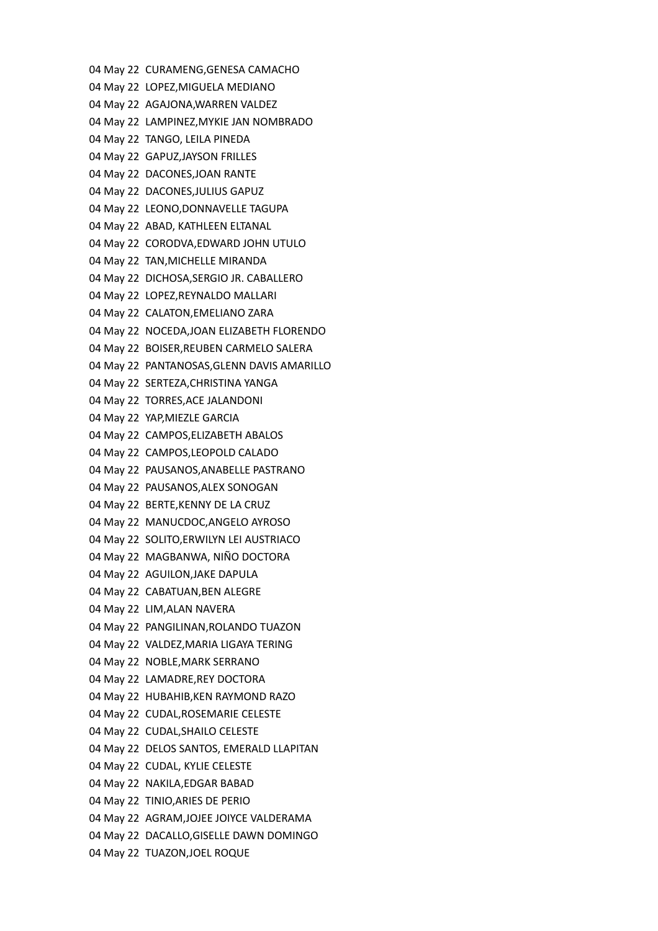04 May 22 CURAMENG,GENESA CAMACHO 04 May 22 LOPEZ,MIGUELA MEDIANO 04 May 22 AGAJONA,WARREN VALDEZ 04 May 22 LAMPINEZ,MYKIE JAN NOMBRADO 04 May 22 TANGO, LEILA PINEDA 04 May 22 GAPUZ,JAYSON FRILLES 04 May 22 DACONES,JOAN RANTE 04 May 22 DACONES,JULIUS GAPUZ 04 May 22 LEONO,DONNAVELLE TAGUPA 04 May 22 ABAD, KATHLEEN ELTANAL 04 May 22 CORODVA,EDWARD JOHN UTULO 04 May 22 TAN,MICHELLE MIRANDA 04 May 22 DICHOSA,SERGIO JR. CABALLERO 04 May 22 LOPEZ,REYNALDO MALLARI 04 May 22 CALATON,EMELIANO ZARA 04 May 22 NOCEDA,JOAN ELIZABETH FLORENDO 04 May 22 BOISER,REUBEN CARMELO SALERA 04 May 22 PANTANOSAS,GLENN DAVIS AMARILLO 04 May 22 SERTEZA,CHRISTINA YANGA 04 May 22 TORRES,ACE JALANDONI 04 May 22 YAP,MIEZLE GARCIA 04 May 22 CAMPOS,ELIZABETH ABALOS 04 May 22 CAMPOS,LEOPOLD CALADO 04 May 22 PAUSANOS,ANABELLE PASTRANO 04 May 22 PAUSANOS,ALEX SONOGAN 04 May 22 BERTE,KENNY DE LA CRUZ 04 May 22 MANUCDOC,ANGELO AYROSO 04 May 22 SOLITO,ERWILYN LEI AUSTRIACO 04 May 22 MAGBANWA, NIÑO DOCTORA 04 May 22 AGUILON,JAKE DAPULA 04 May 22 CABATUAN,BEN ALEGRE 04 May 22 LIM,ALAN NAVERA 04 May 22 PANGILINAN,ROLANDO TUAZON 04 May 22 VALDEZ,MARIA LIGAYA TERING 04 May 22 NOBLE,MARK SERRANO 04 May 22 LAMADRE,REY DOCTORA 04 May 22 HUBAHIB,KEN RAYMOND RAZO 04 May 22 CUDAL,ROSEMARIE CELESTE 04 May 22 CUDAL,SHAILO CELESTE 04 May 22 DELOS SANTOS, EMERALD LLAPITAN 04 May 22 CUDAL, KYLIE CELESTE 04 May 22 NAKILA,EDGAR BABAD 04 May 22 TINIO,ARIES DE PERIO 04 May 22 AGRAM,JOJEE JOIYCE VALDERAMA 04 May 22 DACALLO,GISELLE DAWN DOMINGO 04 May 22 TUAZON,JOEL ROQUE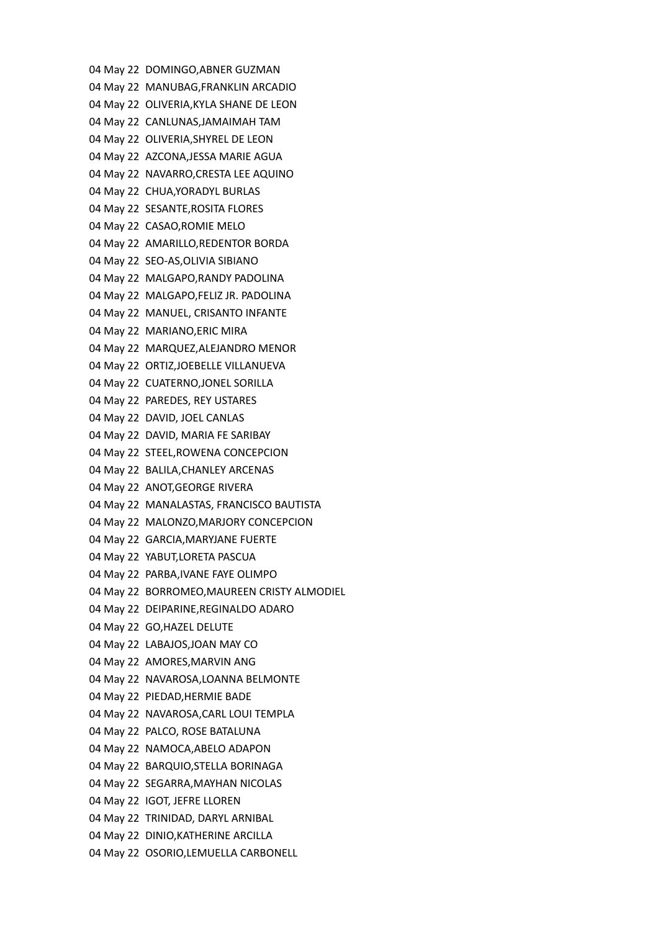04 May 22 DOMINGO,ABNER GUZMAN 04 May 22 MANUBAG,FRANKLIN ARCADIO 04 May 22 OLIVERIA,KYLA SHANE DE LEON 04 May 22 CANLUNAS,JAMAIMAH TAM 04 May 22 OLIVERIA,SHYREL DE LEON 04 May 22 AZCONA,JESSA MARIE AGUA 04 May 22 NAVARRO,CRESTA LEE AQUINO 04 May 22 CHUA,YORADYL BURLAS 04 May 22 SESANTE,ROSITA FLORES 04 May 22 CASAO,ROMIE MELO 04 May 22 AMARILLO,REDENTOR BORDA 04 May 22 SEO-AS,OLIVIA SIBIANO 04 May 22 MALGAPO,RANDY PADOLINA 04 May 22 MALGAPO,FELIZ JR. PADOLINA 04 May 22 MANUEL, CRISANTO INFANTE 04 May 22 MARIANO,ERIC MIRA 04 May 22 MARQUEZ,ALEJANDRO MENOR 04 May 22 ORTIZ,JOEBELLE VILLANUEVA 04 May 22 CUATERNO,JONEL SORILLA 04 May 22 PAREDES, REY USTARES 04 May 22 DAVID, JOEL CANLAS 04 May 22 DAVID, MARIA FE SARIBAY 04 May 22 STEEL,ROWENA CONCEPCION 04 May 22 BALILA,CHANLEY ARCENAS 04 May 22 ANOT,GEORGE RIVERA 04 May 22 MANALASTAS, FRANCISCO BAUTISTA 04 May 22 MALONZO,MARJORY CONCEPCION 04 May 22 GARCIA,MARYJANE FUERTE 04 May 22 YABUT,LORETA PASCUA 04 May 22 PARBA,IVANE FAYE OLIMPO 04 May 22 BORROMEO,MAUREEN CRISTY ALMODIEL 04 May 22 DEIPARINE,REGINALDO ADARO 04 May 22 GO,HAZEL DELUTE 04 May 22 LABAJOS,JOAN MAY CO 04 May 22 AMORES,MARVIN ANG 04 May 22 NAVAROSA,LOANNA BELMONTE 04 May 22 PIEDAD,HERMIE BADE 04 May 22 NAVAROSA,CARL LOUI TEMPLA 04 May 22 PALCO, ROSE BATALUNA 04 May 22 NAMOCA,ABELO ADAPON 04 May 22 BARQUIO,STELLA BORINAGA 04 May 22 SEGARRA,MAYHAN NICOLAS 04 May 22 IGOT, JEFRE LLOREN 04 May 22 TRINIDAD, DARYL ARNIBAL 04 May 22 DINIO,KATHERINE ARCILLA 04 May 22 OSORIO,LEMUELLA CARBONELL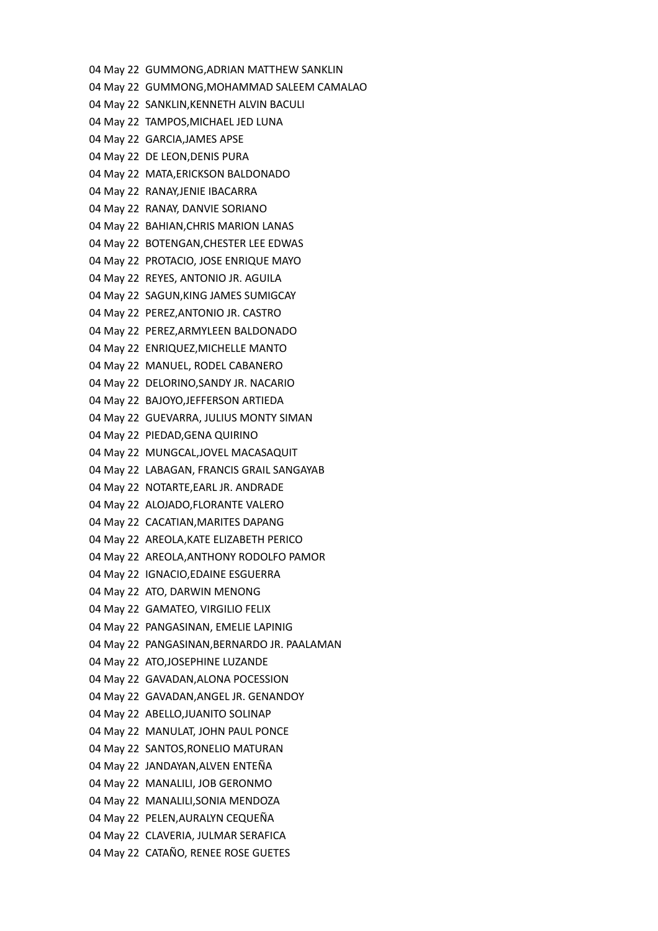04 May 22 GUMMONG,ADRIAN MATTHEW SANKLIN 04 May 22 GUMMONG,MOHAMMAD SALEEM CAMALAO 04 May 22 SANKLIN,KENNETH ALVIN BACULI 04 May 22 TAMPOS,MICHAEL JED LUNA 04 May 22 GARCIA,JAMES APSE 04 May 22 DE LEON,DENIS PURA 04 May 22 MATA,ERICKSON BALDONADO 04 May 22 RANAY,JENIE IBACARRA 04 May 22 RANAY, DANVIE SORIANO 04 May 22 BAHIAN,CHRIS MARION LANAS 04 May 22 BOTENGAN,CHESTER LEE EDWAS 04 May 22 PROTACIO, JOSE ENRIQUE MAYO 04 May 22 REYES, ANTONIO JR. AGUILA 04 May 22 SAGUN,KING JAMES SUMIGCAY 04 May 22 PEREZ,ANTONIO JR. CASTRO 04 May 22 PEREZ,ARMYLEEN BALDONADO 04 May 22 ENRIQUEZ,MICHELLE MANTO 04 May 22 MANUEL, RODEL CABANERO 04 May 22 DELORINO,SANDY JR. NACARIO 04 May 22 BAJOYO,JEFFERSON ARTIEDA 04 May 22 GUEVARRA, JULIUS MONTY SIMAN 04 May 22 PIEDAD,GENA QUIRINO 04 May 22 MUNGCAL,JOVEL MACASAQUIT 04 May 22 LABAGAN, FRANCIS GRAIL SANGAYAB 04 May 22 NOTARTE,EARL JR. ANDRADE 04 May 22 ALOJADO,FLORANTE VALERO 04 May 22 CACATIAN,MARITES DAPANG 04 May 22 AREOLA,KATE ELIZABETH PERICO 04 May 22 AREOLA,ANTHONY RODOLFO PAMOR 04 May 22 IGNACIO,EDAINE ESGUERRA 04 May 22 ATO, DARWIN MENONG 04 May 22 GAMATEO, VIRGILIO FELIX 04 May 22 PANGASINAN, EMELIE LAPINIG 04 May 22 PANGASINAN,BERNARDO JR. PAALAMAN 04 May 22 ATO,JOSEPHINE LUZANDE 04 May 22 GAVADAN,ALONA POCESSION 04 May 22 GAVADAN,ANGEL JR. GENANDOY 04 May 22 ABELLO,JUANITO SOLINAP 04 May 22 MANULAT, JOHN PAUL PONCE 04 May 22 SANTOS,RONELIO MATURAN 04 May 22 JANDAYAN,ALVEN ENTEÑA 04 May 22 MANALILI, JOB GERONMO 04 May 22 MANALILI,SONIA MENDOZA 04 May 22 PELEN,AURALYN CEQUEÑA 04 May 22 CLAVERIA, JULMAR SERAFICA 04 May 22 CATAÑO, RENEE ROSE GUETES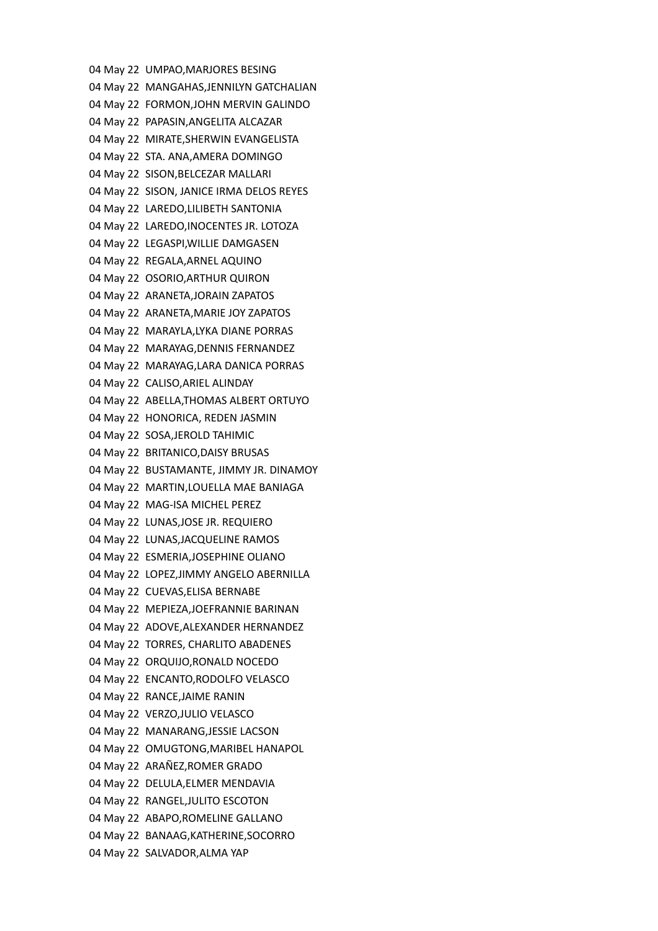04 May 22 UMPAO,MARJORES BESING 04 May 22 MANGAHAS,JENNILYN GATCHALIAN 04 May 22 FORMON,JOHN MERVIN GALINDO 04 May 22 PAPASIN,ANGELITA ALCAZAR 04 May 22 MIRATE,SHERWIN EVANGELISTA 04 May 22 STA. ANA,AMERA DOMINGO 04 May 22 SISON,BELCEZAR MALLARI 04 May 22 SISON, JANICE IRMA DELOS REYES 04 May 22 LAREDO,LILIBETH SANTONIA 04 May 22 LAREDO,INOCENTES JR. LOTOZA 04 May 22 LEGASPI,WILLIE DAMGASEN 04 May 22 REGALA,ARNEL AQUINO 04 May 22 OSORIO,ARTHUR QUIRON 04 May 22 ARANETA,JORAIN ZAPATOS 04 May 22 ARANETA,MARIE JOY ZAPATOS 04 May 22 MARAYLA,LYKA DIANE PORRAS 04 May 22 MARAYAG,DENNIS FERNANDEZ 04 May 22 MARAYAG,LARA DANICA PORRAS 04 May 22 CALISO,ARIEL ALINDAY 04 May 22 ABELLA,THOMAS ALBERT ORTUYO 04 May 22 HONORICA, REDEN JASMIN 04 May 22 SOSA,JEROLD TAHIMIC 04 May 22 BRITANICO,DAISY BRUSAS 04 May 22 BUSTAMANTE, JIMMY JR. DINAMOY 04 May 22 MARTIN,LOUELLA MAE BANIAGA 04 May 22 MAG-ISA MICHEL PEREZ 04 May 22 LUNAS,JOSE JR. REQUIERO 04 May 22 LUNAS,JACQUELINE RAMOS 04 May 22 ESMERIA,JOSEPHINE OLIANO 04 May 22 LOPEZ,JIMMY ANGELO ABERNILLA 04 May 22 CUEVAS,ELISA BERNABE 04 May 22 MEPIEZA,JOEFRANNIE BARINAN 04 May 22 ADOVE,ALEXANDER HERNANDEZ 04 May 22 TORRES, CHARLITO ABADENES 04 May 22 ORQUIJO,RONALD NOCEDO 04 May 22 ENCANTO,RODOLFO VELASCO 04 May 22 RANCE,JAIME RANIN 04 May 22 VERZO,JULIO VELASCO 04 May 22 MANARANG,JESSIE LACSON 04 May 22 OMUGTONG,MARIBEL HANAPOL 04 May 22 ARAÑEZ,ROMER GRADO 04 May 22 DELULA,ELMER MENDAVIA 04 May 22 RANGEL,JULITO ESCOTON 04 May 22 ABAPO,ROMELINE GALLANO 04 May 22 BANAAG,KATHERINE,SOCORRO 04 May 22 SALVADOR,ALMA YAP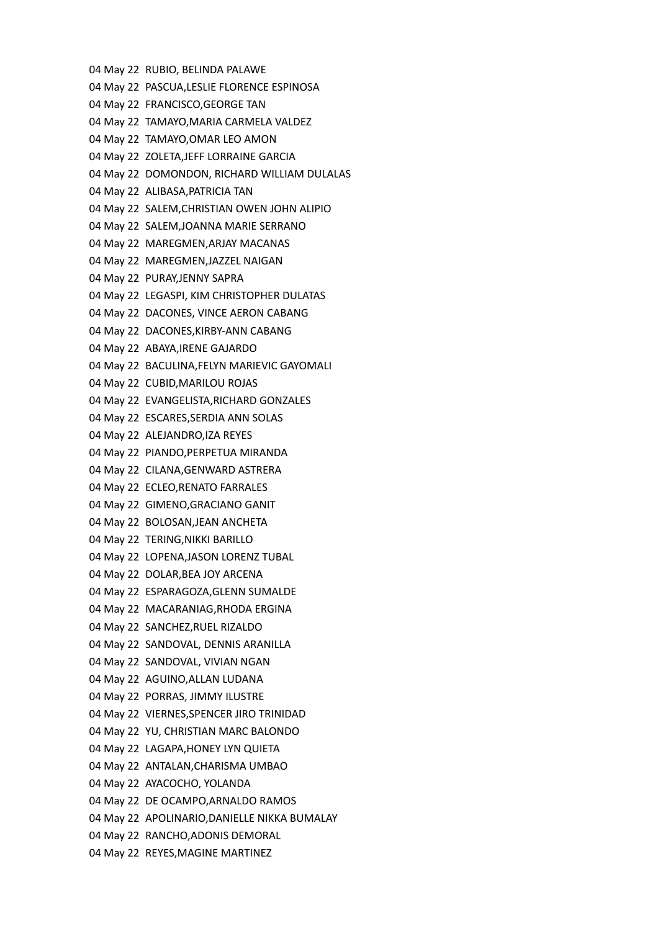04 May 22 RUBIO, BELINDA PALAWE 04 May 22 PASCUA,LESLIE FLORENCE ESPINOSA 04 May 22 FRANCISCO,GEORGE TAN 04 May 22 TAMAYO,MARIA CARMELA VALDEZ 04 May 22 TAMAYO,OMAR LEO AMON 04 May 22 ZOLETA,JEFF LORRAINE GARCIA 04 May 22 DOMONDON, RICHARD WILLIAM DULALAS 04 May 22 ALIBASA,PATRICIA TAN 04 May 22 SALEM,CHRISTIAN OWEN JOHN ALIPIO 04 May 22 SALEM,JOANNA MARIE SERRANO 04 May 22 MAREGMEN,ARJAY MACANAS 04 May 22 MAREGMEN,JAZZEL NAIGAN 04 May 22 PURAY,JENNY SAPRA 04 May 22 LEGASPI, KIM CHRISTOPHER DULATAS 04 May 22 DACONES, VINCE AERON CABANG 04 May 22 DACONES,KIRBY-ANN CABANG 04 May 22 ABAYA,IRENE GAJARDO 04 May 22 BACULINA,FELYN MARIEVIC GAYOMALI 04 May 22 CUBID,MARILOU ROJAS 04 May 22 EVANGELISTA,RICHARD GONZALES 04 May 22 ESCARES,SERDIA ANN SOLAS 04 May 22 ALEJANDRO,IZA REYES 04 May 22 PIANDO,PERPETUA MIRANDA 04 May 22 CILANA,GENWARD ASTRERA 04 May 22 ECLEO,RENATO FARRALES 04 May 22 GIMENO,GRACIANO GANIT 04 May 22 BOLOSAN,JEAN ANCHETA 04 May 22 TERING,NIKKI BARILLO 04 May 22 LOPENA,JASON LORENZ TUBAL 04 May 22 DOLAR,BEA JOY ARCENA 04 May 22 ESPARAGOZA,GLENN SUMALDE 04 May 22 MACARANIAG,RHODA ERGINA 04 May 22 SANCHEZ,RUEL RIZALDO 04 May 22 SANDOVAL, DENNIS ARANILLA 04 May 22 SANDOVAL, VIVIAN NGAN 04 May 22 AGUINO,ALLAN LUDANA 04 May 22 PORRAS, JIMMY ILUSTRE 04 May 22 VIERNES,SPENCER JIRO TRINIDAD 04 May 22 YU, CHRISTIAN MARC BALONDO 04 May 22 LAGAPA,HONEY LYN QUIETA 04 May 22 ANTALAN,CHARISMA UMBAO 04 May 22 AYACOCHO, YOLANDA 04 May 22 DE OCAMPO,ARNALDO RAMOS 04 May 22 APOLINARIO,DANIELLE NIKKA BUMALAY 04 May 22 RANCHO,ADONIS DEMORAL 04 May 22 REYES,MAGINE MARTINEZ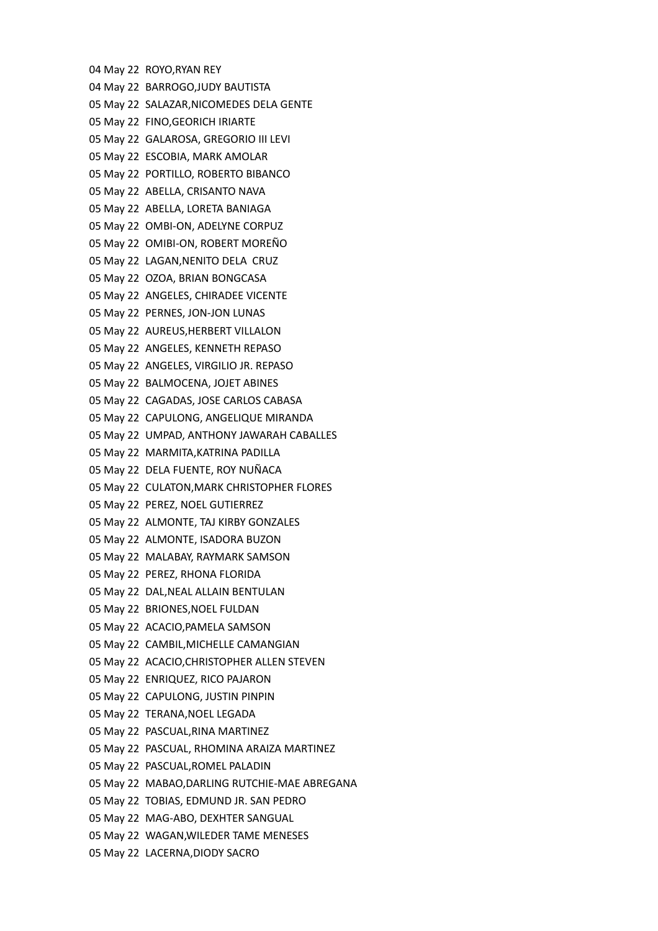04 May 22 ROYO,RYAN REY 04 May 22 BARROGO,JUDY BAUTISTA 05 May 22 SALAZAR,NICOMEDES DELA GENTE 05 May 22 FINO,GEORICH IRIARTE 05 May 22 GALAROSA, GREGORIO III LEVI 05 May 22 ESCOBIA, MARK AMOLAR 05 May 22 PORTILLO, ROBERTO BIBANCO 05 May 22 ABELLA, CRISANTO NAVA 05 May 22 ABELLA, LORETA BANIAGA 05 May 22 OMBI-ON, ADELYNE CORPUZ 05 May 22 OMIBI-ON, ROBERT MOREÑO 05 May 22 LAGAN,NENITO DELA CRUZ 05 May 22 OZOA, BRIAN BONGCASA 05 May 22 ANGELES, CHIRADEE VICENTE 05 May 22 PERNES, JON-JON LUNAS 05 May 22 AUREUS,HERBERT VILLALON 05 May 22 ANGELES, KENNETH REPASO 05 May 22 ANGELES, VIRGILIO JR. REPASO 05 May 22 BALMOCENA, JOJET ABINES 05 May 22 CAGADAS, JOSE CARLOS CABASA 05 May 22 CAPULONG, ANGELIQUE MIRANDA 05 May 22 UMPAD, ANTHONY JAWARAH CABALLES 05 May 22 MARMITA,KATRINA PADILLA 05 May 22 DELA FUENTE, ROY NUÑACA 05 May 22 CULATON,MARK CHRISTOPHER FLORES 05 May 22 PEREZ, NOEL GUTIERREZ 05 May 22 ALMONTE, TAJ KIRBY GONZALES 05 May 22 ALMONTE, ISADORA BUZON 05 May 22 MALABAY, RAYMARK SAMSON 05 May 22 PEREZ, RHONA FLORIDA 05 May 22 DAL,NEAL ALLAIN BENTULAN 05 May 22 BRIONES,NOEL FULDAN 05 May 22 ACACIO,PAMELA SAMSON 05 May 22 CAMBIL,MICHELLE CAMANGIAN 05 May 22 ACACIO,CHRISTOPHER ALLEN STEVEN 05 May 22 ENRIQUEZ, RICO PAJARON 05 May 22 CAPULONG, JUSTIN PINPIN 05 May 22 TERANA,NOEL LEGADA 05 May 22 PASCUAL,RINA MARTINEZ 05 May 22 PASCUAL, RHOMINA ARAIZA MARTINEZ 05 May 22 PASCUAL,ROMEL PALADIN 05 May 22 MABAO,DARLING RUTCHIE-MAE ABREGANA 05 May 22 TOBIAS, EDMUND JR. SAN PEDRO 05 May 22 MAG-ABO, DEXHTER SANGUAL 05 May 22 WAGAN,WILEDER TAME MENESES 05 May 22 LACERNA,DIODY SACRO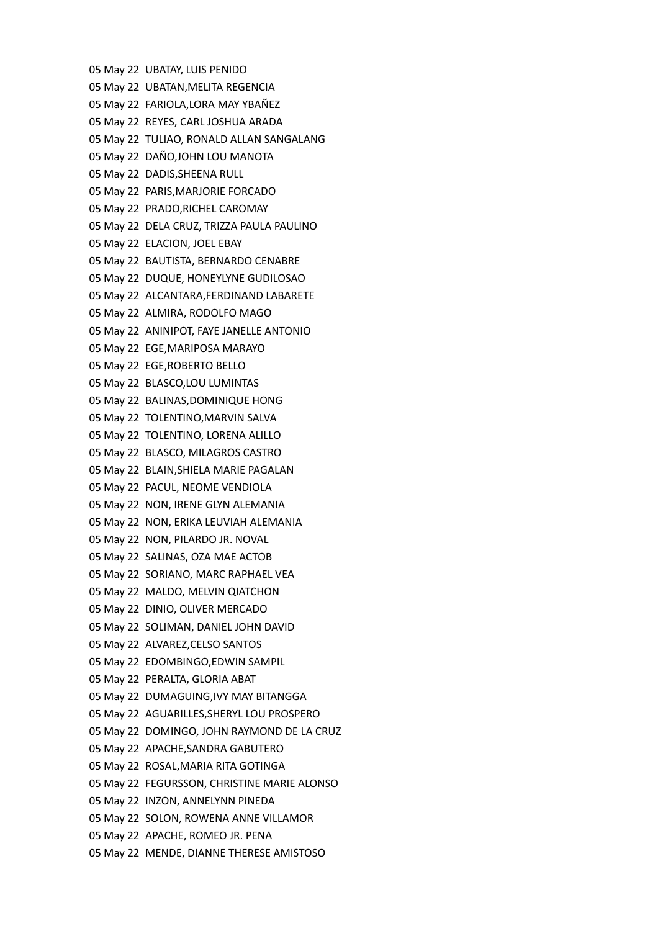05 May 22 UBATAY, LUIS PENIDO 05 May 22 UBATAN,MELITA REGENCIA 05 May 22 FARIOLA,LORA MAY YBAÑEZ 05 May 22 REYES, CARL JOSHUA ARADA 05 May 22 TULIAO, RONALD ALLAN SANGALANG 05 May 22 DAÑO,JOHN LOU MANOTA 05 May 22 DADIS,SHEENA RULL 05 May 22 PARIS,MARJORIE FORCADO 05 May 22 PRADO,RICHEL CAROMAY 05 May 22 DELA CRUZ, TRIZZA PAULA PAULINO 05 May 22 ELACION, JOEL EBAY 05 May 22 BAUTISTA, BERNARDO CENABRE 05 May 22 DUQUE, HONEYLYNE GUDILOSAO 05 May 22 ALCANTARA,FERDINAND LABARETE 05 May 22 ALMIRA, RODOLFO MAGO 05 May 22 ANINIPOT, FAYE JANELLE ANTONIO 05 May 22 EGE,MARIPOSA MARAYO 05 May 22 EGE,ROBERTO BELLO 05 May 22 BLASCO,LOU LUMINTAS 05 May 22 BALINAS,DOMINIQUE HONG 05 May 22 TOLENTINO,MARVIN SALVA 05 May 22 TOLENTINO, LORENA ALILLO 05 May 22 BLASCO, MILAGROS CASTRO 05 May 22 BLAIN,SHIELA MARIE PAGALAN 05 May 22 PACUL, NEOME VENDIOLA 05 May 22 NON, IRENE GLYN ALEMANIA 05 May 22 NON, ERIKA LEUVIAH ALEMANIA 05 May 22 NON, PILARDO JR. NOVAL 05 May 22 SALINAS, OZA MAE ACTOB 05 May 22 SORIANO, MARC RAPHAEL VEA 05 May 22 MALDO, MELVIN QIATCHON 05 May 22 DINIO, OLIVER MERCADO 05 May 22 SOLIMAN, DANIEL JOHN DAVID 05 May 22 ALVAREZ,CELSO SANTOS 05 May 22 EDOMBINGO,EDWIN SAMPIL 05 May 22 PERALTA, GLORIA ABAT 05 May 22 DUMAGUING,IVY MAY BITANGGA 05 May 22 AGUARILLES,SHERYL LOU PROSPERO 05 May 22 DOMINGO, JOHN RAYMOND DE LA CRUZ 05 May 22 APACHE,SANDRA GABUTERO 05 May 22 ROSAL,MARIA RITA GOTINGA 05 May 22 FEGURSSON, CHRISTINE MARIE ALONSO 05 May 22 INZON, ANNELYNN PINEDA 05 May 22 SOLON, ROWENA ANNE VILLAMOR 05 May 22 APACHE, ROMEO JR. PENA 05 May 22 MENDE, DIANNE THERESE AMISTOSO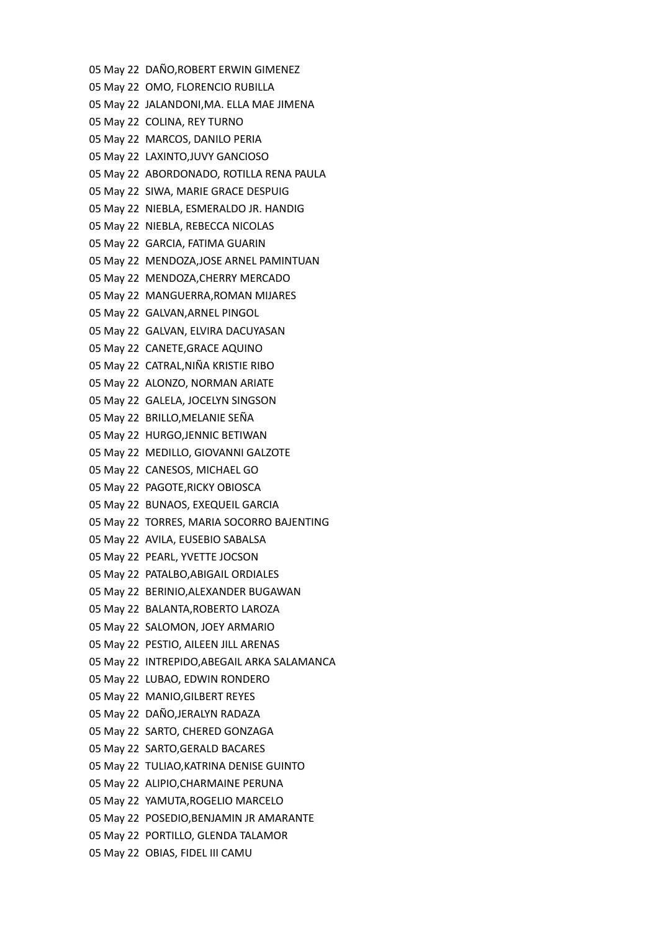05 May 22 DAÑO,ROBERT ERWIN GIMENEZ 05 May 22 OMO, FLORENCIO RUBILLA 05 May 22 JALANDONI,MA. ELLA MAE JIMENA 05 May 22 COLINA, REY TURNO 05 May 22 MARCOS, DANILO PERIA 05 May 22 LAXINTO,JUVY GANCIOSO 05 May 22 ABORDONADO, ROTILLA RENA PAULA 05 May 22 SIWA, MARIE GRACE DESPUIG 05 May 22 NIEBLA, ESMERALDO JR. HANDIG 05 May 22 NIEBLA, REBECCA NICOLAS 05 May 22 GARCIA, FATIMA GUARIN 05 May 22 MENDOZA,JOSE ARNEL PAMINTUAN 05 May 22 MENDOZA,CHERRY MERCADO 05 May 22 MANGUERRA,ROMAN MIJARES 05 May 22 GALVAN,ARNEL PINGOL 05 May 22 GALVAN, ELVIRA DACUYASAN 05 May 22 CANETE,GRACE AQUINO 05 May 22 CATRAL,NIÑA KRISTIE RIBO 05 May 22 ALONZO, NORMAN ARIATE 05 May 22 GALELA, JOCELYN SINGSON 05 May 22 BRILLO,MELANIE SEÑA 05 May 22 HURGO,JENNIC BETIWAN 05 May 22 MEDILLO, GIOVANNI GALZOTE 05 May 22 CANESOS, MICHAEL GO 05 May 22 PAGOTE,RICKY OBIOSCA 05 May 22 BUNAOS, EXEQUEIL GARCIA 05 May 22 TORRES, MARIA SOCORRO BAJENTING 05 May 22 AVILA, EUSEBIO SABALSA 05 May 22 PEARL, YVETTE JOCSON 05 May 22 PATALBO,ABIGAIL ORDIALES 05 May 22 BERINIO,ALEXANDER BUGAWAN 05 May 22 BALANTA,ROBERTO LAROZA 05 May 22 SALOMON, JOEY ARMARIO 05 May 22 PESTIO, AILEEN JILL ARENAS 05 May 22 INTREPIDO,ABEGAIL ARKA SALAMANCA 05 May 22 LUBAO, EDWIN RONDERO 05 May 22 MANIO,GILBERT REYES 05 May 22 DAÑO,JERALYN RADAZA 05 May 22 SARTO, CHERED GONZAGA 05 May 22 SARTO,GERALD BACARES 05 May 22 TULIAO,KATRINA DENISE GUINTO 05 May 22 ALIPIO,CHARMAINE PERUNA 05 May 22 YAMUTA,ROGELIO MARCELO 05 May 22 POSEDIO,BENJAMIN JR AMARANTE 05 May 22 PORTILLO, GLENDA TALAMOR 05 May 22 OBIAS, FIDEL III CAMU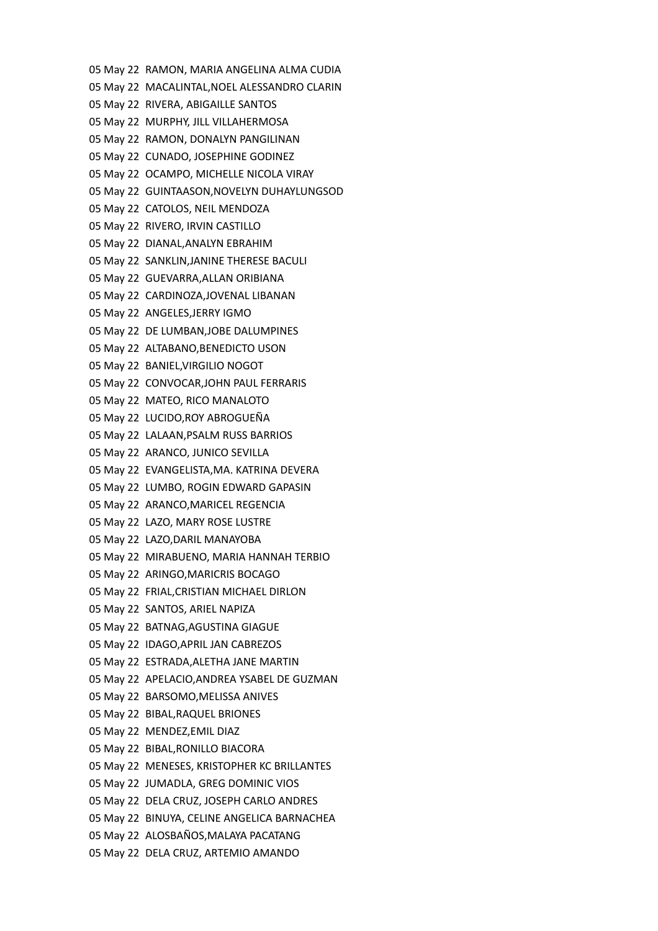05 May 22 RAMON, MARIA ANGELINA ALMA CUDIA 05 May 22 MACALINTAL,NOEL ALESSANDRO CLARIN 05 May 22 RIVERA, ABIGAILLE SANTOS 05 May 22 MURPHY, JILL VILLAHERMOSA 05 May 22 RAMON, DONALYN PANGILINAN 05 May 22 CUNADO, JOSEPHINE GODINEZ 05 May 22 OCAMPO, MICHELLE NICOLA VIRAY 05 May 22 GUINTAASON,NOVELYN DUHAYLUNGSOD 05 May 22 CATOLOS, NEIL MENDOZA 05 May 22 RIVERO, IRVIN CASTILLO 05 May 22 DIANAL,ANALYN EBRAHIM 05 May 22 SANKLIN,JANINE THERESE BACULI 05 May 22 GUEVARRA,ALLAN ORIBIANA 05 May 22 CARDINOZA,JOVENAL LIBANAN 05 May 22 ANGELES,JERRY IGMO 05 May 22 DE LUMBAN,JOBE DALUMPINES 05 May 22 ALTABANO,BENEDICTO USON 05 May 22 BANIEL,VIRGILIO NOGOT 05 May 22 CONVOCAR,JOHN PAUL FERRARIS 05 May 22 MATEO, RICO MANALOTO 05 May 22 LUCIDO,ROY ABROGUEÑA 05 May 22 LALAAN,PSALM RUSS BARRIOS 05 May 22 ARANCO, JUNICO SEVILLA 05 May 22 EVANGELISTA,MA. KATRINA DEVERA 05 May 22 LUMBO, ROGIN EDWARD GAPASIN 05 May 22 ARANCO,MARICEL REGENCIA 05 May 22 LAZO, MARY ROSE LUSTRE 05 May 22 LAZO,DARIL MANAYOBA 05 May 22 MIRABUENO, MARIA HANNAH TERBIO 05 May 22 ARINGO,MARICRIS BOCAGO 05 May 22 FRIAL,CRISTIAN MICHAEL DIRLON 05 May 22 SANTOS, ARIEL NAPIZA 05 May 22 BATNAG,AGUSTINA GIAGUE 05 May 22 IDAGO,APRIL JAN CABREZOS 05 May 22 ESTRADA,ALETHA JANE MARTIN 05 May 22 APELACIO,ANDREA YSABEL DE GUZMAN 05 May 22 BARSOMO,MELISSA ANIVES 05 May 22 BIBAL,RAQUEL BRIONES 05 May 22 MENDEZ,EMIL DIAZ 05 May 22 BIBAL,RONILLO BIACORA 05 May 22 MENESES, KRISTOPHER KC BRILLANTES 05 May 22 JUMADLA, GREG DOMINIC VIOS 05 May 22 DELA CRUZ, JOSEPH CARLO ANDRES 05 May 22 BINUYA, CELINE ANGELICA BARNACHEA 05 May 22 ALOSBAÑOS,MALAYA PACATANG 05 May 22 DELA CRUZ, ARTEMIO AMANDO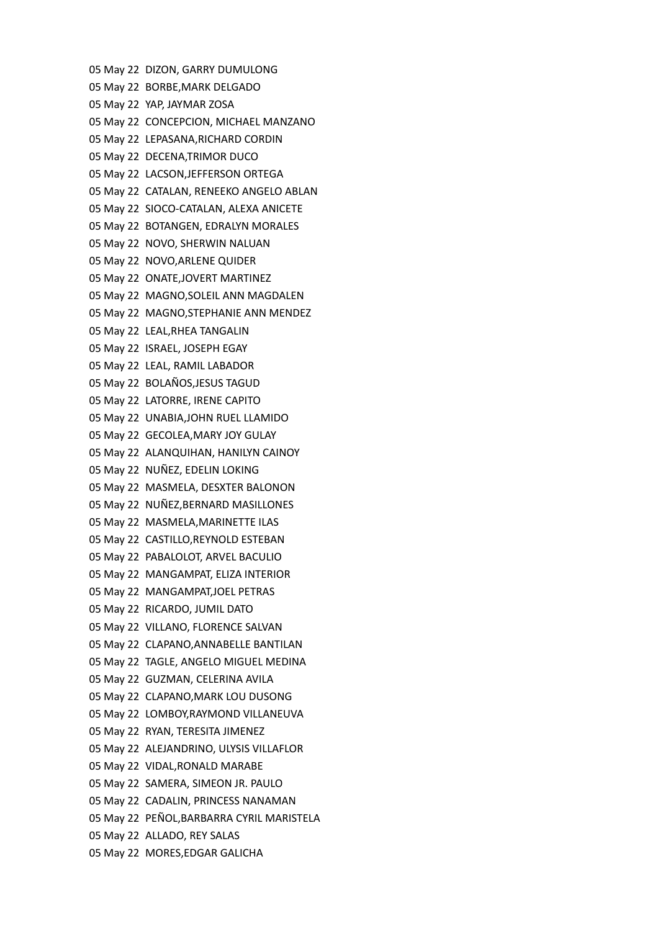05 May 22 DIZON, GARRY DUMULONG 05 May 22 BORBE,MARK DELGADO 05 May 22 YAP, JAYMAR ZOSA 05 May 22 CONCEPCION, MICHAEL MANZANO 05 May 22 LEPASANA,RICHARD CORDIN 05 May 22 DECENA,TRIMOR DUCO 05 May 22 LACSON,JEFFERSON ORTEGA 05 May 22 CATALAN, RENEEKO ANGELO ABLAN 05 May 22 SIOCO-CATALAN, ALEXA ANICETE 05 May 22 BOTANGEN, EDRALYN MORALES 05 May 22 NOVO, SHERWIN NALUAN 05 May 22 NOVO,ARLENE QUIDER 05 May 22 ONATE,JOVERT MARTINEZ 05 May 22 MAGNO,SOLEIL ANN MAGDALEN 05 May 22 MAGNO,STEPHANIE ANN MENDEZ 05 May 22 LEAL,RHEA TANGALIN 05 May 22 ISRAEL, JOSEPH EGAY 05 May 22 LEAL, RAMIL LABADOR 05 May 22 BOLAÑOS,JESUS TAGUD 05 May 22 LATORRE, IRENE CAPITO 05 May 22 UNABIA,JOHN RUEL LLAMIDO 05 May 22 GECOLEA,MARY JOY GULAY 05 May 22 ALANQUIHAN, HANILYN CAINOY 05 May 22 NUÑEZ, EDELIN LOKING 05 May 22 MASMELA, DESXTER BALONON 05 May 22 NUÑEZ,BERNARD MASILLONES 05 May 22 MASMELA,MARINETTE ILAS 05 May 22 CASTILLO,REYNOLD ESTEBAN 05 May 22 PABALOLOT, ARVEL BACULIO 05 May 22 MANGAMPAT, ELIZA INTERIOR 05 May 22 MANGAMPAT,JOEL PETRAS 05 May 22 RICARDO, JUMIL DATO 05 May 22 VILLANO, FLORENCE SALVAN 05 May 22 CLAPANO,ANNABELLE BANTILAN 05 May 22 TAGLE, ANGELO MIGUEL MEDINA 05 May 22 GUZMAN, CELERINA AVILA 05 May 22 CLAPANO,MARK LOU DUSONG 05 May 22 LOMBOY,RAYMOND VILLANEUVA 05 May 22 RYAN, TERESITA JIMENEZ 05 May 22 ALEJANDRINO, ULYSIS VILLAFLOR 05 May 22 VIDAL,RONALD MARABE 05 May 22 SAMERA, SIMEON JR. PAULO 05 May 22 CADALIN, PRINCESS NANAMAN 05 May 22 PEÑOL,BARBARRA CYRIL MARISTELA 05 May 22 ALLADO, REY SALAS 05 May 22 MORES,EDGAR GALICHA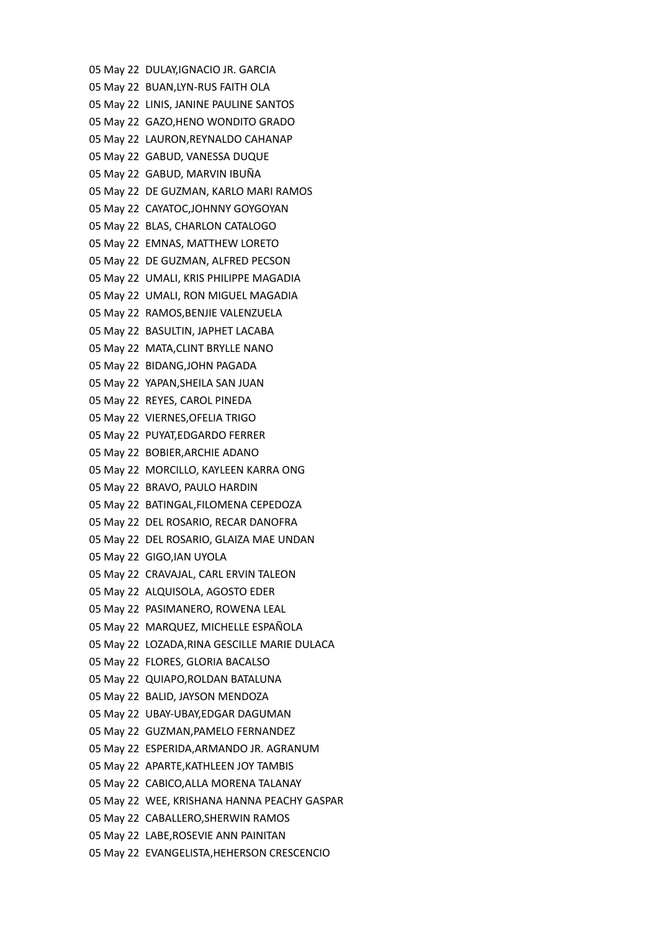05 May 22 DULAY,IGNACIO JR. GARCIA 05 May 22 BUAN,LYN-RUS FAITH OLA 05 May 22 LINIS, JANINE PAULINE SANTOS 05 May 22 GAZO,HENO WONDITO GRADO 05 May 22 LAURON,REYNALDO CAHANAP 05 May 22 GABUD, VANESSA DUQUE 05 May 22 GABUD, MARVIN IBUÑA 05 May 22 DE GUZMAN, KARLO MARI RAMOS 05 May 22 CAYATOC,JOHNNY GOYGOYAN 05 May 22 BLAS, CHARLON CATALOGO 05 May 22 EMNAS, MATTHEW LORETO 05 May 22 DE GUZMAN, ALFRED PECSON 05 May 22 UMALI, KRIS PHILIPPE MAGADIA 05 May 22 UMALI, RON MIGUEL MAGADIA 05 May 22 RAMOS,BENJIE VALENZUELA 05 May 22 BASULTIN, JAPHET LACABA 05 May 22 MATA,CLINT BRYLLE NANO 05 May 22 BIDANG,JOHN PAGADA 05 May 22 YAPAN,SHEILA SAN JUAN 05 May 22 REYES, CAROL PINEDA 05 May 22 VIERNES,OFELIA TRIGO 05 May 22 PUYAT,EDGARDO FERRER 05 May 22 BOBIER,ARCHIE ADANO 05 May 22 MORCILLO, KAYLEEN KARRA ONG 05 May 22 BRAVO, PAULO HARDIN 05 May 22 BATINGAL,FILOMENA CEPEDOZA 05 May 22 DEL ROSARIO, RECAR DANOFRA 05 May 22 DEL ROSARIO, GLAIZA MAE UNDAN 05 May 22 GIGO,IAN UYOLA 05 May 22 CRAVAJAL, CARL ERVIN TALEON 05 May 22 ALQUISOLA, AGOSTO EDER 05 May 22 PASIMANERO, ROWENA LEAL 05 May 22 MARQUEZ, MICHELLE ESPAÑOLA 05 May 22 LOZADA,RINA GESCILLE MARIE DULACA 05 May 22 FLORES, GLORIA BACALSO 05 May 22 QUIAPO,ROLDAN BATALUNA 05 May 22 BALID, JAYSON MENDOZA 05 May 22 UBAY-UBAY,EDGAR DAGUMAN 05 May 22 GUZMAN,PAMELO FERNANDEZ 05 May 22 ESPERIDA,ARMANDO JR. AGRANUM 05 May 22 APARTE,KATHLEEN JOY TAMBIS 05 May 22 CABICO,ALLA MORENA TALANAY 05 May 22 WEE, KRISHANA HANNA PEACHY GASPAR 05 May 22 CABALLERO,SHERWIN RAMOS 05 May 22 LABE,ROSEVIE ANN PAINITAN 05 May 22 EVANGELISTA,HEHERSON CRESCENCIO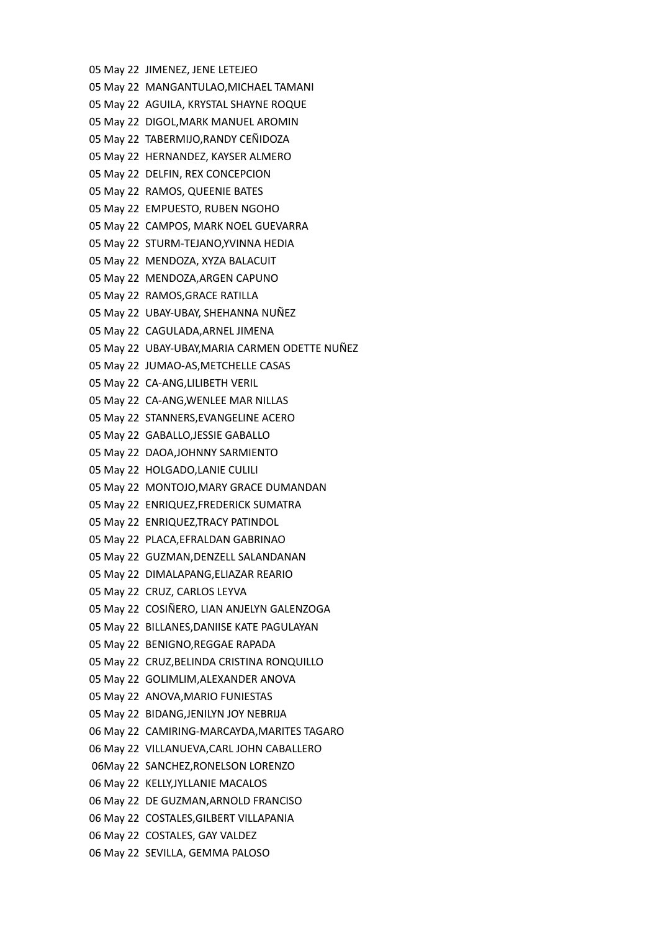05 May 22 JIMENEZ, JENE LETEJEO 05 May 22 MANGANTULAO,MICHAEL TAMANI 05 May 22 AGUILA, KRYSTAL SHAYNE ROQUE 05 May 22 DIGOL,MARK MANUEL AROMIN 05 May 22 TABERMIJO,RANDY CEÑIDOZA 05 May 22 HERNANDEZ, KAYSER ALMERO 05 May 22 DELFIN, REX CONCEPCION 05 May 22 RAMOS, QUEENIE BATES 05 May 22 EMPUESTO, RUBEN NGOHO 05 May 22 CAMPOS, MARK NOEL GUEVARRA 05 May 22 STURM-TEJANO,YVINNA HEDIA 05 May 22 MENDOZA, XYZA BALACUIT 05 May 22 MENDOZA,ARGEN CAPUNO 05 May 22 RAMOS,GRACE RATILLA 05 May 22 UBAY-UBAY, SHEHANNA NUÑEZ 05 May 22 CAGULADA,ARNEL JIMENA 05 May 22 UBAY-UBAY,MARIA CARMEN ODETTE NUÑEZ 05 May 22 JUMAO-AS,METCHELLE CASAS 05 May 22 CA-ANG,LILIBETH VERIL 05 May 22 CA-ANG,WENLEE MAR NILLAS 05 May 22 STANNERS,EVANGELINE ACERO 05 May 22 GABALLO,JESSIE GABALLO 05 May 22 DAOA,JOHNNY SARMIENTO 05 May 22 HOLGADO,LANIE CULILI 05 May 22 MONTOJO,MARY GRACE DUMANDAN 05 May 22 ENRIQUEZ,FREDERICK SUMATRA 05 May 22 ENRIQUEZ,TRACY PATINDOL 05 May 22 PLACA,EFRALDAN GABRINAO 05 May 22 GUZMAN,DENZELL SALANDANAN 05 May 22 DIMALAPANG,ELIAZAR REARIO 05 May 22 CRUZ, CARLOS LEYVA 05 May 22 COSIÑERO, LIAN ANJELYN GALENZOGA 05 May 22 BILLANES,DANIISE KATE PAGULAYAN 05 May 22 BENIGNO,REGGAE RAPADA 05 May 22 CRUZ,BELINDA CRISTINA RONQUILLO 05 May 22 GOLIMLIM,ALEXANDER ANOVA 05 May 22 ANOVA,MARIO FUNIESTAS 05 May 22 BIDANG,JENILYN JOY NEBRIJA 06 May 22 CAMIRING-MARCAYDA,MARITES TAGARO 06 May 22 VILLANUEVA,CARL JOHN CABALLERO 06May 22 SANCHEZ,RONELSON LORENZO 06 May 22 KELLY,JYLLANIE MACALOS 06 May 22 DE GUZMAN,ARNOLD FRANCISO 06 May 22 COSTALES,GILBERT VILLAPANIA 06 May 22 COSTALES, GAY VALDEZ 06 May 22 SEVILLA, GEMMA PALOSO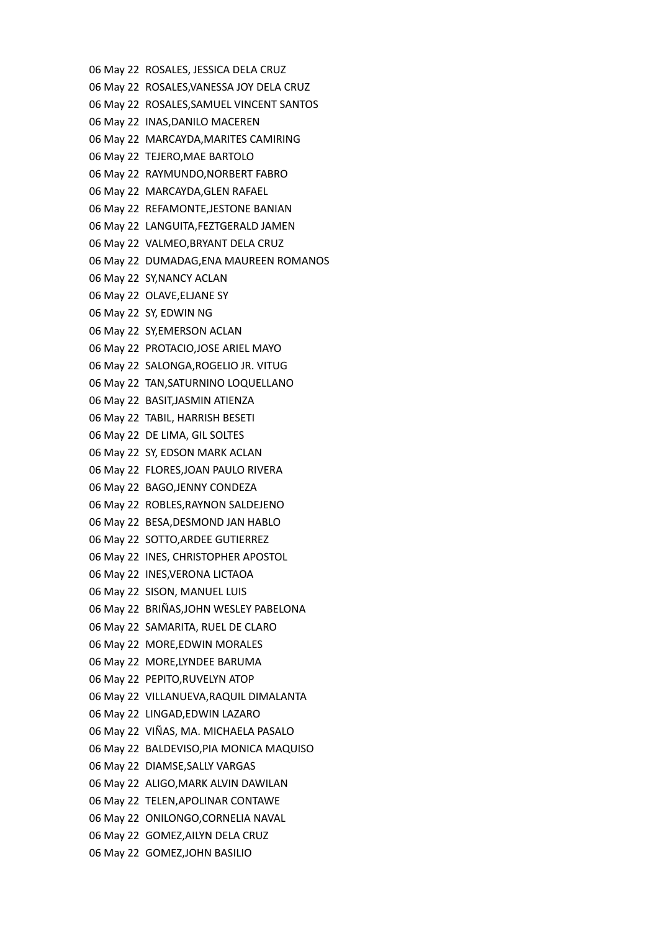06 May 22 ROSALES, JESSICA DELA CRUZ 06 May 22 ROSALES,VANESSA JOY DELA CRUZ 06 May 22 ROSALES,SAMUEL VINCENT SANTOS 06 May 22 INAS,DANILO MACEREN 06 May 22 MARCAYDA,MARITES CAMIRING 06 May 22 TEJERO,MAE BARTOLO 06 May 22 RAYMUNDO,NORBERT FABRO 06 May 22 MARCAYDA,GLEN RAFAEL 06 May 22 REFAMONTE,JESTONE BANIAN 06 May 22 LANGUITA,FEZTGERALD JAMEN 06 May 22 VALMEO,BRYANT DELA CRUZ 06 May 22 DUMADAG,ENA MAUREEN ROMANOS 06 May 22 SY,NANCY ACLAN 06 May 22 OLAVE,ELJANE SY 06 May 22 SY, EDWIN NG 06 May 22 SY,EMERSON ACLAN 06 May 22 PROTACIO,JOSE ARIEL MAYO 06 May 22 SALONGA,ROGELIO JR. VITUG 06 May 22 TAN,SATURNINO LOQUELLANO 06 May 22 BASIT,JASMIN ATIENZA 06 May 22 TABIL, HARRISH BESETI 06 May 22 DE LIMA, GIL SOLTES 06 May 22 SY, EDSON MARK ACLAN 06 May 22 FLORES,JOAN PAULO RIVERA 06 May 22 BAGO,JENNY CONDEZA 06 May 22 ROBLES,RAYNON SALDEJENO 06 May 22 BESA,DESMOND JAN HABLO 06 May 22 SOTTO,ARDEE GUTIERREZ 06 May 22 INES, CHRISTOPHER APOSTOL 06 May 22 INES,VERONA LICTAOA 06 May 22 SISON, MANUEL LUIS 06 May 22 BRIÑAS,JOHN WESLEY PABELONA 06 May 22 SAMARITA, RUEL DE CLARO 06 May 22 MORE,EDWIN MORALES 06 May 22 MORE,LYNDEE BARUMA 06 May 22 PEPITO,RUVELYN ATOP 06 May 22 VILLANUEVA,RAQUIL DIMALANTA 06 May 22 LINGAD,EDWIN LAZARO 06 May 22 VIÑAS, MA. MICHAELA PASALO 06 May 22 BALDEVISO,PIA MONICA MAQUISO 06 May 22 DIAMSE,SALLY VARGAS 06 May 22 ALIGO,MARK ALVIN DAWILAN 06 May 22 TELEN,APOLINAR CONTAWE 06 May 22 ONILONGO,CORNELIA NAVAL 06 May 22 GOMEZ,AILYN DELA CRUZ 06 May 22 GOMEZ,JOHN BASILIO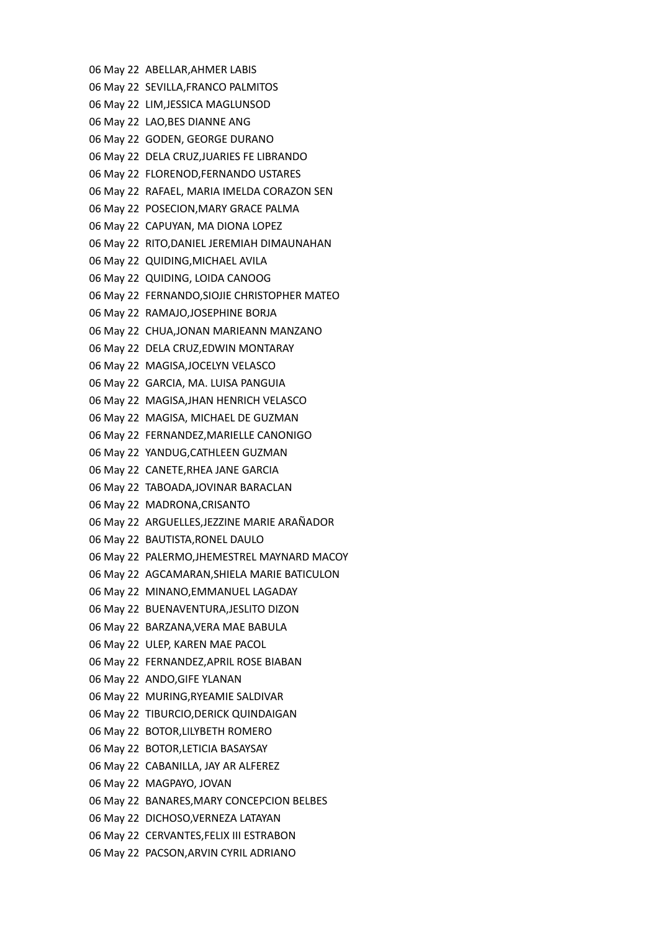06 May 22 ABELLAR,AHMER LABIS 06 May 22 SEVILLA,FRANCO PALMITOS 06 May 22 LIM,JESSICA MAGLUNSOD 06 May 22 LAO,BES DIANNE ANG 06 May 22 GODEN, GEORGE DURANO 06 May 22 DELA CRUZ,JUARIES FE LIBRANDO 06 May 22 FLORENOD,FERNANDO USTARES 06 May 22 RAFAEL, MARIA IMELDA CORAZON SEN 06 May 22 POSECION,MARY GRACE PALMA 06 May 22 CAPUYAN, MA DIONA LOPEZ 06 May 22 RITO,DANIEL JEREMIAH DIMAUNAHAN 06 May 22 QUIDING,MICHAEL AVILA 06 May 22 QUIDING, LOIDA CANOOG 06 May 22 FERNANDO,SIOJIE CHRISTOPHER MATEO 06 May 22 RAMAJO,JOSEPHINE BORJA 06 May 22 CHUA,JONAN MARIEANN MANZANO 06 May 22 DELA CRUZ,EDWIN MONTARAY 06 May 22 MAGISA,JOCELYN VELASCO 06 May 22 GARCIA, MA. LUISA PANGUIA 06 May 22 MAGISA,JHAN HENRICH VELASCO 06 May 22 MAGISA, MICHAEL DE GUZMAN 06 May 22 FERNANDEZ,MARIELLE CANONIGO 06 May 22 YANDUG,CATHLEEN GUZMAN 06 May 22 CANETE,RHEA JANE GARCIA 06 May 22 TABOADA,JOVINAR BARACLAN 06 May 22 MADRONA,CRISANTO 06 May 22 ARGUELLES,JEZZINE MARIE ARAÑADOR 06 May 22 BAUTISTA,RONEL DAULO 06 May 22 PALERMO,JHEMESTREL MAYNARD MACOY 06 May 22 AGCAMARAN,SHIELA MARIE BATICULON 06 May 22 MINANO,EMMANUEL LAGADAY 06 May 22 BUENAVENTURA,JESLITO DIZON 06 May 22 BARZANA,VERA MAE BABULA 06 May 22 ULEP, KAREN MAE PACOL 06 May 22 FERNANDEZ,APRIL ROSE BIABAN 06 May 22 ANDO,GIFE YLANAN 06 May 22 MURING,RYEAMIE SALDIVAR 06 May 22 TIBURCIO,DERICK QUINDAIGAN 06 May 22 BOTOR,LILYBETH ROMERO 06 May 22 BOTOR,LETICIA BASAYSAY 06 May 22 CABANILLA, JAY AR ALFEREZ 06 May 22 MAGPAYO, JOVAN 06 May 22 BANARES,MARY CONCEPCION BELBES 06 May 22 DICHOSO,VERNEZA LATAYAN 06 May 22 CERVANTES,FELIX III ESTRABON 06 May 22 PACSON,ARVIN CYRIL ADRIANO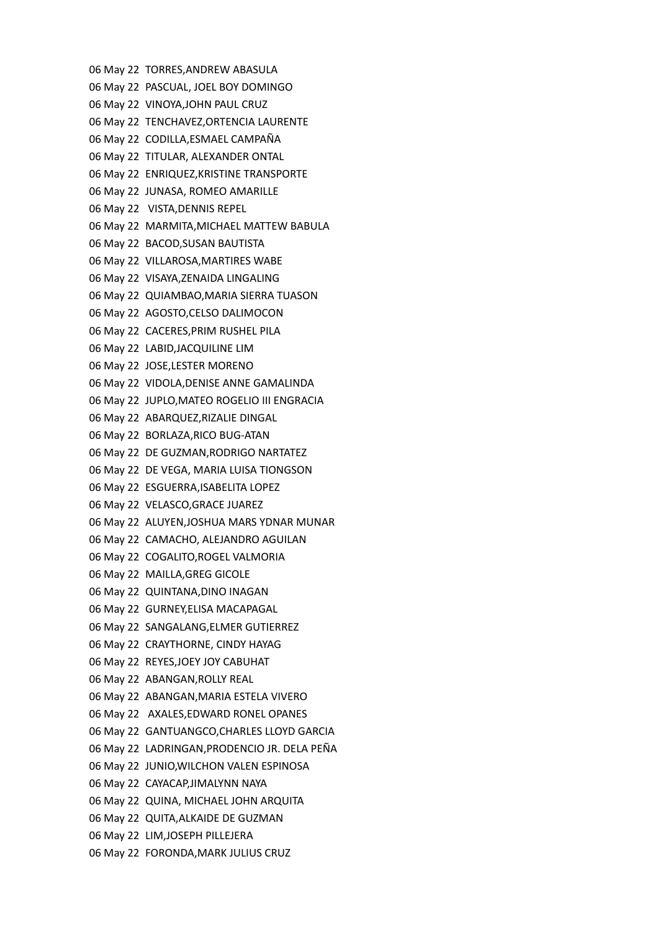06 May 22 TORRES,ANDREW ABASULA 06 May 22 PASCUAL, JOEL BOY DOMINGO 06 May 22 VINOYA,JOHN PAUL CRUZ 06 May 22 TENCHAVEZ,ORTENCIA LAURENTE 06 May 22 CODILLA,ESMAEL CAMPAÑA 06 May 22 TITULAR, ALEXANDER ONTAL 06 May 22 ENRIQUEZ,KRISTINE TRANSPORTE 06 May 22 JUNASA, ROMEO AMARILLE 06 May 22 VISTA,DENNIS REPEL 06 May 22 MARMITA,MICHAEL MATTEW BABULA 06 May 22 BACOD,SUSAN BAUTISTA 06 May 22 VILLAROSA,MARTIRES WABE 06 May 22 VISAYA,ZENAIDA LINGALING 06 May 22 QUIAMBAO,MARIA SIERRA TUASON 06 May 22 AGOSTO,CELSO DALIMOCON 06 May 22 CACERES,PRIM RUSHEL PILA 06 May 22 LABID,JACQUILINE LIM 06 May 22 JOSE,LESTER MORENO 06 May 22 VIDOLA,DENISE ANNE GAMALINDA 06 May 22 JUPLO,MATEO ROGELIO III ENGRACIA 06 May 22 ABARQUEZ,RIZALIE DINGAL 06 May 22 BORLAZA,RICO BUG-ATAN 06 May 22 DE GUZMAN,RODRIGO NARTATEZ 06 May 22 DE VEGA, MARIA LUISA TIONGSON 06 May 22 ESGUERRA,ISABELITA LOPEZ 06 May 22 VELASCO,GRACE JUAREZ 06 May 22 ALUYEN,JOSHUA MARS YDNAR MUNAR 06 May 22 CAMACHO, ALEJANDRO AGUILAN 06 May 22 COGALITO,ROGEL VALMORIA 06 May 22 MAILLA,GREG GICOLE 06 May 22 QUINTANA,DINO INAGAN 06 May 22 GURNEY,ELISA MACAPAGAL 06 May 22 SANGALANG,ELMER GUTIERREZ 06 May 22 CRAYTHORNE, CINDY HAYAG 06 May 22 REYES,JOEY JOY CABUHAT 06 May 22 ABANGAN,ROLLY REAL 06 May 22 ABANGAN,MARIA ESTELA VIVERO 06 May 22 AXALES,EDWARD RONEL OPANES 06 May 22 GANTUANGCO,CHARLES LLOYD GARCIA 06 May 22 LADRINGAN,PRODENCIO JR. DELA PEÑA 06 May 22 JUNIO,WILCHON VALEN ESPINOSA 06 May 22 CAYACAP,JIMALYNN NAYA 06 May 22 QUINA, MICHAEL JOHN ARQUITA 06 May 22 QUITA,ALKAIDE DE GUZMAN 06 May 22 LIM,JOSEPH PILLEJERA 06 May 22 FORONDA,MARK JULIUS CRUZ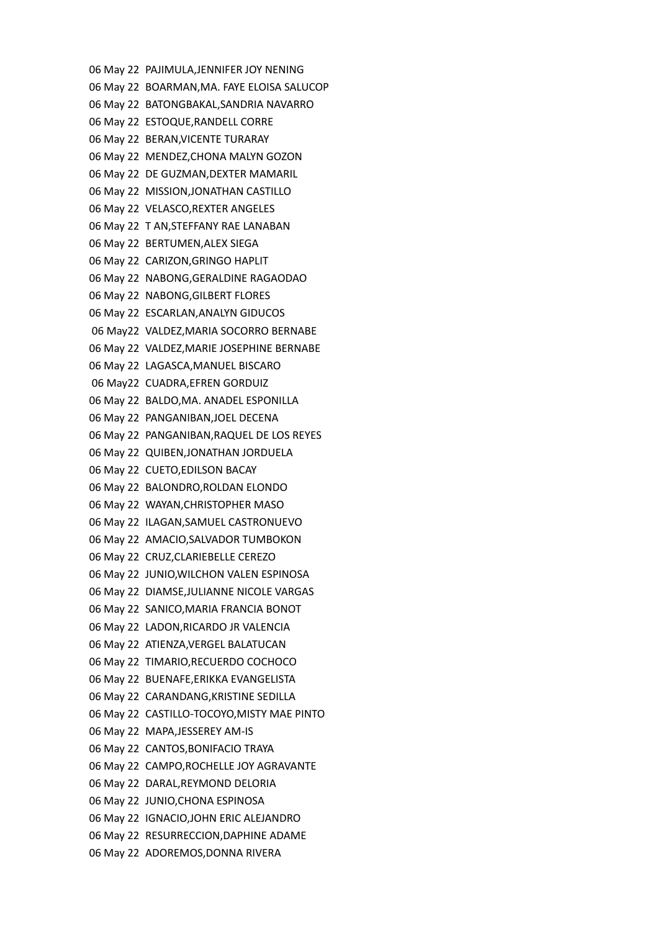06 May 22 PAJIMULA,JENNIFER JOY NENING 06 May 22 BOARMAN,MA. FAYE ELOISA SALUCOP 06 May 22 BATONGBAKAL,SANDRIA NAVARRO 06 May 22 ESTOQUE,RANDELL CORRE 06 May 22 BERAN,VICENTE TURARAY 06 May 22 MENDEZ,CHONA MALYN GOZON 06 May 22 DE GUZMAN,DEXTER MAMARIL 06 May 22 MISSION,JONATHAN CASTILLO 06 May 22 VELASCO,REXTER ANGELES 06 May 22 T AN,STEFFANY RAE LANABAN 06 May 22 BERTUMEN,ALEX SIEGA 06 May 22 CARIZON,GRINGO HAPLIT 06 May 22 NABONG,GERALDINE RAGAODAO 06 May 22 NABONG,GILBERT FLORES 06 May 22 ESCARLAN,ANALYN GIDUCOS 06 May22 VALDEZ,MARIA SOCORRO BERNABE 06 May 22 VALDEZ,MARIE JOSEPHINE BERNABE 06 May 22 LAGASCA,MANUEL BISCARO 06 May22 CUADRA,EFREN GORDUIZ 06 May 22 BALDO,MA. ANADEL ESPONILLA 06 May 22 PANGANIBAN,JOEL DECENA 06 May 22 PANGANIBAN,RAQUEL DE LOS REYES 06 May 22 QUIBEN,JONATHAN JORDUELA 06 May 22 CUETO,EDILSON BACAY 06 May 22 BALONDRO,ROLDAN ELONDO 06 May 22 WAYAN,CHRISTOPHER MASO 06 May 22 ILAGAN,SAMUEL CASTRONUEVO 06 May 22 AMACIO,SALVADOR TUMBOKON 06 May 22 CRUZ,CLARIEBELLE CEREZO 06 May 22 JUNIO,WILCHON VALEN ESPINOSA 06 May 22 DIAMSE,JULIANNE NICOLE VARGAS 06 May 22 SANICO,MARIA FRANCIA BONOT 06 May 22 LADON,RICARDO JR VALENCIA 06 May 22 ATIENZA,VERGEL BALATUCAN 06 May 22 TIMARIO,RECUERDO COCHOCO 06 May 22 BUENAFE,ERIKKA EVANGELISTA 06 May 22 CARANDANG,KRISTINE SEDILLA 06 May 22 CASTILLO-TOCOYO,MISTY MAE PINTO 06 May 22 MAPA,JESSEREY AM-IS 06 May 22 CANTOS,BONIFACIO TRAYA 06 May 22 CAMPO,ROCHELLE JOY AGRAVANTE 06 May 22 DARAL,REYMOND DELORIA 06 May 22 JUNIO,CHONA ESPINOSA 06 May 22 IGNACIO,JOHN ERIC ALEJANDRO 06 May 22 RESURRECCION,DAPHINE ADAME 06 May 22 ADOREMOS,DONNA RIVERA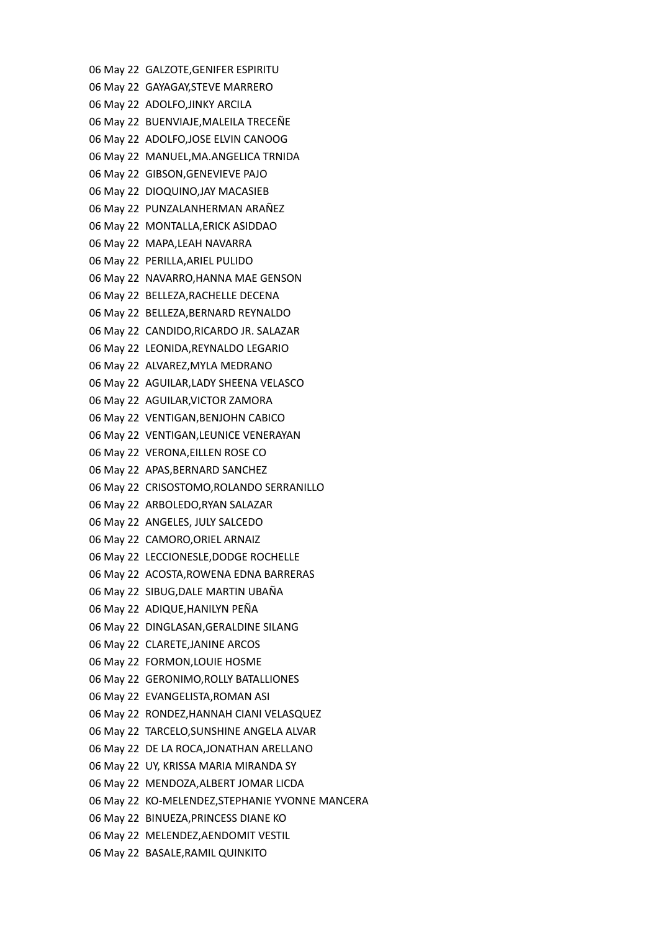06 May 22 GALZOTE,GENIFER ESPIRITU 06 May 22 GAYAGAY,STEVE MARRERO 06 May 22 ADOLFO,JINKY ARCILA 06 May 22 BUENVIAJE,MALEILA TRECEÑE 06 May 22 ADOLFO,JOSE ELVIN CANOOG 06 May 22 MANUEL,MA.ANGELICA TRNIDA 06 May 22 GIBSON,GENEVIEVE PAJO 06 May 22 DIOQUINO,JAY MACASIEB 06 May 22 PUNZALANHERMAN ARAÑEZ 06 May 22 MONTALLA,ERICK ASIDDAO 06 May 22 MAPA,LEAH NAVARRA 06 May 22 PERILLA,ARIEL PULIDO 06 May 22 NAVARRO,HANNA MAE GENSON 06 May 22 BELLEZA,RACHELLE DECENA 06 May 22 BELLEZA,BERNARD REYNALDO 06 May 22 CANDIDO,RICARDO JR. SALAZAR 06 May 22 LEONIDA,REYNALDO LEGARIO 06 May 22 ALVAREZ,MYLA MEDRANO 06 May 22 AGUILAR,LADY SHEENA VELASCO 06 May 22 AGUILAR,VICTOR ZAMORA 06 May 22 VENTIGAN,BENJOHN CABICO 06 May 22 VENTIGAN,LEUNICE VENERAYAN 06 May 22 VERONA,EILLEN ROSE CO 06 May 22 APAS,BERNARD SANCHEZ 06 May 22 CRISOSTOMO,ROLANDO SERRANILLO 06 May 22 ARBOLEDO,RYAN SALAZAR 06 May 22 ANGELES, JULY SALCEDO 06 May 22 CAMORO,ORIEL ARNAIZ 06 May 22 LECCIONESLE,DODGE ROCHELLE 06 May 22 ACOSTA,ROWENA EDNA BARRERAS 06 May 22 SIBUG,DALE MARTIN UBAÑA 06 May 22 ADIQUE,HANILYN PEÑA 06 May 22 DINGLASAN,GERALDINE SILANG 06 May 22 CLARETE,JANINE ARCOS 06 May 22 FORMON,LOUIE HOSME 06 May 22 GERONIMO,ROLLY BATALLIONES 06 May 22 EVANGELISTA,ROMAN ASI 06 May 22 RONDEZ,HANNAH CIANI VELASQUEZ 06 May 22 TARCELO,SUNSHINE ANGELA ALVAR 06 May 22 DE LA ROCA,JONATHAN ARELLANO 06 May 22 UY, KRISSA MARIA MIRANDA SY 06 May 22 MENDOZA,ALBERT JOMAR LICDA 06 May 22 KO-MELENDEZ,STEPHANIE YVONNE MANCERA 06 May 22 BINUEZA,PRINCESS DIANE KO 06 May 22 MELENDEZ,AENDOMIT VESTIL 06 May 22 BASALE,RAMIL QUINKITO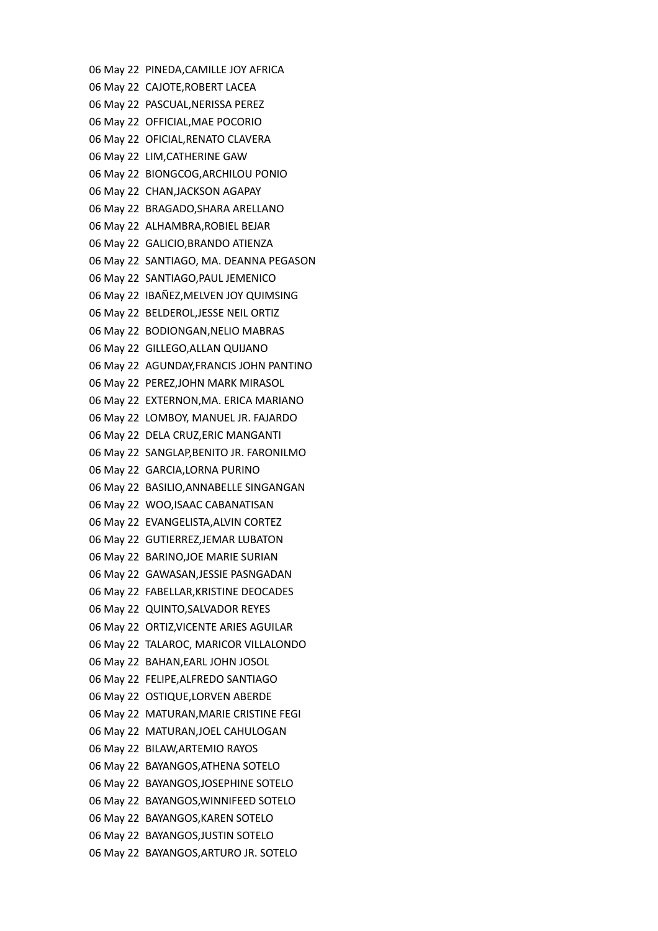06 May 22 PINEDA,CAMILLE JOY AFRICA 06 May 22 CAJOTE,ROBERT LACEA 06 May 22 PASCUAL,NERISSA PEREZ 06 May 22 OFFICIAL,MAE POCORIO 06 May 22 OFICIAL,RENATO CLAVERA 06 May 22 LIM,CATHERINE GAW 06 May 22 BIONGCOG,ARCHILOU PONIO 06 May 22 CHAN,JACKSON AGAPAY 06 May 22 BRAGADO,SHARA ARELLANO 06 May 22 ALHAMBRA,ROBIEL BEJAR 06 May 22 GALICIO,BRANDO ATIENZA 06 May 22 SANTIAGO, MA. DEANNA PEGASON 06 May 22 SANTIAGO,PAUL JEMENICO 06 May 22 IBAÑEZ,MELVEN JOY QUIMSING 06 May 22 BELDEROL,JESSE NEIL ORTIZ 06 May 22 BODIONGAN,NELIO MABRAS 06 May 22 GILLEGO,ALLAN QUIJANO 06 May 22 AGUNDAY,FRANCIS JOHN PANTINO 06 May 22 PEREZ,JOHN MARK MIRASOL 06 May 22 EXTERNON,MA. ERICA MARIANO 06 May 22 LOMBOY, MANUEL JR. FAJARDO 06 May 22 DELA CRUZ,ERIC MANGANTI 06 May 22 SANGLAP,BENITO JR. FARONILMO 06 May 22 GARCIA,LORNA PURINO 06 May 22 BASILIO,ANNABELLE SINGANGAN 06 May 22 WOO,ISAAC CABANATISAN 06 May 22 EVANGELISTA,ALVIN CORTEZ 06 May 22 GUTIERREZ,JEMAR LUBATON 06 May 22 BARINO,JOE MARIE SURIAN 06 May 22 GAWASAN,JESSIE PASNGADAN 06 May 22 FABELLAR,KRISTINE DEOCADES 06 May 22 QUINTO,SALVADOR REYES 06 May 22 ORTIZ,VICENTE ARIES AGUILAR 06 May 22 TALAROC, MARICOR VILLALONDO 06 May 22 BAHAN,EARL JOHN JOSOL 06 May 22 FELIPE,ALFREDO SANTIAGO 06 May 22 OSTIQUE,LORVEN ABERDE 06 May 22 MATURAN,MARIE CRISTINE FEGI 06 May 22 MATURAN,JOEL CAHULOGAN 06 May 22 BILAW,ARTEMIO RAYOS 06 May 22 BAYANGOS,ATHENA SOTELO 06 May 22 BAYANGOS,JOSEPHINE SOTELO 06 May 22 BAYANGOS,WINNIFEED SOTELO 06 May 22 BAYANGOS,KAREN SOTELO 06 May 22 BAYANGOS,JUSTIN SOTELO 06 May 22 BAYANGOS,ARTURO JR. SOTELO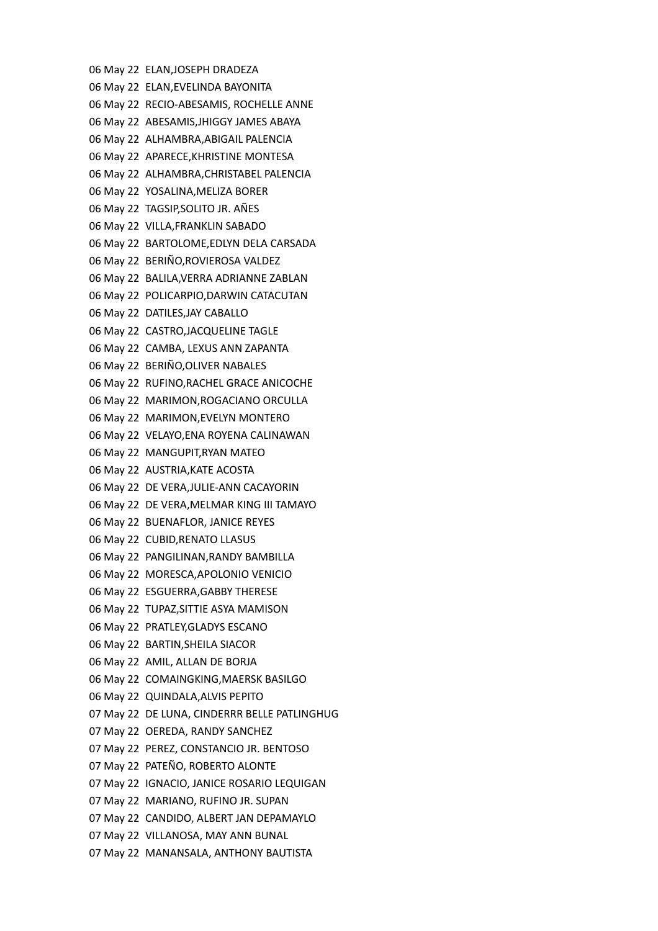06 May 22 ELAN,JOSEPH DRADEZA 06 May 22 ELAN,EVELINDA BAYONITA 06 May 22 RECIO-ABESAMIS, ROCHELLE ANNE 06 May 22 ABESAMIS,JHIGGY JAMES ABAYA 06 May 22 ALHAMBRA,ABIGAIL PALENCIA 06 May 22 APARECE,KHRISTINE MONTESA 06 May 22 ALHAMBRA,CHRISTABEL PALENCIA 06 May 22 YOSALINA,MELIZA BORER 06 May 22 TAGSIP,SOLITO JR. AÑES 06 May 22 VILLA,FRANKLIN SABADO 06 May 22 BARTOLOME,EDLYN DELA CARSADA 06 May 22 BERIÑO,ROVIEROSA VALDEZ 06 May 22 BALILA,VERRA ADRIANNE ZABLAN 06 May 22 POLICARPIO,DARWIN CATACUTAN 06 May 22 DATILES,JAY CABALLO 06 May 22 CASTRO,JACQUELINE TAGLE 06 May 22 CAMBA, LEXUS ANN ZAPANTA 06 May 22 BERIÑO,OLIVER NABALES 06 May 22 RUFINO,RACHEL GRACE ANICOCHE 06 May 22 MARIMON,ROGACIANO ORCULLA 06 May 22 MARIMON,EVELYN MONTERO 06 May 22 VELAYO,ENA ROYENA CALINAWAN 06 May 22 MANGUPIT,RYAN MATEO 06 May 22 AUSTRIA,KATE ACOSTA 06 May 22 DE VERA,JULIE-ANN CACAYORIN 06 May 22 DE VERA,MELMAR KING III TAMAYO 06 May 22 BUENAFLOR, JANICE REYES 06 May 22 CUBID,RENATO LLASUS 06 May 22 PANGILINAN,RANDY BAMBILLA 06 May 22 MORESCA,APOLONIO VENICIO 06 May 22 ESGUERRA,GABBY THERESE 06 May 22 TUPAZ,SITTIE ASYA MAMISON 06 May 22 PRATLEY,GLADYS ESCANO 06 May 22 BARTIN,SHEILA SIACOR 06 May 22 AMIL, ALLAN DE BORJA 06 May 22 COMAINGKING,MAERSK BASILGO 06 May 22 QUINDALA,ALVIS PEPITO 07 May 22 DE LUNA, CINDERRR BELLE PATLINGHUG 07 May 22 OEREDA, RANDY SANCHEZ 07 May 22 PEREZ, CONSTANCIO JR. BENTOSO 07 May 22 PATEÑO, ROBERTO ALONTE 07 May 22 IGNACIO, JANICE ROSARIO LEQUIGAN 07 May 22 MARIANO, RUFINO JR. SUPAN 07 May 22 CANDIDO, ALBERT JAN DEPAMAYLO 07 May 22 VILLANOSA, MAY ANN BUNAL 07 May 22 MANANSALA, ANTHONY BAUTISTA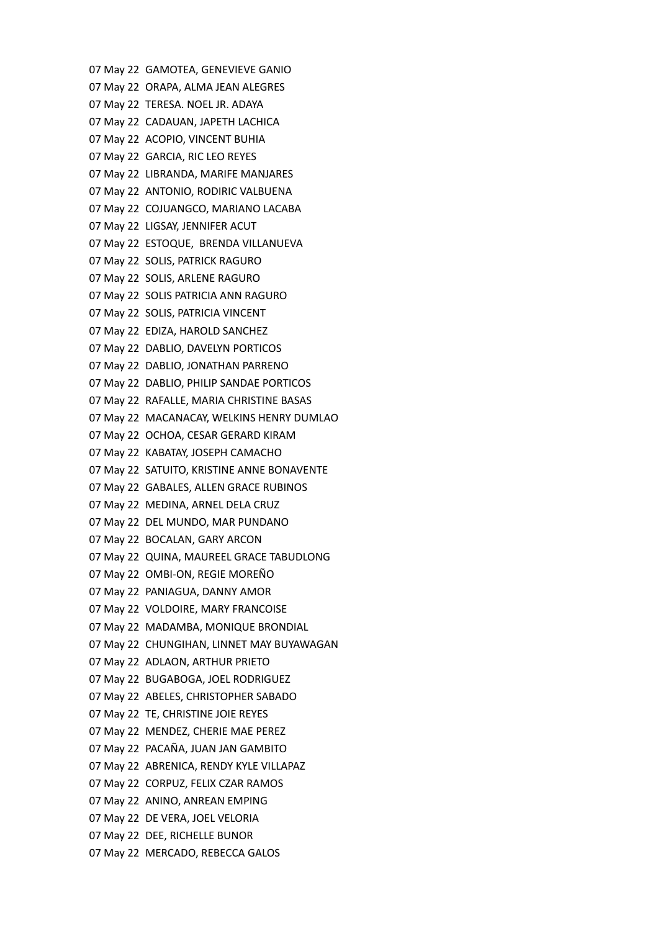07 May 22 GAMOTEA, GENEVIEVE GANIO 07 May 22 ORAPA, ALMA JEAN ALEGRES 07 May 22 TERESA. NOEL JR. ADAYA 07 May 22 CADAUAN, JAPETH LACHICA 07 May 22 ACOPIO, VINCENT BUHIA 07 May 22 GARCIA, RIC LEO REYES 07 May 22 LIBRANDA, MARIFE MANJARES 07 May 22 ANTONIO, RODIRIC VALBUENA 07 May 22 COJUANGCO, MARIANO LACABA 07 May 22 LIGSAY, JENNIFER ACUT 07 May 22 ESTOQUE, BRENDA VILLANUEVA 07 May 22 SOLIS, PATRICK RAGURO 07 May 22 SOLIS, ARLENE RAGURO 07 May 22 SOLIS PATRICIA ANN RAGURO 07 May 22 SOLIS, PATRICIA VINCENT 07 May 22 EDIZA, HAROLD SANCHEZ 07 May 22 DABLIO, DAVELYN PORTICOS 07 May 22 DABLIO, JONATHAN PARRENO 07 May 22 DABLIO, PHILIP SANDAE PORTICOS 07 May 22 RAFALLE, MARIA CHRISTINE BASAS 07 May 22 MACANACAY, WELKINS HENRY DUMLAO 07 May 22 OCHOA, CESAR GERARD KIRAM 07 May 22 KABATAY, JOSEPH CAMACHO 07 May 22 SATUITO, KRISTINE ANNE BONAVENTE 07 May 22 GABALES, ALLEN GRACE RUBINOS 07 May 22 MEDINA, ARNEL DELA CRUZ 07 May 22 DEL MUNDO, MAR PUNDANO 07 May 22 BOCALAN, GARY ARCON 07 May 22 QUINA, MAUREEL GRACE TABUDLONG 07 May 22 OMBI-ON, REGIE MOREÑO 07 May 22 PANIAGUA, DANNY AMOR 07 May 22 VOLDOIRE, MARY FRANCOISE 07 May 22 MADAMBA, MONIQUE BRONDIAL 07 May 22 CHUNGIHAN, LINNET MAY BUYAWAGAN 07 May 22 ADLAON, ARTHUR PRIETO 07 May 22 BUGABOGA, JOEL RODRIGUEZ 07 May 22 ABELES, CHRISTOPHER SABADO 07 May 22 TE, CHRISTINE JOIE REYES 07 May 22 MENDEZ, CHERIE MAE PEREZ 07 May 22 PACAÑA, JUAN JAN GAMBITO 07 May 22 ABRENICA, RENDY KYLE VILLAPAZ 07 May 22 CORPUZ, FELIX CZAR RAMOS 07 May 22 ANINO, ANREAN EMPING 07 May 22 DE VERA, JOEL VELORIA 07 May 22 DEE, RICHELLE BUNOR 07 May 22 MERCADO, REBECCA GALOS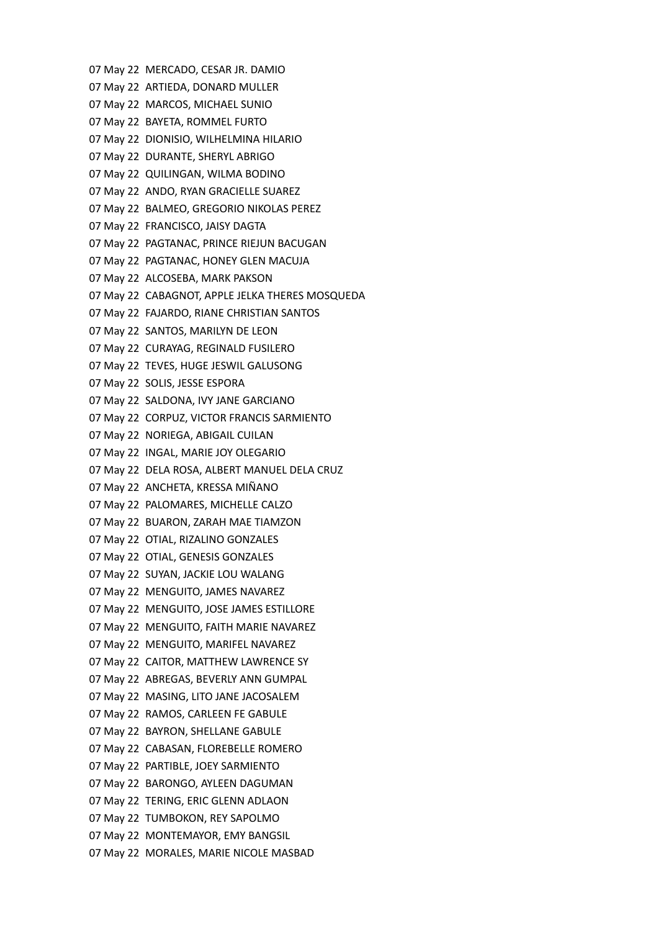07 May 22 MERCADO, CESAR JR. DAMIO 07 May 22 ARTIEDA, DONARD MULLER 07 May 22 MARCOS, MICHAEL SUNIO 07 May 22 BAYETA, ROMMEL FURTO 07 May 22 DIONISIO, WILHELMINA HILARIO 07 May 22 DURANTE, SHERYL ABRIGO 07 May 22 QUILINGAN, WILMA BODINO 07 May 22 ANDO, RYAN GRACIELLE SUAREZ 07 May 22 BALMEO, GREGORIO NIKOLAS PEREZ 07 May 22 FRANCISCO, JAISY DAGTA 07 May 22 PAGTANAC, PRINCE RIEJUN BACUGAN 07 May 22 PAGTANAC, HONEY GLEN MACUJA 07 May 22 ALCOSEBA, MARK PAKSON 07 May 22 CABAGNOT, APPLE JELKA THERES MOSQUEDA 07 May 22 FAJARDO, RIANE CHRISTIAN SANTOS 07 May 22 SANTOS, MARILYN DE LEON 07 May 22 CURAYAG, REGINALD FUSILERO 07 May 22 TEVES, HUGE JESWIL GALUSONG 07 May 22 SOLIS, JESSE ESPORA 07 May 22 SALDONA, IVY JANE GARCIANO 07 May 22 CORPUZ, VICTOR FRANCIS SARMIENTO 07 May 22 NORIEGA, ABIGAIL CUILAN 07 May 22 INGAL, MARIE JOY OLEGARIO 07 May 22 DELA ROSA, ALBERT MANUEL DELA CRUZ 07 May 22 ANCHETA, KRESSA MIÑANO 07 May 22 PALOMARES, MICHELLE CALZO 07 May 22 BUARON, ZARAH MAE TIAMZON 07 May 22 OTIAL, RIZALINO GONZALES 07 May 22 OTIAL, GENESIS GONZALES 07 May 22 SUYAN, JACKIE LOU WALANG 07 May 22 MENGUITO, JAMES NAVAREZ 07 May 22 MENGUITO, JOSE JAMES ESTILLORE 07 May 22 MENGUITO, FAITH MARIE NAVAREZ 07 May 22 MENGUITO, MARIFEL NAVAREZ 07 May 22 CAITOR, MATTHEW LAWRENCE SY 07 May 22 ABREGAS, BEVERLY ANN GUMPAL 07 May 22 MASING, LITO JANE JACOSALEM 07 May 22 RAMOS, CARLEEN FE GABULE 07 May 22 BAYRON, SHELLANE GABULE 07 May 22 CABASAN, FLOREBELLE ROMERO 07 May 22 PARTIBLE, JOEY SARMIENTO 07 May 22 BARONGO, AYLEEN DAGUMAN 07 May 22 TERING, ERIC GLENN ADLAON 07 May 22 TUMBOKON, REY SAPOLMO 07 May 22 MONTEMAYOR, EMY BANGSIL 07 May 22 MORALES, MARIE NICOLE MASBAD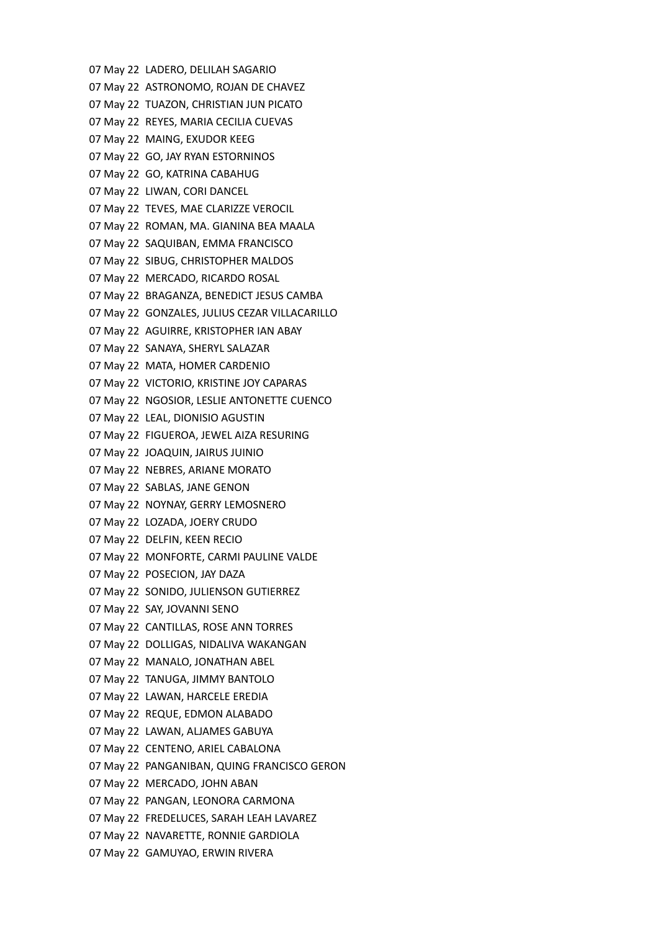07 May 22 LADERO, DELILAH SAGARIO 07 May 22 ASTRONOMO, ROJAN DE CHAVEZ 07 May 22 TUAZON, CHRISTIAN JUN PICATO 07 May 22 REYES, MARIA CECILIA CUEVAS 07 May 22 MAING, EXUDOR KEEG 07 May 22 GO, JAY RYAN ESTORNINOS 07 May 22 GO, KATRINA CABAHUG 07 May 22 LIWAN, CORI DANCEL 07 May 22 TEVES, MAE CLARIZZE VEROCIL 07 May 22 ROMAN, MA. GIANINA BEA MAALA 07 May 22 SAQUIBAN, EMMA FRANCISCO 07 May 22 SIBUG, CHRISTOPHER MALDOS 07 May 22 MERCADO, RICARDO ROSAL 07 May 22 BRAGANZA, BENEDICT JESUS CAMBA 07 May 22 GONZALES, JULIUS CEZAR VILLACARILLO 07 May 22 AGUIRRE, KRISTOPHER IAN ABAY 07 May 22 SANAYA, SHERYL SALAZAR 07 May 22 MATA, HOMER CARDENIO 07 May 22 VICTORIO, KRISTINE JOY CAPARAS 07 May 22 NGOSIOR, LESLIE ANTONETTE CUENCO 07 May 22 LEAL, DIONISIO AGUSTIN 07 May 22 FIGUEROA, JEWEL AIZA RESURING 07 May 22 JOAQUIN, JAIRUS JUINIO 07 May 22 NEBRES, ARIANE MORATO 07 May 22 SABLAS, JANE GENON 07 May 22 NOYNAY, GERRY LEMOSNERO 07 May 22 LOZADA, JOERY CRUDO 07 May 22 DELFIN, KEEN RECIO 07 May 22 MONFORTE, CARMI PAULINE VALDE 07 May 22 POSECION, JAY DAZA 07 May 22 SONIDO, JULIENSON GUTIERREZ 07 May 22 SAY, JOVANNI SENO 07 May 22 CANTILLAS, ROSE ANN TORRES 07 May 22 DOLLIGAS, NIDALIVA WAKANGAN 07 May 22 MANALO, JONATHAN ABEL 07 May 22 TANUGA, JIMMY BANTOLO 07 May 22 LAWAN, HARCELE EREDIA 07 May 22 REQUE, EDMON ALABADO 07 May 22 LAWAN, ALJAMES GABUYA 07 May 22 CENTENO, ARIEL CABALONA 07 May 22 PANGANIBAN, QUING FRANCISCO GERON 07 May 22 MERCADO, JOHN ABAN 07 May 22 PANGAN, LEONORA CARMONA 07 May 22 FREDELUCES, SARAH LEAH LAVAREZ 07 May 22 NAVARETTE, RONNIE GARDIOLA 07 May 22 GAMUYAO, ERWIN RIVERA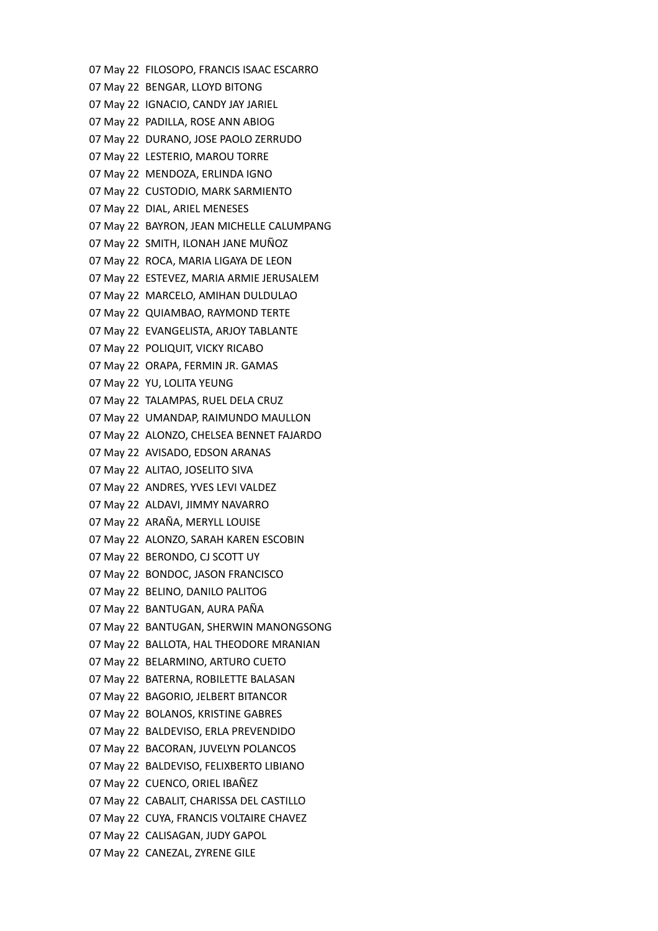07 May 22 FILOSOPO, FRANCIS ISAAC ESCARRO 07 May 22 BENGAR, LLOYD BITONG 07 May 22 IGNACIO, CANDY JAY JARIEL 07 May 22 PADILLA, ROSE ANN ABIOG 07 May 22 DURANO, JOSE PAOLO ZERRUDO 07 May 22 LESTERIO, MAROU TORRE 07 May 22 MENDOZA, ERLINDA IGNO 07 May 22 CUSTODIO, MARK SARMIENTO 07 May 22 DIAL, ARIEL MENESES 07 May 22 BAYRON, JEAN MICHELLE CALUMPANG 07 May 22 SMITH, ILONAH JANE MUÑOZ 07 May 22 ROCA, MARIA LIGAYA DE LEON 07 May 22 ESTEVEZ, MARIA ARMIE JERUSALEM 07 May 22 MARCELO, AMIHAN DULDULAO 07 May 22 QUIAMBAO, RAYMOND TERTE 07 May 22 EVANGELISTA, ARJOY TABLANTE 07 May 22 POLIQUIT, VICKY RICABO 07 May 22 ORAPA, FERMIN JR. GAMAS 07 May 22 YU, LOLITA YEUNG 07 May 22 TALAMPAS, RUEL DELA CRUZ 07 May 22 UMANDAP, RAIMUNDO MAULLON 07 May 22 ALONZO, CHELSEA BENNET FAJARDO 07 May 22 AVISADO, EDSON ARANAS 07 May 22 ALITAO, JOSELITO SIVA 07 May 22 ANDRES, YVES LEVI VALDEZ 07 May 22 ALDAVI, JIMMY NAVARRO 07 May 22 ARAÑA, MERYLL LOUISE 07 May 22 ALONZO, SARAH KAREN ESCOBIN 07 May 22 BERONDO, CJ SCOTT UY 07 May 22 BONDOC, JASON FRANCISCO 07 May 22 BELINO, DANILO PALITOG 07 May 22 BANTUGAN, AURA PAÑA 07 May 22 BANTUGAN, SHERWIN MANONGSONG 07 May 22 BALLOTA, HAL THEODORE MRANIAN 07 May 22 BELARMINO, ARTURO CUETO 07 May 22 BATERNA, ROBILETTE BALASAN 07 May 22 BAGORIO, JELBERT BITANCOR 07 May 22 BOLANOS, KRISTINE GABRES 07 May 22 BALDEVISO, ERLA PREVENDIDO 07 May 22 BACORAN, JUVELYN POLANCOS 07 May 22 BALDEVISO, FELIXBERTO LIBIANO 07 May 22 CUENCO, ORIEL IBAÑEZ 07 May 22 CABALIT, CHARISSA DEL CASTILLO 07 May 22 CUYA, FRANCIS VOLTAIRE CHAVEZ 07 May 22 CALISAGAN, JUDY GAPOL 07 May 22 CANEZAL, ZYRENE GILE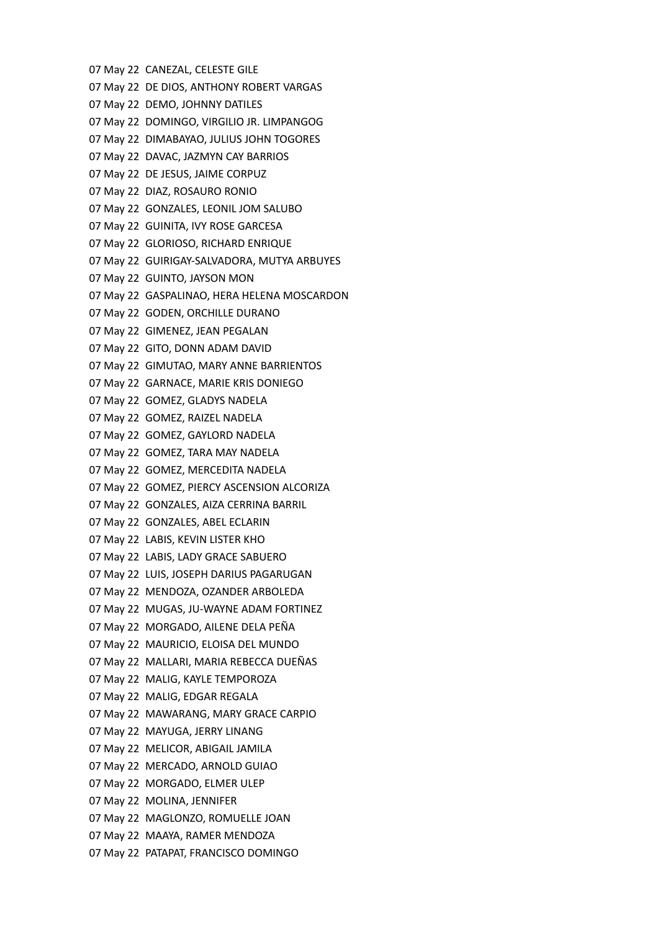07 May 22 CANEZAL, CELESTE GILE 07 May 22 DE DIOS, ANTHONY ROBERT VARGAS 07 May 22 DEMO, JOHNNY DATILES 07 May 22 DOMINGO, VIRGILIO JR. LIMPANGOG 07 May 22 DIMABAYAO, JULIUS JOHN TOGORES 07 May 22 DAVAC, JAZMYN CAY BARRIOS 07 May 22 DE JESUS, JAIME CORPUZ 07 May 22 DIAZ, ROSAURO RONIO 07 May 22 GONZALES, LEONIL JOM SALUBO 07 May 22 GUINITA, IVY ROSE GARCESA 07 May 22 GLORIOSO, RICHARD ENRIQUE 07 May 22 GUIRIGAY-SALVADORA, MUTYA ARBUYES 07 May 22 GUINTO, JAYSON MON 07 May 22 GASPALINAO, HERA HELENA MOSCARDON 07 May 22 GODEN, ORCHILLE DURANO 07 May 22 GIMENEZ, JEAN PEGALAN 07 May 22 GITO, DONN ADAM DAVID 07 May 22 GIMUTAO, MARY ANNE BARRIENTOS 07 May 22 GARNACE, MARIE KRIS DONIEGO 07 May 22 GOMEZ, GLADYS NADELA 07 May 22 GOMEZ, RAIZEL NADELA 07 May 22 GOMEZ, GAYLORD NADELA 07 May 22 GOMEZ, TARA MAY NADELA 07 May 22 GOMEZ, MERCEDITA NADELA 07 May 22 GOMEZ, PIERCY ASCENSION ALCORIZA 07 May 22 GONZALES, AIZA CERRINA BARRIL 07 May 22 GONZALES, ABEL ECLARIN 07 May 22 LABIS, KEVIN LISTER KHO 07 May 22 LABIS, LADY GRACE SABUERO 07 May 22 LUIS, JOSEPH DARIUS PAGARUGAN 07 May 22 MENDOZA, OZANDER ARBOLEDA 07 May 22 MUGAS, JU-WAYNE ADAM FORTINEZ 07 May 22 MORGADO, AILENE DELA PEÑA 07 May 22 MAURICIO, ELOISA DEL MUNDO 07 May 22 MALLARI, MARIA REBECCA DUEÑAS 07 May 22 MALIG, KAYLE TEMPOROZA 07 May 22 MALIG, EDGAR REGALA 07 May 22 MAWARANG, MARY GRACE CARPIO 07 May 22 MAYUGA, JERRY LINANG 07 May 22 MELICOR, ABIGAIL JAMILA 07 May 22 MERCADO, ARNOLD GUIAO 07 May 22 MORGADO, ELMER ULEP 07 May 22 MOLINA, JENNIFER 07 May 22 MAGLONZO, ROMUELLE JOAN 07 May 22 MAAYA, RAMER MENDOZA 07 May 22 PATAPAT, FRANCISCO DOMINGO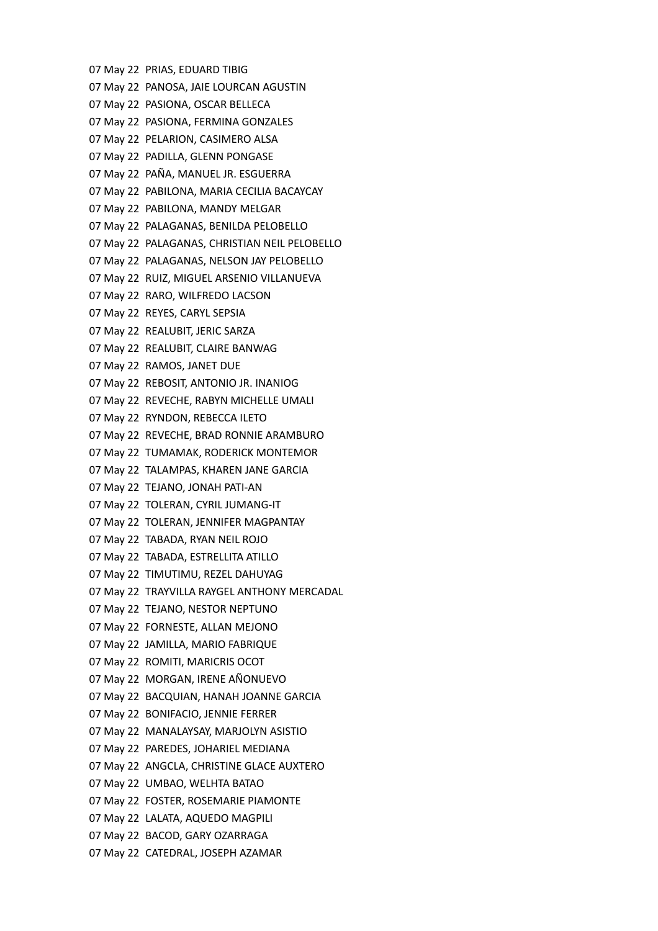07 May 22 PRIAS, EDUARD TIBIG 07 May 22 PANOSA, JAIE LOURCAN AGUSTIN 07 May 22 PASIONA, OSCAR BELLECA 07 May 22 PASIONA, FERMINA GONZALES 07 May 22 PELARION, CASIMERO ALSA 07 May 22 PADILLA, GLENN PONGASE 07 May 22 PAÑA, MANUEL JR. ESGUERRA 07 May 22 PABILONA, MARIA CECILIA BACAYCAY 07 May 22 PABILONA, MANDY MELGAR 07 May 22 PALAGANAS, BENILDA PELOBELLO 07 May 22 PALAGANAS, CHRISTIAN NEIL PELOBELLO 07 May 22 PALAGANAS, NELSON JAY PELOBELLO 07 May 22 RUIZ, MIGUEL ARSENIO VILLANUEVA 07 May 22 RARO, WILFREDO LACSON 07 May 22 REYES, CARYL SEPSIA 07 May 22 REALUBIT, JERIC SARZA 07 May 22 REALUBIT, CLAIRE BANWAG 07 May 22 RAMOS, JANET DUE 07 May 22 REBOSIT, ANTONIO JR. INANIOG 07 May 22 REVECHE, RABYN MICHELLE UMALI 07 May 22 RYNDON, REBECCA ILETO 07 May 22 REVECHE, BRAD RONNIE ARAMBURO 07 May 22 TUMAMAK, RODERICK MONTEMOR 07 May 22 TALAMPAS, KHAREN JANE GARCIA 07 May 22 TEJANO, JONAH PATI-AN 07 May 22 TOLERAN, CYRIL JUMANG-IT 07 May 22 TOLERAN, JENNIFER MAGPANTAY 07 May 22 TABADA, RYAN NEIL ROJO 07 May 22 TABADA, ESTRELLITA ATILLO 07 May 22 TIMUTIMU, REZEL DAHUYAG 07 May 22 TRAYVILLA RAYGEL ANTHONY MERCADAL 07 May 22 TEJANO, NESTOR NEPTUNO 07 May 22 FORNESTE, ALLAN MEJONO 07 May 22 JAMILLA, MARIO FABRIQUE 07 May 22 ROMITI, MARICRIS OCOT 07 May 22 MORGAN, IRENE AÑONUEVO 07 May 22 BACQUIAN, HANAH JOANNE GARCIA 07 May 22 BONIFACIO, JENNIE FERRER 07 May 22 MANALAYSAY, MARJOLYN ASISTIO 07 May 22 PAREDES, JOHARIEL MEDIANA 07 May 22 ANGCLA, CHRISTINE GLACE AUXTERO 07 May 22 UMBAO, WELHTA BATAO 07 May 22 FOSTER, ROSEMARIE PIAMONTE 07 May 22 LALATA, AQUEDO MAGPILI 07 May 22 BACOD, GARY OZARRAGA 07 May 22 CATEDRAL, JOSEPH AZAMAR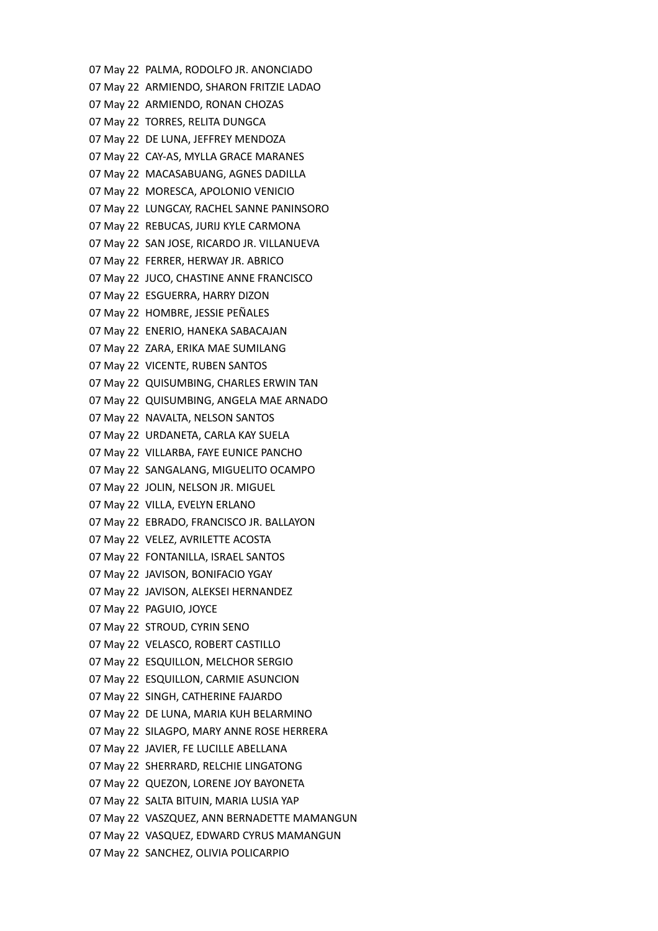07 May 22 PALMA, RODOLFO JR. ANONCIADO 07 May 22 ARMIENDO, SHARON FRITZIE LADAO 07 May 22 ARMIENDO, RONAN CHOZAS 07 May 22 TORRES, RELITA DUNGCA 07 May 22 DE LUNA, JEFFREY MENDOZA 07 May 22 CAY-AS, MYLLA GRACE MARANES 07 May 22 MACASABUANG, AGNES DADILLA 07 May 22 MORESCA, APOLONIO VENICIO 07 May 22 LUNGCAY, RACHEL SANNE PANINSORO 07 May 22 REBUCAS, JURIJ KYLE CARMONA 07 May 22 SAN JOSE, RICARDO JR. VILLANUEVA 07 May 22 FERRER, HERWAY JR. ABRICO 07 May 22 JUCO, CHASTINE ANNE FRANCISCO 07 May 22 ESGUERRA, HARRY DIZON 07 May 22 HOMBRE, JESSIE PEÑALES 07 May 22 ENERIO, HANEKA SABACAJAN 07 May 22 ZARA, ERIKA MAE SUMILANG 07 May 22 VICENTE, RUBEN SANTOS 07 May 22 QUISUMBING, CHARLES ERWIN TAN 07 May 22 QUISUMBING, ANGELA MAE ARNADO 07 May 22 NAVALTA, NELSON SANTOS 07 May 22 URDANETA, CARLA KAY SUELA 07 May 22 VILLARBA, FAYE EUNICE PANCHO 07 May 22 SANGALANG, MIGUELITO OCAMPO 07 May 22 JOLIN, NELSON JR. MIGUEL 07 May 22 VILLA, EVELYN ERLANO 07 May 22 EBRADO, FRANCISCO JR. BALLAYON 07 May 22 VELEZ, AVRILETTE ACOSTA 07 May 22 FONTANILLA, ISRAEL SANTOS 07 May 22 JAVISON, BONIFACIO YGAY 07 May 22 JAVISON, ALEKSEI HERNANDEZ 07 May 22 PAGUIO, JOYCE 07 May 22 STROUD, CYRIN SENO 07 May 22 VELASCO, ROBERT CASTILLO 07 May 22 ESQUILLON, MELCHOR SERGIO 07 May 22 ESQUILLON, CARMIE ASUNCION 07 May 22 SINGH, CATHERINE FAJARDO 07 May 22 DE LUNA, MARIA KUH BELARMINO 07 May 22 SILAGPO, MARY ANNE ROSE HERRERA 07 May 22 JAVIER, FE LUCILLE ABELLANA 07 May 22 SHERRARD, RELCHIE LINGATONG 07 May 22 QUEZON, LORENE JOY BAYONETA 07 May 22 SALTA BITUIN, MARIA LUSIA YAP 07 May 22 VASZQUEZ, ANN BERNADETTE MAMANGUN 07 May 22 VASQUEZ, EDWARD CYRUS MAMANGUN 07 May 22 SANCHEZ, OLIVIA POLICARPIO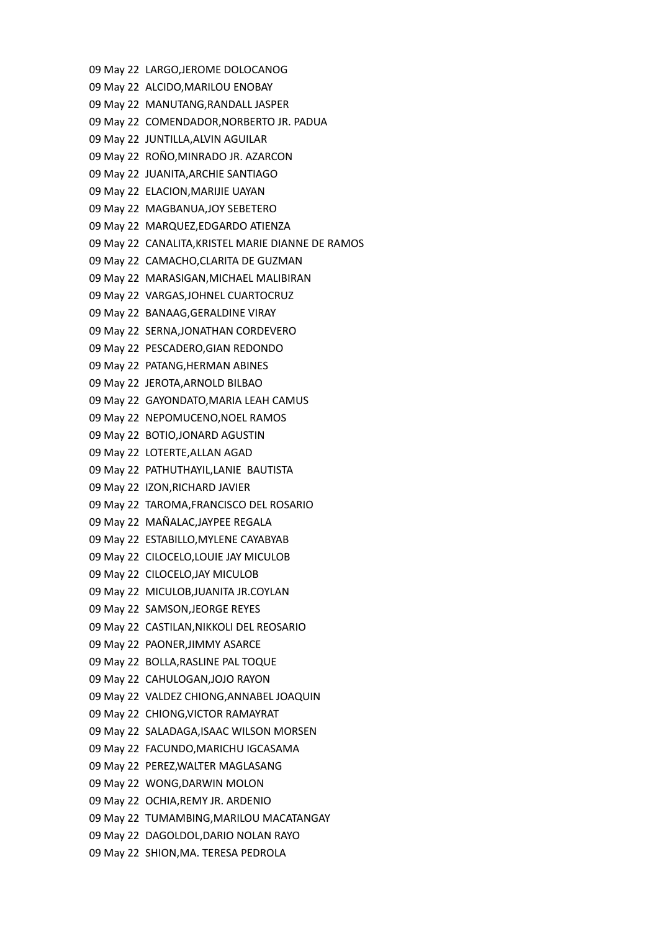09 May 22 LARGO,JEROME DOLOCANOG 09 May 22 ALCIDO,MARILOU ENOBAY 09 May 22 MANUTANG,RANDALL JASPER 09 May 22 COMENDADOR,NORBERTO JR. PADUA 09 May 22 JUNTILLA,ALVIN AGUILAR 09 May 22 ROÑO,MINRADO JR. AZARCON 09 May 22 JUANITA,ARCHIE SANTIAGO 09 May 22 ELACION,MARIJIE UAYAN 09 May 22 MAGBANUA,JOY SEBETERO 09 May 22 MARQUEZ,EDGARDO ATIENZA 09 May 22 CANALITA,KRISTEL MARIE DIANNE DE RAMOS 09 May 22 CAMACHO,CLARITA DE GUZMAN 09 May 22 MARASIGAN,MICHAEL MALIBIRAN 09 May 22 VARGAS,JOHNEL CUARTOCRUZ 09 May 22 BANAAG,GERALDINE VIRAY 09 May 22 SERNA,JONATHAN CORDEVERO 09 May 22 PESCADERO,GIAN REDONDO 09 May 22 PATANG,HERMAN ABINES 09 May 22 JEROTA,ARNOLD BILBAO 09 May 22 GAYONDATO,MARIA LEAH CAMUS 09 May 22 NEPOMUCENO,NOEL RAMOS 09 May 22 BOTIO,JONARD AGUSTIN 09 May 22 LOTERTE,ALLAN AGAD 09 May 22 PATHUTHAYIL,LANIE BAUTISTA 09 May 22 IZON,RICHARD JAVIER 09 May 22 TAROMA,FRANCISCO DEL ROSARIO 09 May 22 MAÑALAC,JAYPEE REGALA 09 May 22 ESTABILLO,MYLENE CAYABYAB 09 May 22 CILOCELO,LOUIE JAY MICULOB 09 May 22 CILOCELO,JAY MICULOB 09 May 22 MICULOB,JUANITA JR.COYLAN 09 May 22 SAMSON,JEORGE REYES 09 May 22 CASTILAN,NIKKOLI DEL REOSARIO 09 May 22 PAONER,JIMMY ASARCE 09 May 22 BOLLA,RASLINE PAL TOQUE 09 May 22 CAHULOGAN,JOJO RAYON 09 May 22 VALDEZ CHIONG,ANNABEL JOAQUIN 09 May 22 CHIONG,VICTOR RAMAYRAT 09 May 22 SALADAGA,ISAAC WILSON MORSEN 09 May 22 FACUNDO,MARICHU IGCASAMA 09 May 22 PEREZ,WALTER MAGLASANG 09 May 22 WONG,DARWIN MOLON 09 May 22 OCHIA,REMY JR. ARDENIO 09 May 22 TUMAMBING,MARILOU MACATANGAY 09 May 22 DAGOLDOL,DARIO NOLAN RAYO 09 May 22 SHION,MA. TERESA PEDROLA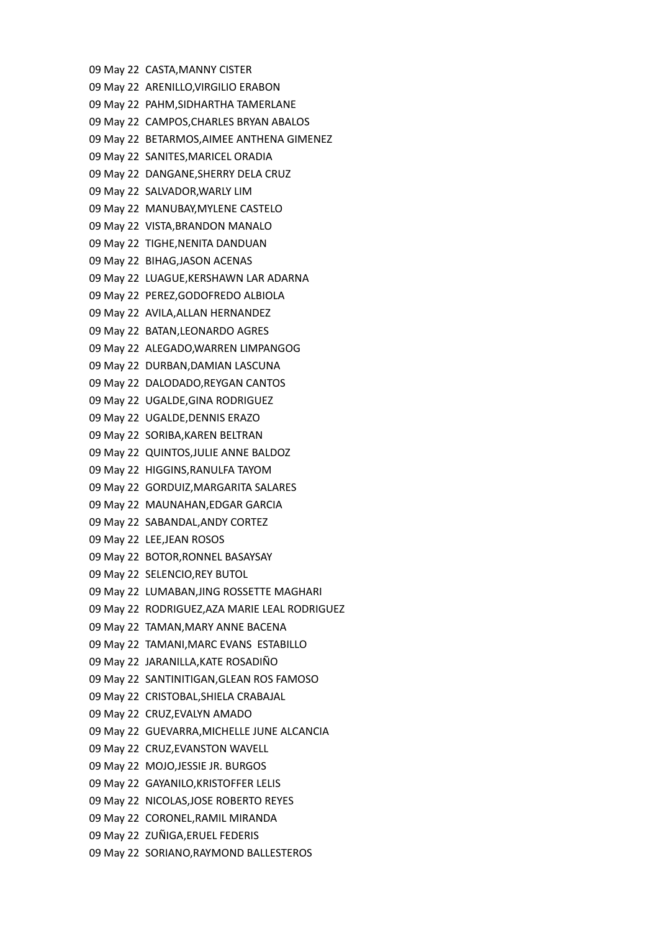09 May 22 CASTA,MANNY CISTER 09 May 22 ARENILLO,VIRGILIO ERABON 09 May 22 PAHM,SIDHARTHA TAMERLANE 09 May 22 CAMPOS,CHARLES BRYAN ABALOS 09 May 22 BETARMOS,AIMEE ANTHENA GIMENEZ 09 May 22 SANITES,MARICEL ORADIA 09 May 22 DANGANE,SHERRY DELA CRUZ 09 May 22 SALVADOR,WARLY LIM 09 May 22 MANUBAY,MYLENE CASTELO 09 May 22 VISTA,BRANDON MANALO 09 May 22 TIGHE,NENITA DANDUAN 09 May 22 BIHAG,JASON ACENAS 09 May 22 LUAGUE,KERSHAWN LAR ADARNA 09 May 22 PEREZ,GODOFREDO ALBIOLA 09 May 22 AVILA,ALLAN HERNANDEZ 09 May 22 BATAN,LEONARDO AGRES 09 May 22 ALEGADO,WARREN LIMPANGOG 09 May 22 DURBAN,DAMIAN LASCUNA 09 May 22 DALODADO,REYGAN CANTOS 09 May 22 UGALDE,GINA RODRIGUEZ 09 May 22 UGALDE,DENNIS ERAZO 09 May 22 SORIBA,KAREN BELTRAN 09 May 22 QUINTOS,JULIE ANNE BALDOZ 09 May 22 HIGGINS,RANULFA TAYOM 09 May 22 GORDUIZ,MARGARITA SALARES 09 May 22 MAUNAHAN,EDGAR GARCIA 09 May 22 SABANDAL,ANDY CORTEZ 09 May 22 LEE,JEAN ROSOS 09 May 22 BOTOR,RONNEL BASAYSAY 09 May 22 SELENCIO,REY BUTOL 09 May 22 LUMABAN,JING ROSSETTE MAGHARI 09 May 22 RODRIGUEZ,AZA MARIE LEAL RODRIGUEZ 09 May 22 TAMAN,MARY ANNE BACENA 09 May 22 TAMANI,MARC EVANS ESTABILLO 09 May 22 JARANILLA,KATE ROSADIÑO 09 May 22 SANTINITIGAN,GLEAN ROS FAMOSO 09 May 22 CRISTOBAL,SHIELA CRABAJAL 09 May 22 CRUZ,EVALYN AMADO 09 May 22 GUEVARRA,MICHELLE JUNE ALCANCIA 09 May 22 CRUZ,EVANSTON WAVELL 09 May 22 MOJO,JESSIE JR. BURGOS 09 May 22 GAYANILO,KRISTOFFER LELIS 09 May 22 NICOLAS,JOSE ROBERTO REYES 09 May 22 CORONEL,RAMIL MIRANDA 09 May 22 ZUÑIGA,ERUEL FEDERIS 09 May 22 SORIANO,RAYMOND BALLESTEROS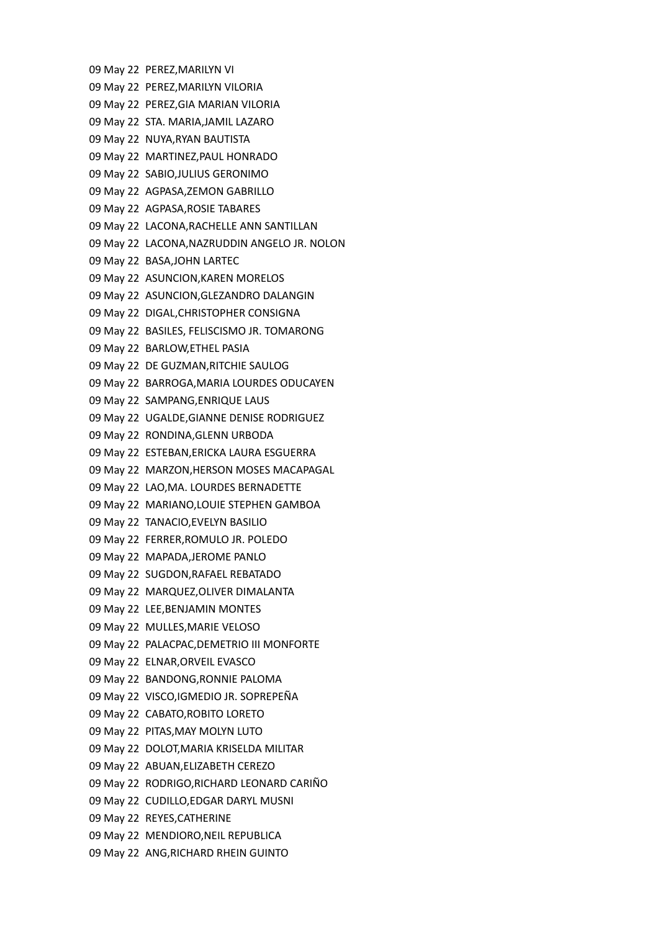09 May 22 PEREZ,MARILYN VI 09 May 22 PEREZ,MARILYN VILORIA 09 May 22 PEREZ,GIA MARIAN VILORIA 09 May 22 STA. MARIA,JAMIL LAZARO 09 May 22 NUYA,RYAN BAUTISTA 09 May 22 MARTINEZ,PAUL HONRADO 09 May 22 SABIO,JULIUS GERONIMO 09 May 22 AGPASA,ZEMON GABRILLO 09 May 22 AGPASA,ROSIE TABARES 09 May 22 LACONA,RACHELLE ANN SANTILLAN 09 May 22 LACONA,NAZRUDDIN ANGELO JR. NOLON 09 May 22 BASA,JOHN LARTEC 09 May 22 ASUNCION,KAREN MORELOS 09 May 22 ASUNCION,GLEZANDRO DALANGIN 09 May 22 DIGAL,CHRISTOPHER CONSIGNA 09 May 22 BASILES, FELISCISMO JR. TOMARONG 09 May 22 BARLOW,ETHEL PASIA 09 May 22 DE GUZMAN,RITCHIE SAULOG 09 May 22 BARROGA,MARIA LOURDES ODUCAYEN 09 May 22 SAMPANG,ENRIQUE LAUS 09 May 22 UGALDE,GIANNE DENISE RODRIGUEZ 09 May 22 RONDINA,GLENN URBODA 09 May 22 ESTEBAN,ERICKA LAURA ESGUERRA 09 May 22 MARZON,HERSON MOSES MACAPAGAL 09 May 22 LAO,MA. LOURDES BERNADETTE 09 May 22 MARIANO,LOUIE STEPHEN GAMBOA 09 May 22 TANACIO,EVELYN BASILIO 09 May 22 FERRER,ROMULO JR. POLEDO 09 May 22 MAPADA,JEROME PANLO 09 May 22 SUGDON,RAFAEL REBATADO 09 May 22 MARQUEZ,OLIVER DIMALANTA 09 May 22 LEE,BENJAMIN MONTES 09 May 22 MULLES,MARIE VELOSO 09 May 22 PALACPAC,DEMETRIO III MONFORTE 09 May 22 ELNAR,ORVEIL EVASCO 09 May 22 BANDONG,RONNIE PALOMA 09 May 22 VISCO,IGMEDIO JR. SOPREPEÑA 09 May 22 CABATO,ROBITO LORETO 09 May 22 PITAS,MAY MOLYN LUTO 09 May 22 DOLOT,MARIA KRISELDA MILITAR 09 May 22 ABUAN,ELIZABETH CEREZO 09 May 22 RODRIGO,RICHARD LEONARD CARIÑO 09 May 22 CUDILLO,EDGAR DARYL MUSNI 09 May 22 REYES,CATHERINE 09 May 22 MENDIORO,NEIL REPUBLICA 09 May 22 ANG,RICHARD RHEIN GUINTO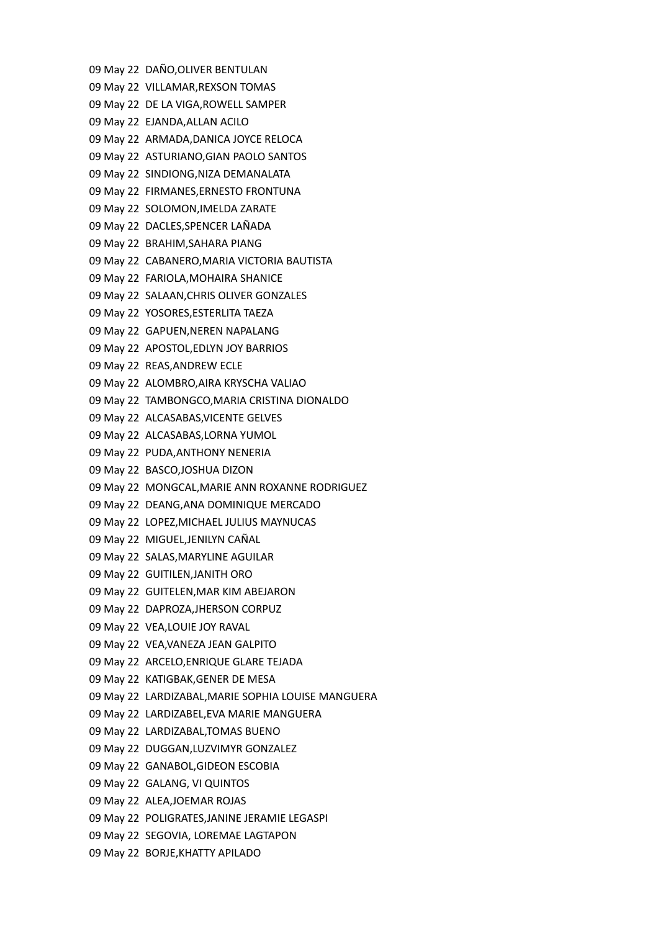09 May 22 DAÑO,OLIVER BENTULAN 09 May 22 VILLAMAR,REXSON TOMAS 09 May 22 DE LA VIGA,ROWELL SAMPER 09 May 22 EJANDA,ALLAN ACILO 09 May 22 ARMADA,DANICA JOYCE RELOCA 09 May 22 ASTURIANO,GIAN PAOLO SANTOS 09 May 22 SINDIONG,NIZA DEMANALATA 09 May 22 FIRMANES,ERNESTO FRONTUNA 09 May 22 SOLOMON,IMELDA ZARATE 09 May 22 DACLES,SPENCER LAÑADA 09 May 22 BRAHIM,SAHARA PIANG 09 May 22 CABANERO,MARIA VICTORIA BAUTISTA 09 May 22 FARIOLA,MOHAIRA SHANICE 09 May 22 SALAAN,CHRIS OLIVER GONZALES 09 May 22 YOSORES,ESTERLITA TAEZA 09 May 22 GAPUEN,NEREN NAPALANG 09 May 22 APOSTOL,EDLYN JOY BARRIOS 09 May 22 REAS,ANDREW ECLE 09 May 22 ALOMBRO,AIRA KRYSCHA VALIAO 09 May 22 TAMBONGCO,MARIA CRISTINA DIONALDO 09 May 22 ALCASABAS,VICENTE GELVES 09 May 22 ALCASABAS,LORNA YUMOL 09 May 22 PUDA,ANTHONY NENERIA 09 May 22 BASCO,JOSHUA DIZON 09 May 22 MONGCAL,MARIE ANN ROXANNE RODRIGUEZ 09 May 22 DEANG,ANA DOMINIQUE MERCADO 09 May 22 LOPEZ,MICHAEL JULIUS MAYNUCAS 09 May 22 MIGUEL,JENILYN CAÑAL 09 May 22 SALAS,MARYLINE AGUILAR 09 May 22 GUITILEN,JANITH ORO 09 May 22 GUITELEN,MAR KIM ABEJARON 09 May 22 DAPROZA,JHERSON CORPUZ 09 May 22 VEA,LOUIE JOY RAVAL 09 May 22 VEA,VANEZA JEAN GALPITO 09 May 22 ARCELO,ENRIQUE GLARE TEJADA 09 May 22 KATIGBAK,GENER DE MESA 09 May 22 LARDIZABAL,MARIE SOPHIA LOUISE MANGUERA 09 May 22 LARDIZABEL,EVA MARIE MANGUERA 09 May 22 LARDIZABAL,TOMAS BUENO 09 May 22 DUGGAN,LUZVIMYR GONZALEZ 09 May 22 GANABOL,GIDEON ESCOBIA 09 May 22 GALANG, VI QUINTOS 09 May 22 ALEA,JOEMAR ROJAS 09 May 22 POLIGRATES,JANINE JERAMIE LEGASPI 09 May 22 SEGOVIA, LOREMAE LAGTAPON 09 May 22 BORJE,KHATTY APILADO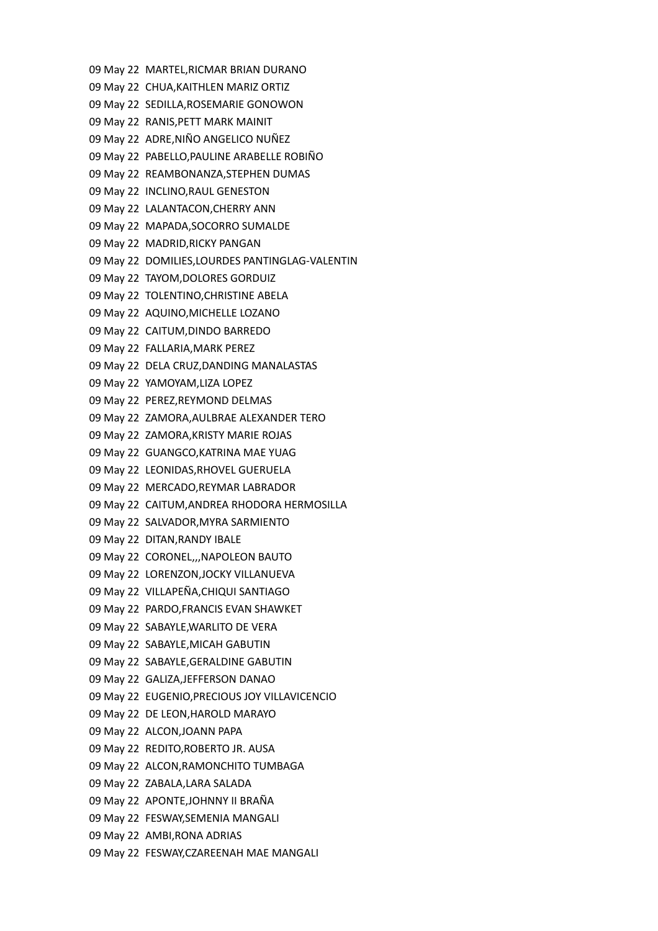09 May 22 MARTEL,RICMAR BRIAN DURANO 09 May 22 CHUA,KAITHLEN MARIZ ORTIZ 09 May 22 SEDILLA,ROSEMARIE GONOWON 09 May 22 RANIS,PETT MARK MAINIT 09 May 22 ADRE,NIÑO ANGELICO NUÑEZ 09 May 22 PABELLO,PAULINE ARABELLE ROBIÑO 09 May 22 REAMBONANZA,STEPHEN DUMAS 09 May 22 INCLINO,RAUL GENESTON 09 May 22 LALANTACON,CHERRY ANN 09 May 22 MAPADA,SOCORRO SUMALDE 09 May 22 MADRID,RICKY PANGAN 09 May 22 DOMILIES,LOURDES PANTINGLAG-VALENTIN 09 May 22 TAYOM,DOLORES GORDUIZ 09 May 22 TOLENTINO,CHRISTINE ABELA 09 May 22 AQUINO,MICHELLE LOZANO 09 May 22 CAITUM,DINDO BARREDO 09 May 22 FALLARIA,MARK PEREZ 09 May 22 DELA CRUZ,DANDING MANALASTAS 09 May 22 YAMOYAM,LIZA LOPEZ 09 May 22 PEREZ,REYMOND DELMAS 09 May 22 ZAMORA,AULBRAE ALEXANDER TERO 09 May 22 ZAMORA,KRISTY MARIE ROJAS 09 May 22 GUANGCO,KATRINA MAE YUAG 09 May 22 LEONIDAS,RHOVEL GUERUELA 09 May 22 MERCADO,REYMAR LABRADOR 09 May 22 CAITUM,ANDREA RHODORA HERMOSILLA 09 May 22 SALVADOR,MYRA SARMIENTO 09 May 22 DITAN,RANDY IBALE 09 May 22 CORONEL,,,NAPOLEON BAUTO 09 May 22 LORENZON,JOCKY VILLANUEVA 09 May 22 VILLAPEÑA,CHIQUI SANTIAGO 09 May 22 PARDO,FRANCIS EVAN SHAWKET 09 May 22 SABAYLE,WARLITO DE VERA 09 May 22 SABAYLE,MICAH GABUTIN 09 May 22 SABAYLE,GERALDINE GABUTIN 09 May 22 GALIZA,JEFFERSON DANAO 09 May 22 EUGENIO,PRECIOUS JOY VILLAVICENCIO 09 May 22 DE LEON,HAROLD MARAYO 09 May 22 ALCON,JOANN PAPA 09 May 22 REDITO,ROBERTO JR. AUSA 09 May 22 ALCON,RAMONCHITO TUMBAGA 09 May 22 ZABALA,LARA SALADA 09 May 22 APONTE,JOHNNY II BRAÑA 09 May 22 FESWAY,SEMENIA MANGALI 09 May 22 AMBI,RONA ADRIAS 09 May 22 FESWAY,CZAREENAH MAE MANGALI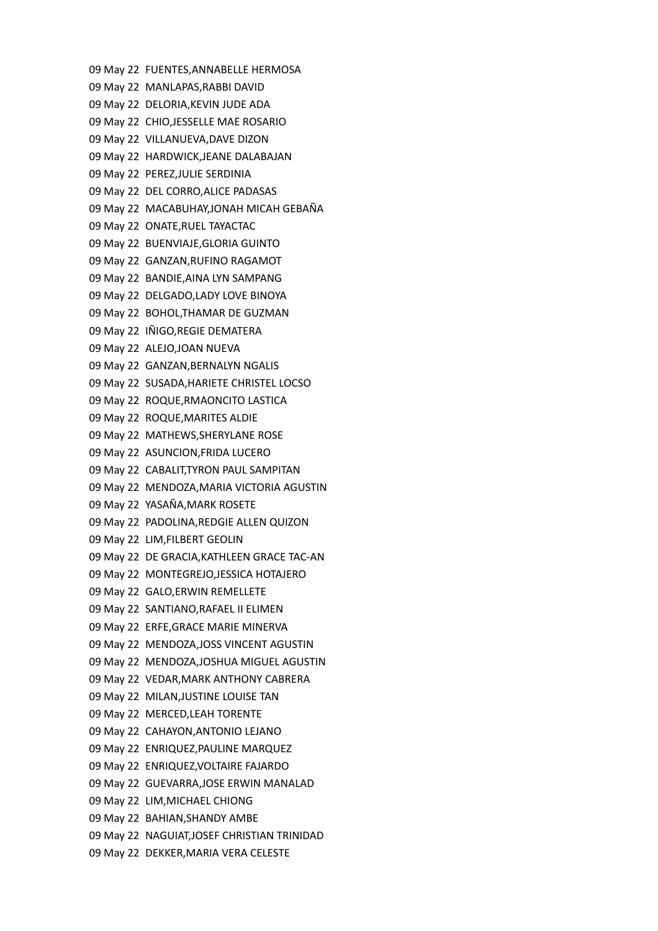09 May 22 FUENTES,ANNABELLE HERMOSA 09 May 22 MANLAPAS,RABBI DAVID 09 May 22 DELORIA,KEVIN JUDE ADA 09 May 22 CHIO,JESSELLE MAE ROSARIO 09 May 22 VILLANUEVA,DAVE DIZON 09 May 22 HARDWICK,JEANE DALABAJAN 09 May 22 PEREZ,JULIE SERDINIA 09 May 22 DEL CORRO,ALICE PADASAS 09 May 22 MACABUHAY,JONAH MICAH GEBAÑA 09 May 22 ONATE,RUEL TAYACTAC 09 May 22 BUENVIAJE,GLORIA GUINTO 09 May 22 GANZAN,RUFINO RAGAMOT 09 May 22 BANDIE,AINA LYN SAMPANG 09 May 22 DELGADO,LADY LOVE BINOYA 09 May 22 BOHOL,THAMAR DE GUZMAN 09 May 22 IÑIGO,REGIE DEMATERA 09 May 22 ALEJO,JOAN NUEVA 09 May 22 GANZAN,BERNALYN NGALIS 09 May 22 SUSADA,HARIETE CHRISTEL LOCSO 09 May 22 ROQUE,RMAONCITO LASTICA 09 May 22 ROQUE,MARITES ALDIE 09 May 22 MATHEWS,SHERYLANE ROSE 09 May 22 ASUNCION,FRIDA LUCERO 09 May 22 CABALIT,TYRON PAUL SAMPITAN 09 May 22 MENDOZA,MARIA VICTORIA AGUSTIN 09 May 22 YASAÑA,MARK ROSETE 09 May 22 PADOLINA,REDGIE ALLEN QUIZON 09 May 22 LIM,FILBERT GEOLIN 09 May 22 DE GRACIA,KATHLEEN GRACE TAC-AN 09 May 22 MONTEGREJO,JESSICA HOTAJERO 09 May 22 GALO,ERWIN REMELLETE 09 May 22 SANTIANO,RAFAEL II ELIMEN 09 May 22 ERFE,GRACE MARIE MINERVA 09 May 22 MENDOZA,JOSS VINCENT AGUSTIN 09 May 22 MENDOZA,JOSHUA MIGUEL AGUSTIN 09 May 22 VEDAR,MARK ANTHONY CABRERA 09 May 22 MILAN,JUSTINE LOUISE TAN 09 May 22 MERCED,LEAH TORENTE 09 May 22 CAHAYON,ANTONIO LEJANO 09 May 22 ENRIQUEZ,PAULINE MARQUEZ 09 May 22 ENRIQUEZ,VOLTAIRE FAJARDO 09 May 22 GUEVARRA,JOSE ERWIN MANALAD 09 May 22 LIM,MICHAEL CHIONG 09 May 22 BAHIAN,SHANDY AMBE 09 May 22 NAGUIAT,JOSEF CHRISTIAN TRINIDAD 09 May 22 DEKKER,MARIA VERA CELESTE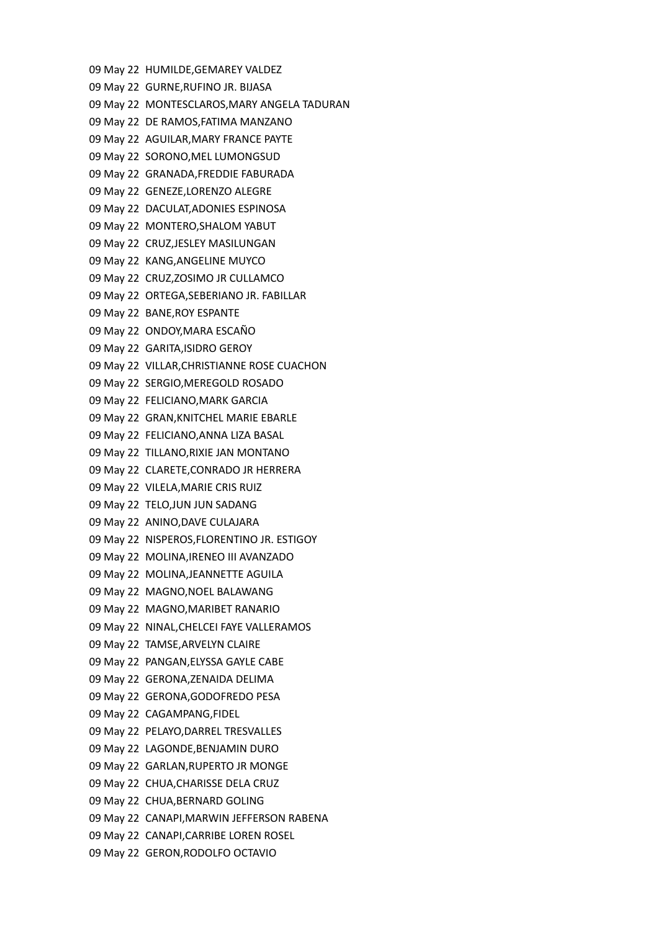09 May 22 HUMILDE,GEMAREY VALDEZ 09 May 22 GURNE,RUFINO JR. BIJASA 09 May 22 MONTESCLAROS,MARY ANGELA TADURAN 09 May 22 DE RAMOS,FATIMA MANZANO 09 May 22 AGUILAR,MARY FRANCE PAYTE 09 May 22 SORONO,MEL LUMONGSUD 09 May 22 GRANADA,FREDDIE FABURADA 09 May 22 GENEZE,LORENZO ALEGRE 09 May 22 DACULAT,ADONIES ESPINOSA 09 May 22 MONTERO,SHALOM YABUT 09 May 22 CRUZ,JESLEY MASILUNGAN 09 May 22 KANG,ANGELINE MUYCO 09 May 22 CRUZ,ZOSIMO JR CULLAMCO 09 May 22 ORTEGA,SEBERIANO JR. FABILLAR 09 May 22 BANE,ROY ESPANTE 09 May 22 ONDOY,MARA ESCAÑO 09 May 22 GARITA,ISIDRO GEROY 09 May 22 VILLAR,CHRISTIANNE ROSE CUACHON 09 May 22 SERGIO,MEREGOLD ROSADO 09 May 22 FELICIANO,MARK GARCIA 09 May 22 GRAN,KNITCHEL MARIE EBARLE 09 May 22 FELICIANO,ANNA LIZA BASAL 09 May 22 TILLANO,RIXIE JAN MONTANO 09 May 22 CLARETE,CONRADO JR HERRERA 09 May 22 VILELA,MARIE CRIS RUIZ 09 May 22 TELO,JUN JUN SADANG 09 May 22 ANINO,DAVE CULAJARA 09 May 22 NISPEROS,FLORENTINO JR. ESTIGOY 09 May 22 MOLINA,IRENEO III AVANZADO 09 May 22 MOLINA,JEANNETTE AGUILA 09 May 22 MAGNO,NOEL BALAWANG 09 May 22 MAGNO,MARIBET RANARIO 09 May 22 NINAL,CHELCEI FAYE VALLERAMOS 09 May 22 TAMSE,ARVELYN CLAIRE 09 May 22 PANGAN,ELYSSA GAYLE CABE 09 May 22 GERONA,ZENAIDA DELIMA 09 May 22 GERONA,GODOFREDO PESA 09 May 22 CAGAMPANG,FIDEL 09 May 22 PELAYO,DARREL TRESVALLES 09 May 22 LAGONDE,BENJAMIN DURO 09 May 22 GARLAN,RUPERTO JR MONGE 09 May 22 CHUA,CHARISSE DELA CRUZ 09 May 22 CHUA,BERNARD GOLING 09 May 22 CANAPI,MARWIN JEFFERSON RABENA 09 May 22 CANAPI,CARRIBE LOREN ROSEL 09 May 22 GERON,RODOLFO OCTAVIO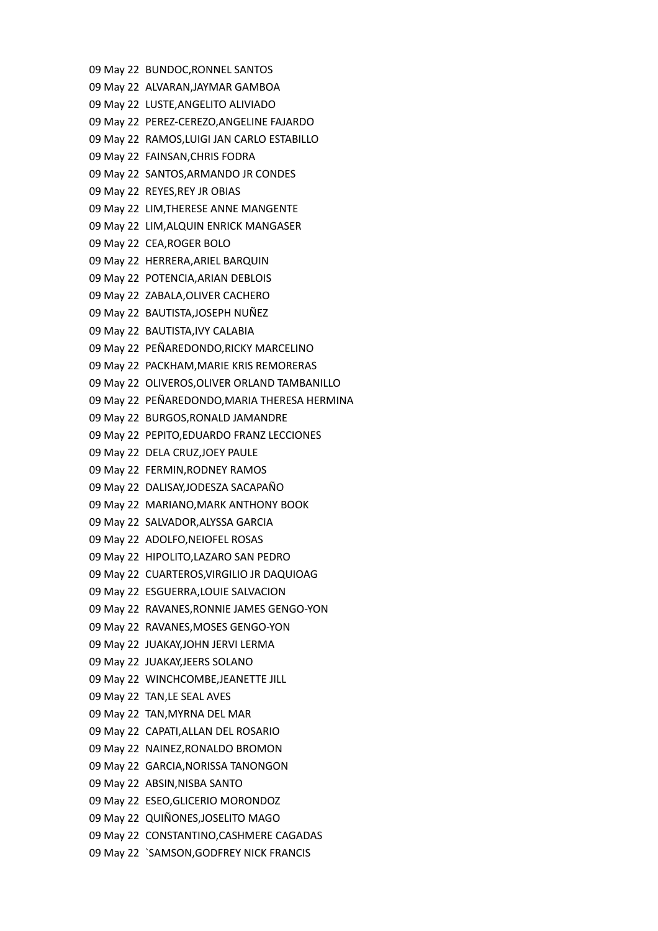09 May 22 BUNDOC,RONNEL SANTOS 09 May 22 ALVARAN,JAYMAR GAMBOA 09 May 22 LUSTE,ANGELITO ALIVIADO 09 May 22 PEREZ-CEREZO,ANGELINE FAJARDO 09 May 22 RAMOS,LUIGI JAN CARLO ESTABILLO 09 May 22 FAINSAN,CHRIS FODRA 09 May 22 SANTOS,ARMANDO JR CONDES 09 May 22 REYES,REY JR OBIAS 09 May 22 LIM,THERESE ANNE MANGENTE 09 May 22 LIM,ALQUIN ENRICK MANGASER 09 May 22 CEA,ROGER BOLO 09 May 22 HERRERA,ARIEL BARQUIN 09 May 22 POTENCIA,ARIAN DEBLOIS 09 May 22 ZABALA,OLIVER CACHERO 09 May 22 BAUTISTA,JOSEPH NUÑEZ 09 May 22 BAUTISTA,IVY CALABIA 09 May 22 PEÑAREDONDO,RICKY MARCELINO 09 May 22 PACKHAM,MARIE KRIS REMORERAS 09 May 22 OLIVEROS,OLIVER ORLAND TAMBANILLO 09 May 22 PEÑAREDONDO,MARIA THERESA HERMINA 09 May 22 BURGOS,RONALD JAMANDRE 09 May 22 PEPITO,EDUARDO FRANZ LECCIONES 09 May 22 DELA CRUZ,JOEY PAULE 09 May 22 FERMIN,RODNEY RAMOS 09 May 22 DALISAY,JODESZA SACAPAÑO 09 May 22 MARIANO,MARK ANTHONY BOOK 09 May 22 SALVADOR,ALYSSA GARCIA 09 May 22 ADOLFO,NEIOFEL ROSAS 09 May 22 HIPOLITO,LAZARO SAN PEDRO 09 May 22 CUARTEROS,VIRGILIO JR DAQUIOAG 09 May 22 ESGUERRA,LOUIE SALVACION 09 May 22 RAVANES,RONNIE JAMES GENGO-YON 09 May 22 RAVANES,MOSES GENGO-YON 09 May 22 JUAKAY,JOHN JERVI LERMA 09 May 22 JUAKAY,JEERS SOLANO 09 May 22 WINCHCOMBE,JEANETTE JILL 09 May 22 TAN,LE SEAL AVES 09 May 22 TAN,MYRNA DEL MAR 09 May 22 CAPATI,ALLAN DEL ROSARIO 09 May 22 NAINEZ,RONALDO BROMON 09 May 22 GARCIA,NORISSA TANONGON 09 May 22 ABSIN,NISBA SANTO 09 May 22 ESEO,GLICERIO MORONDOZ 09 May 22 QUIÑONES,JOSELITO MAGO 09 May 22 CONSTANTINO,CASHMERE CAGADAS 09 May 22 `SAMSON,GODFREY NICK FRANCIS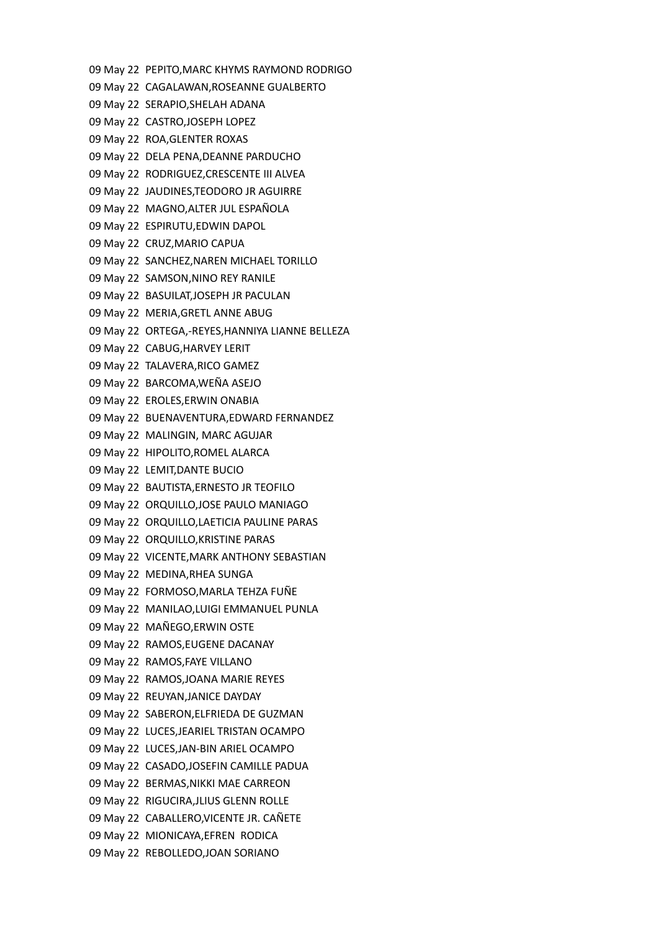09 May 22 PEPITO,MARC KHYMS RAYMOND RODRIGO 09 May 22 CAGALAWAN,ROSEANNE GUALBERTO 09 May 22 SERAPIO,SHELAH ADANA 09 May 22 CASTRO,JOSEPH LOPEZ 09 May 22 ROA,GLENTER ROXAS 09 May 22 DELA PENA,DEANNE PARDUCHO 09 May 22 RODRIGUEZ,CRESCENTE III ALVEA 09 May 22 JAUDINES,TEODORO JR AGUIRRE 09 May 22 MAGNO,ALTER JUL ESPAÑOLA 09 May 22 ESPIRUTU,EDWIN DAPOL 09 May 22 CRUZ,MARIO CAPUA 09 May 22 SANCHEZ,NAREN MICHAEL TORILLO 09 May 22 SAMSON,NINO REY RANILE 09 May 22 BASUILAT,JOSEPH JR PACULAN 09 May 22 MERIA,GRETL ANNE ABUG 09 May 22 ORTEGA,-REYES,HANNIYA LIANNE BELLEZA 09 May 22 CABUG,HARVEY LERIT 09 May 22 TALAVERA,RICO GAMEZ 09 May 22 BARCOMA,WEÑA ASEJO 09 May 22 EROLES,ERWIN ONABIA 09 May 22 BUENAVENTURA,EDWARD FERNANDEZ 09 May 22 MALINGIN, MARC AGUJAR 09 May 22 HIPOLITO,ROMEL ALARCA 09 May 22 LEMIT,DANTE BUCIO 09 May 22 BAUTISTA,ERNESTO JR TEOFILO 09 May 22 ORQUILLO,JOSE PAULO MANIAGO 09 May 22 ORQUILLO,LAETICIA PAULINE PARAS 09 May 22 ORQUILLO,KRISTINE PARAS 09 May 22 VICENTE,MARK ANTHONY SEBASTIAN 09 May 22 MEDINA,RHEA SUNGA 09 May 22 FORMOSO,MARLA TEHZA FUÑE 09 May 22 MANILAO,LUIGI EMMANUEL PUNLA 09 May 22 MAÑEGO,ERWIN OSTE 09 May 22 RAMOS,EUGENE DACANAY 09 May 22 RAMOS,FAYE VILLANO 09 May 22 RAMOS,JOANA MARIE REYES 09 May 22 REUYAN,JANICE DAYDAY 09 May 22 SABERON,ELFRIEDA DE GUZMAN 09 May 22 LUCES,JEARIEL TRISTAN OCAMPO 09 May 22 LUCES,JAN-BIN ARIEL OCAMPO 09 May 22 CASADO,JOSEFIN CAMILLE PADUA 09 May 22 BERMAS,NIKKI MAE CARREON 09 May 22 RIGUCIRA,JLIUS GLENN ROLLE 09 May 22 CABALLERO,VICENTE JR. CAÑETE 09 May 22 MIONICAYA,EFREN RODICA 09 May 22 REBOLLEDO,JOAN SORIANO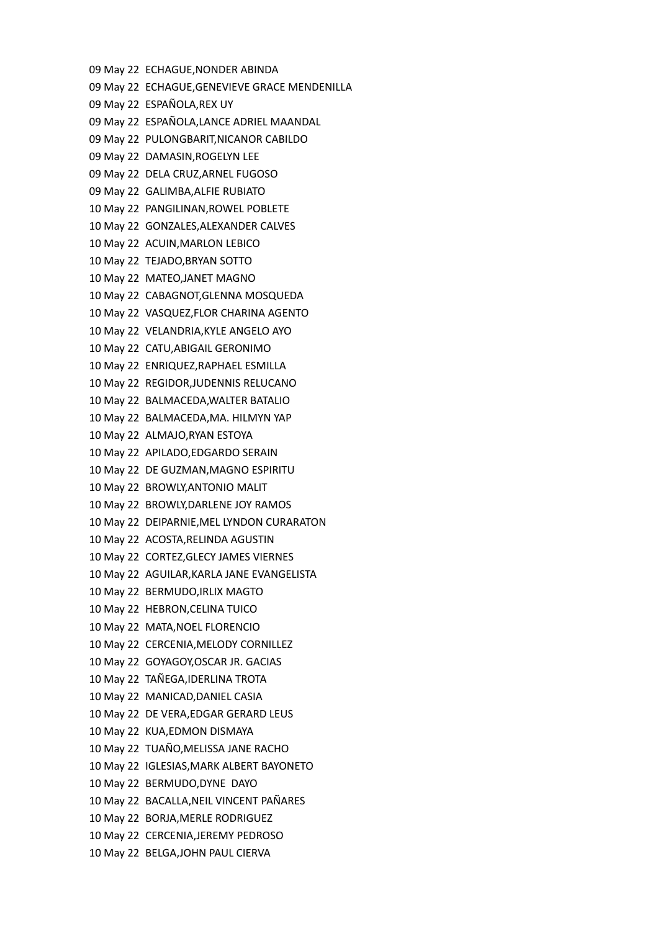09 May 22 ECHAGUE,NONDER ABINDA 09 May 22 ECHAGUE,GENEVIEVE GRACE MENDENILLA 09 May 22 ESPAÑOLA,REX UY 09 May 22 ESPAÑOLA,LANCE ADRIEL MAANDAL 09 May 22 PULONGBARIT,NICANOR CABILDO 09 May 22 DAMASIN,ROGELYN LEE 09 May 22 DELA CRUZ,ARNEL FUGOSO 09 May 22 GALIMBA,ALFIE RUBIATO 10 May 22 PANGILINAN,ROWEL POBLETE 10 May 22 GONZALES,ALEXANDER CALVES 10 May 22 ACUIN,MARLON LEBICO 10 May 22 TEJADO,BRYAN SOTTO 10 May 22 MATEO,JANET MAGNO 10 May 22 CABAGNOT,GLENNA MOSQUEDA 10 May 22 VASQUEZ,FLOR CHARINA AGENTO 10 May 22 VELANDRIA,KYLE ANGELO AYO 10 May 22 CATU,ABIGAIL GERONIMO 10 May 22 ENRIQUEZ,RAPHAEL ESMILLA 10 May 22 REGIDOR,JUDENNIS RELUCANO 10 May 22 BALMACEDA,WALTER BATALIO 10 May 22 BALMACEDA,MA. HILMYN YAP 10 May 22 ALMAJO,RYAN ESTOYA 10 May 22 APILADO,EDGARDO SERAIN 10 May 22 DE GUZMAN,MAGNO ESPIRITU 10 May 22 BROWLY,ANTONIO MALIT 10 May 22 BROWLY,DARLENE JOY RAMOS 10 May 22 DEIPARNIE,MEL LYNDON CURARATON 10 May 22 ACOSTA,RELINDA AGUSTIN 10 May 22 CORTEZ,GLECY JAMES VIERNES 10 May 22 AGUILAR,KARLA JANE EVANGELISTA 10 May 22 BERMUDO,IRLIX MAGTO 10 May 22 HEBRON,CELINA TUICO 10 May 22 MATA,NOEL FLORENCIO 10 May 22 CERCENIA,MELODY CORNILLEZ 10 May 22 GOYAGOY,OSCAR JR. GACIAS 10 May 22 TAÑEGA,IDERLINA TROTA 10 May 22 MANICAD,DANIEL CASIA 10 May 22 DE VERA,EDGAR GERARD LEUS 10 May 22 KUA,EDMON DISMAYA 10 May 22 TUAÑO,MELISSA JANE RACHO 10 May 22 IGLESIAS,MARK ALBERT BAYONETO 10 May 22 BERMUDO,DYNE DAYO 10 May 22 BACALLA,NEIL VINCENT PAÑARES 10 May 22 BORJA,MERLE RODRIGUEZ 10 May 22 CERCENIA,JEREMY PEDROSO 10 May 22 BELGA,JOHN PAUL CIERVA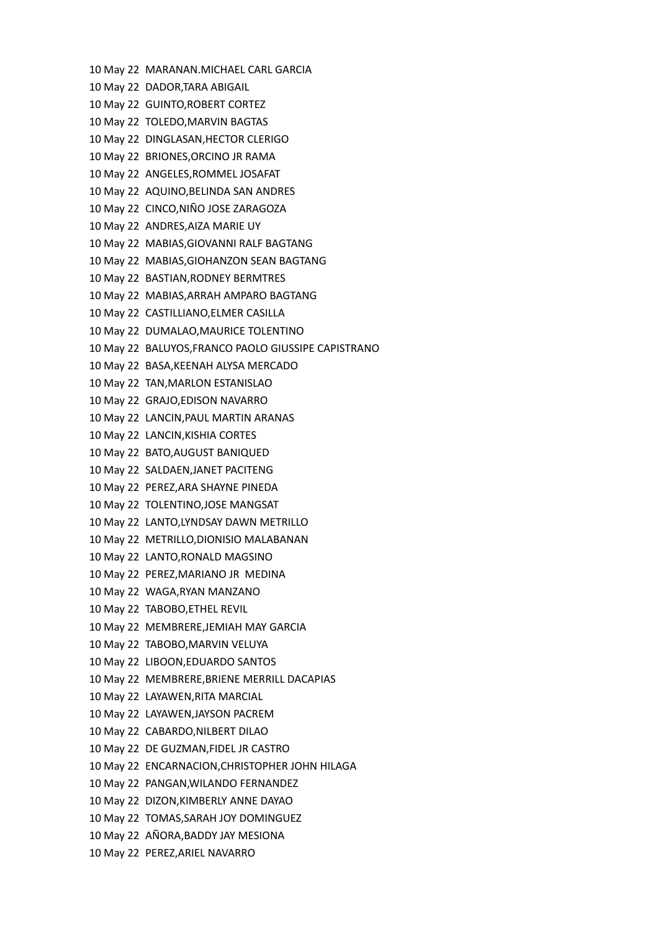10 May 22 MARANAN.MICHAEL CARL GARCIA 10 May 22 DADOR,TARA ABIGAIL 10 May 22 GUINTO,ROBERT CORTEZ 10 May 22 TOLEDO,MARVIN BAGTAS 10 May 22 DINGLASAN,HECTOR CLERIGO 10 May 22 BRIONES,ORCINO JR RAMA 10 May 22 ANGELES,ROMMEL JOSAFAT 10 May 22 AQUINO,BELINDA SAN ANDRES 10 May 22 CINCO,NIÑO JOSE ZARAGOZA 10 May 22 ANDRES,AIZA MARIE UY 10 May 22 MABIAS,GIOVANNI RALF BAGTANG 10 May 22 MABIAS,GIOHANZON SEAN BAGTANG 10 May 22 BASTIAN,RODNEY BERMTRES 10 May 22 MABIAS,ARRAH AMPARO BAGTANG 10 May 22 CASTILLIANO,ELMER CASILLA 10 May 22 DUMALAO,MAURICE TOLENTINO 10 May 22 BALUYOS,FRANCO PAOLO GIUSSIPE CAPISTRANO 10 May 22 BASA,KEENAH ALYSA MERCADO 10 May 22 TAN,MARLON ESTANISLAO 10 May 22 GRAJO,EDISON NAVARRO 10 May 22 LANCIN,PAUL MARTIN ARANAS 10 May 22 LANCIN,KISHIA CORTES 10 May 22 BATO,AUGUST BANIQUED 10 May 22 SALDAEN,JANET PACITENG 10 May 22 PEREZ,ARA SHAYNE PINEDA 10 May 22 TOLENTINO,JOSE MANGSAT 10 May 22 LANTO,LYNDSAY DAWN METRILLO 10 May 22 METRILLO,DIONISIO MALABANAN 10 May 22 LANTO,RONALD MAGSINO 10 May 22 PEREZ,MARIANO JR MEDINA 10 May 22 WAGA,RYAN MANZANO 10 May 22 TABOBO,ETHEL REVIL 10 May 22 MEMBRERE,JEMIAH MAY GARCIA 10 May 22 TABOBO,MARVIN VELUYA 10 May 22 LIBOON,EDUARDO SANTOS 10 May 22 MEMBRERE,BRIENE MERRILL DACAPIAS 10 May 22 LAYAWEN,RITA MARCIAL 10 May 22 LAYAWEN,JAYSON PACREM 10 May 22 CABARDO,NILBERT DILAO 10 May 22 DE GUZMAN,FIDEL JR CASTRO 10 May 22 ENCARNACION,CHRISTOPHER JOHN HILAGA 10 May 22 PANGAN,WILANDO FERNANDEZ 10 May 22 DIZON,KIMBERLY ANNE DAYAO 10 May 22 TOMAS,SARAH JOY DOMINGUEZ 10 May 22 AÑORA,BADDY JAY MESIONA 10 May 22 PEREZ,ARIEL NAVARRO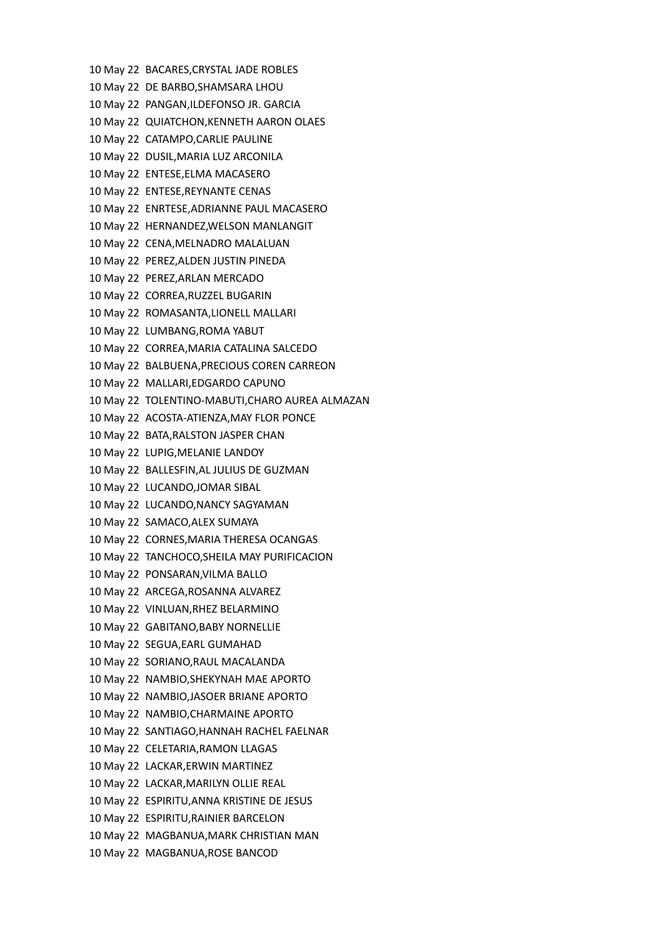10 May 22 BACARES,CRYSTAL JADE ROBLES 10 May 22 DE BARBO,SHAMSARA LHOU 10 May 22 PANGAN,ILDEFONSO JR. GARCIA 10 May 22 QUIATCHON,KENNETH AARON OLAES 10 May 22 CATAMPO,CARLIE PAULINE 10 May 22 DUSIL,MARIA LUZ ARCONILA 10 May 22 ENTESE,ELMA MACASERO 10 May 22 ENTESE,REYNANTE CENAS 10 May 22 ENRTESE,ADRIANNE PAUL MACASERO 10 May 22 HERNANDEZ,WELSON MANLANGIT 10 May 22 CENA,MELNADRO MALALUAN 10 May 22 PEREZ,ALDEN JUSTIN PINEDA 10 May 22 PEREZ,ARLAN MERCADO 10 May 22 CORREA,RUZZEL BUGARIN 10 May 22 ROMASANTA,LIONELL MALLARI 10 May 22 LUMBANG,ROMA YABUT 10 May 22 CORREA,MARIA CATALINA SALCEDO 10 May 22 BALBUENA,PRECIOUS COREN CARREON 10 May 22 MALLARI,EDGARDO CAPUNO 10 May 22 TOLENTINO-MABUTI,CHARO AUREA ALMAZAN 10 May 22 ACOSTA-ATIENZA,MAY FLOR PONCE 10 May 22 BATA,RALSTON JASPER CHAN 10 May 22 LUPIG,MELANIE LANDOY 10 May 22 BALLESFIN,AL JULIUS DE GUZMAN 10 May 22 LUCANDO,JOMAR SIBAL 10 May 22 LUCANDO,NANCY SAGYAMAN 10 May 22 SAMACO,ALEX SUMAYA 10 May 22 CORNES,MARIA THERESA OCANGAS 10 May 22 TANCHOCO,SHEILA MAY PURIFICACION 10 May 22 PONSARAN,VILMA BALLO 10 May 22 ARCEGA,ROSANNA ALVAREZ 10 May 22 VINLUAN,RHEZ BELARMINO 10 May 22 GABITANO,BABY NORNELLIE 10 May 22 SEGUA,EARL GUMAHAD 10 May 22 SORIANO,RAUL MACALANDA 10 May 22 NAMBIO,SHEKYNAH MAE APORTO 10 May 22 NAMBIO,JASOER BRIANE APORTO 10 May 22 NAMBIO,CHARMAINE APORTO 10 May 22 SANTIAGO,HANNAH RACHEL FAELNAR 10 May 22 CELETARIA,RAMON LLAGAS 10 May 22 LACKAR,ERWIN MARTINEZ 10 May 22 LACKAR,MARILYN OLLIE REAL 10 May 22 ESPIRITU,ANNA KRISTINE DE JESUS 10 May 22 ESPIRITU,RAINIER BARCELON 10 May 22 MAGBANUA,MARK CHRISTIAN MAN 10 May 22 MAGBANUA,ROSE BANCOD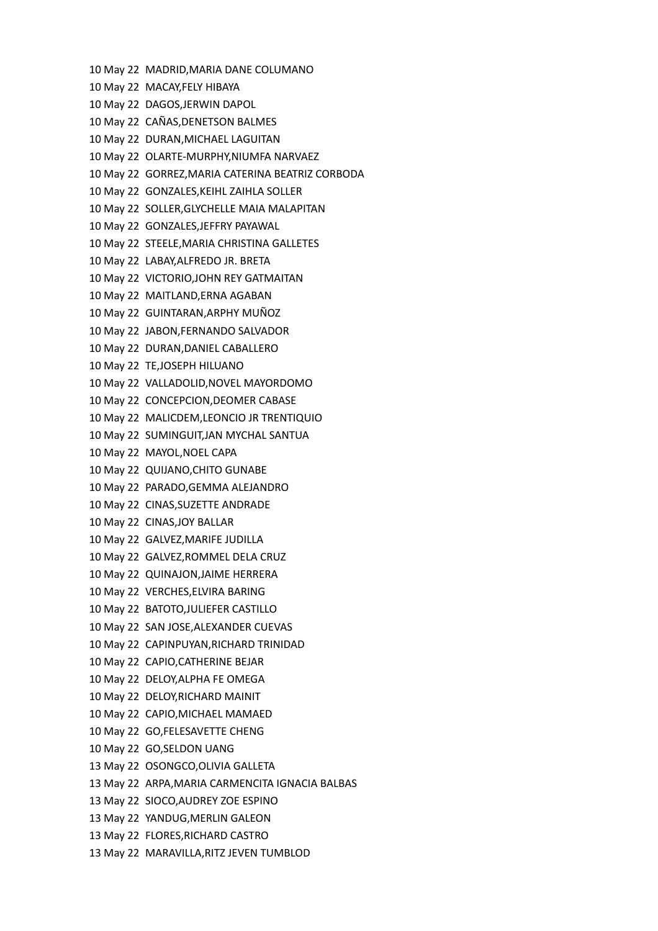10 May 22 MADRID,MARIA DANE COLUMANO 10 May 22 MACAY,FELY HIBAYA 10 May 22 DAGOS,JERWIN DAPOL 10 May 22 CAÑAS,DENETSON BALMES 10 May 22 DURAN,MICHAEL LAGUITAN 10 May 22 OLARTE-MURPHY,NIUMFA NARVAEZ 10 May 22 GORREZ,MARIA CATERINA BEATRIZ CORBODA 10 May 22 GONZALES,KEIHL ZAIHLA SOLLER 10 May 22 SOLLER,GLYCHELLE MAIA MALAPITAN 10 May 22 GONZALES,JEFFRY PAYAWAL 10 May 22 STEELE,MARIA CHRISTINA GALLETES 10 May 22 LABAY,ALFREDO JR. BRETA 10 May 22 VICTORIO,JOHN REY GATMAITAN 10 May 22 MAITLAND,ERNA AGABAN 10 May 22 GUINTARAN,ARPHY MUÑOZ 10 May 22 JABON,FERNANDO SALVADOR 10 May 22 DURAN,DANIEL CABALLERO 10 May 22 TE,JOSEPH HILUANO 10 May 22 VALLADOLID,NOVEL MAYORDOMO 10 May 22 CONCEPCION,DEOMER CABASE 10 May 22 MALICDEM,LEONCIO JR TRENTIQUIO 10 May 22 SUMINGUIT,JAN MYCHAL SANTUA 10 May 22 MAYOL,NOEL CAPA 10 May 22 QUIJANO,CHITO GUNABE 10 May 22 PARADO,GEMMA ALEJANDRO 10 May 22 CINAS,SUZETTE ANDRADE 10 May 22 CINAS,JOY BALLAR 10 May 22 GALVEZ,MARIFE JUDILLA 10 May 22 GALVEZ,ROMMEL DELA CRUZ 10 May 22 QUINAJON,JAIME HERRERA 10 May 22 VERCHES,ELVIRA BARING 10 May 22 BATOTO,JULIEFER CASTILLO 10 May 22 SAN JOSE,ALEXANDER CUEVAS 10 May 22 CAPINPUYAN,RICHARD TRINIDAD 10 May 22 CAPIO,CATHERINE BEJAR 10 May 22 DELOY,ALPHA FE OMEGA 10 May 22 DELOY,RICHARD MAINIT 10 May 22 CAPIO,MICHAEL MAMAED 10 May 22 GO,FELESAVETTE CHENG 10 May 22 GO,SELDON UANG 13 May 22 OSONGCO,OLIVIA GALLETA 13 May 22 ARPA,MARIA CARMENCITA IGNACIA BALBAS 13 May 22 SIOCO,AUDREY ZOE ESPINO 13 May 22 YANDUG,MERLIN GALEON 13 May 22 FLORES,RICHARD CASTRO 13 May 22 MARAVILLA,RITZ JEVEN TUMBLOD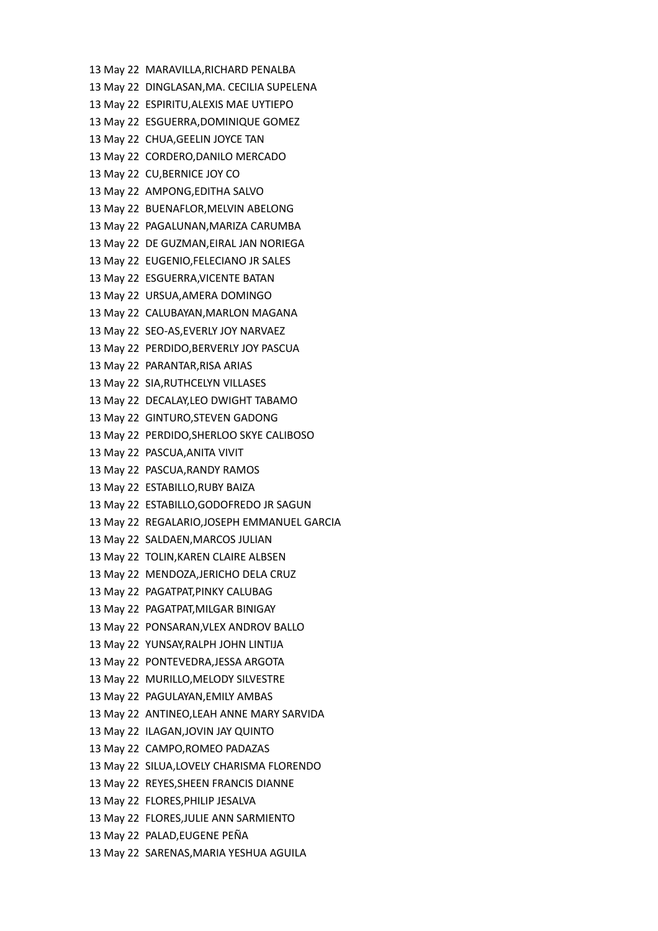13 May 22 MARAVILLA,RICHARD PENALBA 13 May 22 DINGLASAN,MA. CECILIA SUPELENA 13 May 22 ESPIRITU,ALEXIS MAE UYTIEPO 13 May 22 ESGUERRA,DOMINIQUE GOMEZ 13 May 22 CHUA,GEELIN JOYCE TAN 13 May 22 CORDERO,DANILO MERCADO 13 May 22 CU,BERNICE JOY CO 13 May 22 AMPONG,EDITHA SALVO 13 May 22 BUENAFLOR,MELVIN ABELONG 13 May 22 PAGALUNAN,MARIZA CARUMBA 13 May 22 DE GUZMAN,EIRAL JAN NORIEGA 13 May 22 EUGENIO,FELECIANO JR SALES 13 May 22 ESGUERRA,VICENTE BATAN 13 May 22 URSUA,AMERA DOMINGO 13 May 22 CALUBAYAN,MARLON MAGANA 13 May 22 SEO-AS,EVERLY JOY NARVAEZ 13 May 22 PERDIDO,BERVERLY JOY PASCUA 13 May 22 PARANTAR,RISA ARIAS 13 May 22 SIA,RUTHCELYN VILLASES 13 May 22 DECALAY,LEO DWIGHT TABAMO 13 May 22 GINTURO,STEVEN GADONG 13 May 22 PERDIDO,SHERLOO SKYE CALIBOSO 13 May 22 PASCUA,ANITA VIVIT 13 May 22 PASCUA,RANDY RAMOS 13 May 22 ESTABILLO,RUBY BAIZA 13 May 22 ESTABILLO,GODOFREDO JR SAGUN 13 May 22 REGALARIO,JOSEPH EMMANUEL GARCIA 13 May 22 SALDAEN,MARCOS JULIAN 13 May 22 TOLIN,KAREN CLAIRE ALBSEN 13 May 22 MENDOZA,JERICHO DELA CRUZ 13 May 22 PAGATPAT,PINKY CALUBAG 13 May 22 PAGATPAT,MILGAR BINIGAY 13 May 22 PONSARAN,VLEX ANDROV BALLO 13 May 22 YUNSAY,RALPH JOHN LINTIJA 13 May 22 PONTEVEDRA,JESSA ARGOTA 13 May 22 MURILLO,MELODY SILVESTRE 13 May 22 PAGULAYAN,EMILY AMBAS 13 May 22 ANTINEO,LEAH ANNE MARY SARVIDA 13 May 22 ILAGAN,JOVIN JAY QUINTO 13 May 22 CAMPO,ROMEO PADAZAS 13 May 22 SILUA,LOVELY CHARISMA FLORENDO 13 May 22 REYES,SHEEN FRANCIS DIANNE 13 May 22 FLORES,PHILIP JESALVA 13 May 22 FLORES,JULIE ANN SARMIENTO 13 May 22 PALAD,EUGENE PEÑA 13 May 22 SARENAS,MARIA YESHUA AGUILA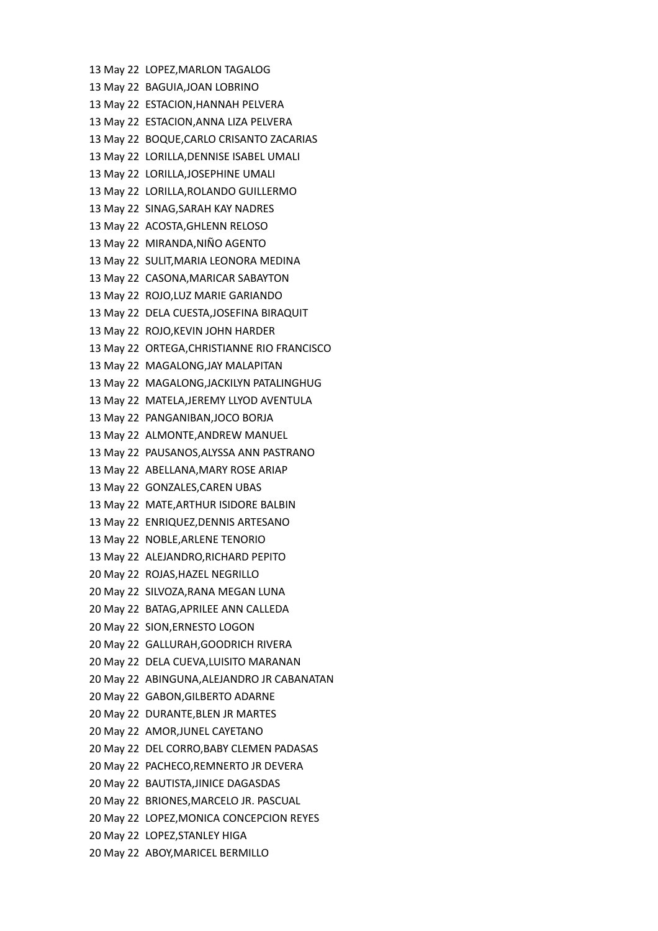13 May 22 LOPEZ,MARLON TAGALOG 13 May 22 BAGUIA,JOAN LOBRINO 13 May 22 ESTACION,HANNAH PELVERA 13 May 22 ESTACION,ANNA LIZA PELVERA 13 May 22 BOQUE,CARLO CRISANTO ZACARIAS 13 May 22 LORILLA,DENNISE ISABEL UMALI 13 May 22 LORILLA,JOSEPHINE UMALI 13 May 22 LORILLA,ROLANDO GUILLERMO 13 May 22 SINAG,SARAH KAY NADRES 13 May 22 ACOSTA,GHLENN RELOSO 13 May 22 MIRANDA,NIÑO AGENTO 13 May 22 SULIT,MARIA LEONORA MEDINA 13 May 22 CASONA,MARICAR SABAYTON 13 May 22 ROJO,LUZ MARIE GARIANDO 13 May 22 DELA CUESTA,JOSEFINA BIRAQUIT 13 May 22 ROJO,KEVIN JOHN HARDER 13 May 22 ORTEGA,CHRISTIANNE RIO FRANCISCO 13 May 22 MAGALONG,JAY MALAPITAN 13 May 22 MAGALONG,JACKILYN PATALINGHUG 13 May 22 MATELA,JEREMY LLYOD AVENTULA 13 May 22 PANGANIBAN,JOCO BORJA 13 May 22 ALMONTE,ANDREW MANUEL 13 May 22 PAUSANOS,ALYSSA ANN PASTRANO 13 May 22 ABELLANA,MARY ROSE ARIAP 13 May 22 GONZALES,CAREN UBAS 13 May 22 MATE,ARTHUR ISIDORE BALBIN 13 May 22 ENRIQUEZ,DENNIS ARTESANO 13 May 22 NOBLE,ARLENE TENORIO 13 May 22 ALEJANDRO,RICHARD PEPITO 20 May 22 ROJAS,HAZEL NEGRILLO 20 May 22 SILVOZA,RANA MEGAN LUNA 20 May 22 BATAG,APRILEE ANN CALLEDA 20 May 22 SION,ERNESTO LOGON 20 May 22 GALLURAH,GOODRICH RIVERA 20 May 22 DELA CUEVA,LUISITO MARANAN 20 May 22 ABINGUNA,ALEJANDRO JR CABANATAN 20 May 22 GABON,GILBERTO ADARNE 20 May 22 DURANTE,BLEN JR MARTES 20 May 22 AMOR,JUNEL CAYETANO 20 May 22 DEL CORRO,BABY CLEMEN PADASAS 20 May 22 PACHECO,REMNERTO JR DEVERA 20 May 22 BAUTISTA,JINICE DAGASDAS 20 May 22 BRIONES,MARCELO JR. PASCUAL 20 May 22 LOPEZ,MONICA CONCEPCION REYES 20 May 22 LOPEZ,STANLEY HIGA 20 May 22 ABOY,MARICEL BERMILLO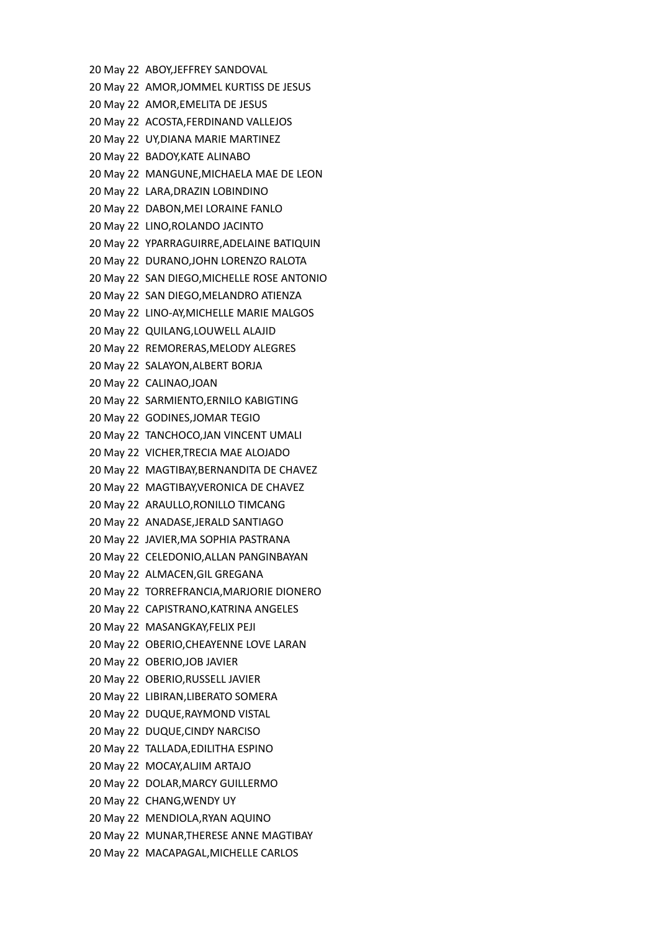20 May 22 ABOY,JEFFREY SANDOVAL 20 May 22 AMOR,JOMMEL KURTISS DE JESUS 20 May 22 AMOR,EMELITA DE JESUS 20 May 22 ACOSTA,FERDINAND VALLEJOS 20 May 22 UY,DIANA MARIE MARTINEZ 20 May 22 BADOY,KATE ALINABO 20 May 22 MANGUNE,MICHAELA MAE DE LEON 20 May 22 LARA,DRAZIN LOBINDINO 20 May 22 DABON,MEI LORAINE FANLO 20 May 22 LINO,ROLANDO JACINTO 20 May 22 YPARRAGUIRRE,ADELAINE BATIQUIN 20 May 22 DURANO,JOHN LORENZO RALOTA 20 May 22 SAN DIEGO,MICHELLE ROSE ANTONIO 20 May 22 SAN DIEGO,MELANDRO ATIENZA 20 May 22 LINO-AY,MICHELLE MARIE MALGOS 20 May 22 QUILANG,LOUWELL ALAJID 20 May 22 REMORERAS,MELODY ALEGRES 20 May 22 SALAYON,ALBERT BORJA 20 May 22 CALINAO,JOAN 20 May 22 SARMIENTO,ERNILO KABIGTING 20 May 22 GODINES,JOMAR TEGIO 20 May 22 TANCHOCO,JAN VINCENT UMALI 20 May 22 VICHER,TRECIA MAE ALOJADO 20 May 22 MAGTIBAY,BERNANDITA DE CHAVEZ 20 May 22 MAGTIBAY,VERONICA DE CHAVEZ 20 May 22 ARAULLO,RONILLO TIMCANG 20 May 22 ANADASE,JERALD SANTIAGO 20 May 22 JAVIER,MA SOPHIA PASTRANA 20 May 22 CELEDONIO,ALLAN PANGINBAYAN 20 May 22 ALMACEN,GIL GREGANA 20 May 22 TORREFRANCIA,MARJORIE DIONERO 20 May 22 CAPISTRANO,KATRINA ANGELES 20 May 22 MASANGKAY,FELIX PEJI 20 May 22 OBERIO,CHEAYENNE LOVE LARAN 20 May 22 OBERIO,JOB JAVIER 20 May 22 OBERIO,RUSSELL JAVIER 20 May 22 LIBIRAN,LIBERATO SOMERA 20 May 22 DUQUE,RAYMOND VISTAL 20 May 22 DUQUE,CINDY NARCISO 20 May 22 TALLADA,EDILITHA ESPINO 20 May 22 MOCAY,ALJIM ARTAJO 20 May 22 DOLAR,MARCY GUILLERMO 20 May 22 CHANG,WENDY UY 20 May 22 MENDIOLA,RYAN AQUINO 20 May 22 MUNAR,THERESE ANNE MAGTIBAY 20 May 22 MACAPAGAL,MICHELLE CARLOS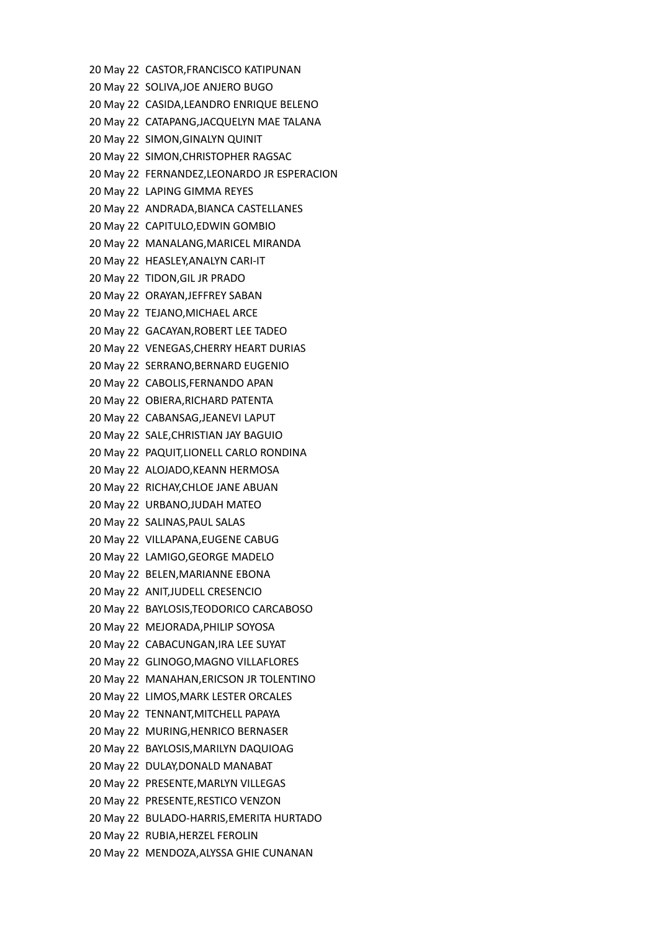20 May 22 CASTOR,FRANCISCO KATIPUNAN 20 May 22 SOLIVA,JOE ANJERO BUGO 20 May 22 CASIDA,LEANDRO ENRIQUE BELENO 20 May 22 CATAPANG,JACQUELYN MAE TALANA 20 May 22 SIMON,GINALYN QUINIT 20 May 22 SIMON,CHRISTOPHER RAGSAC 20 May 22 FERNANDEZ,LEONARDO JR ESPERACION 20 May 22 LAPING GIMMA REYES 20 May 22 ANDRADA,BIANCA CASTELLANES 20 May 22 CAPITULO,EDWIN GOMBIO 20 May 22 MANALANG,MARICEL MIRANDA 20 May 22 HEASLEY,ANALYN CARI-IT 20 May 22 TIDON,GIL JR PRADO 20 May 22 ORAYAN,JEFFREY SABAN 20 May 22 TEJANO,MICHAEL ARCE 20 May 22 GACAYAN,ROBERT LEE TADEO 20 May 22 VENEGAS,CHERRY HEART DURIAS 20 May 22 SERRANO,BERNARD EUGENIO 20 May 22 CABOLIS,FERNANDO APAN 20 May 22 OBIERA,RICHARD PATENTA 20 May 22 CABANSAG,JEANEVI LAPUT 20 May 22 SALE,CHRISTIAN JAY BAGUIO 20 May 22 PAQUIT,LIONELL CARLO RONDINA 20 May 22 ALOJADO,KEANN HERMOSA 20 May 22 RICHAY,CHLOE JANE ABUAN 20 May 22 URBANO,JUDAH MATEO 20 May 22 SALINAS,PAUL SALAS 20 May 22 VILLAPANA,EUGENE CABUG 20 May 22 LAMIGO,GEORGE MADELO 20 May 22 BELEN,MARIANNE EBONA 20 May 22 ANIT,JUDELL CRESENCIO 20 May 22 BAYLOSIS,TEODORICO CARCABOSO 20 May 22 MEJORADA,PHILIP SOYOSA 20 May 22 CABACUNGAN,IRA LEE SUYAT 20 May 22 GLINOGO,MAGNO VILLAFLORES 20 May 22 MANAHAN,ERICSON JR TOLENTINO 20 May 22 LIMOS,MARK LESTER ORCALES 20 May 22 TENNANT,MITCHELL PAPAYA 20 May 22 MURING,HENRICO BERNASER 20 May 22 BAYLOSIS,MARILYN DAQUIOAG 20 May 22 DULAY,DONALD MANABAT 20 May 22 PRESENTE,MARLYN VILLEGAS 20 May 22 PRESENTE,RESTICO VENZON 20 May 22 BULADO-HARRIS,EMERITA HURTADO 20 May 22 RUBIA,HERZEL FEROLIN 20 May 22 MENDOZA,ALYSSA GHIE CUNANAN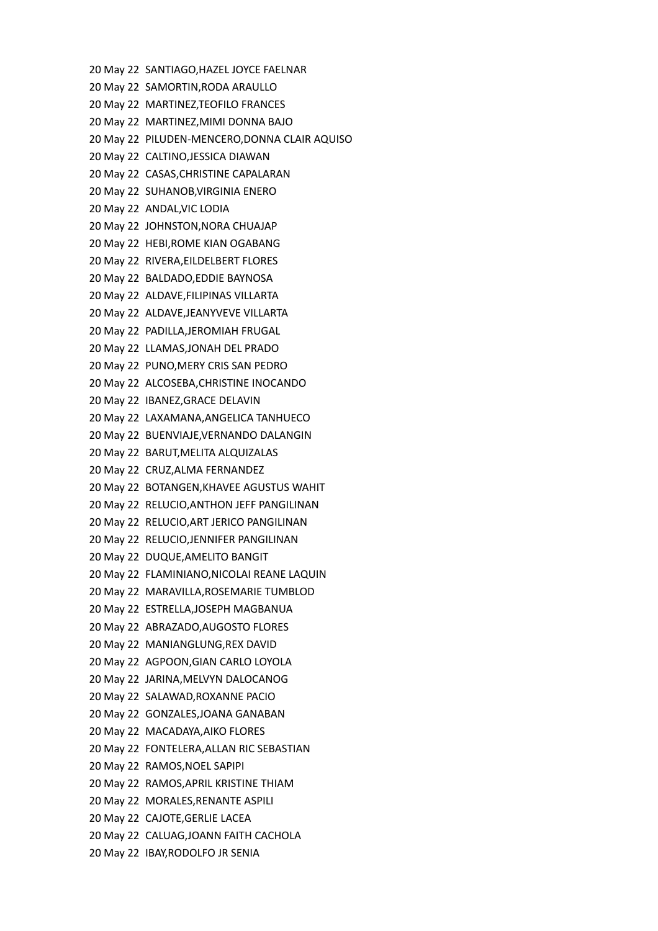20 May 22 SANTIAGO,HAZEL JOYCE FAELNAR 20 May 22 SAMORTIN,RODA ARAULLO 20 May 22 MARTINEZ,TEOFILO FRANCES 20 May 22 MARTINEZ,MIMI DONNA BAJO 20 May 22 PILUDEN-MENCERO,DONNA CLAIR AQUISO 20 May 22 CALTINO,JESSICA DIAWAN 20 May 22 CASAS,CHRISTINE CAPALARAN 20 May 22 SUHANOB,VIRGINIA ENERO 20 May 22 ANDAL,VIC LODIA 20 May 22 JOHNSTON,NORA CHUAJAP 20 May 22 HEBI,ROME KIAN OGABANG 20 May 22 RIVERA,EILDELBERT FLORES 20 May 22 BALDADO,EDDIE BAYNOSA 20 May 22 ALDAVE,FILIPINAS VILLARTA 20 May 22 ALDAVE,JEANYVEVE VILLARTA 20 May 22 PADILLA,JEROMIAH FRUGAL 20 May 22 LLAMAS,JONAH DEL PRADO 20 May 22 PUNO,MERY CRIS SAN PEDRO 20 May 22 ALCOSEBA,CHRISTINE INOCANDO 20 May 22 IBANEZ,GRACE DELAVIN 20 May 22 LAXAMANA,ANGELICA TANHUECO 20 May 22 BUENVIAJE,VERNANDO DALANGIN 20 May 22 BARUT,MELITA ALQUIZALAS 20 May 22 CRUZ,ALMA FERNANDEZ 20 May 22 BOTANGEN,KHAVEE AGUSTUS WAHIT 20 May 22 RELUCIO,ANTHON JEFF PANGILINAN 20 May 22 RELUCIO,ART JERICO PANGILINAN 20 May 22 RELUCIO,JENNIFER PANGILINAN 20 May 22 DUQUE,AMELITO BANGIT 20 May 22 FLAMINIANO,NICOLAI REANE LAQUIN 20 May 22 MARAVILLA,ROSEMARIE TUMBLOD 20 May 22 ESTRELLA,JOSEPH MAGBANUA 20 May 22 ABRAZADO,AUGOSTO FLORES 20 May 22 MANIANGLUNG,REX DAVID 20 May 22 AGPOON,GIAN CARLO LOYOLA 20 May 22 JARINA,MELVYN DALOCANOG 20 May 22 SALAWAD,ROXANNE PACIO 20 May 22 GONZALES,JOANA GANABAN 20 May 22 MACADAYA,AIKO FLORES 20 May 22 FONTELERA,ALLAN RIC SEBASTIAN 20 May 22 RAMOS,NOEL SAPIPI 20 May 22 RAMOS,APRIL KRISTINE THIAM 20 May 22 MORALES,RENANTE ASPILI 20 May 22 CAJOTE,GERLIE LACEA 20 May 22 CALUAG,JOANN FAITH CACHOLA 20 May 22 IBAY,RODOLFO JR SENIA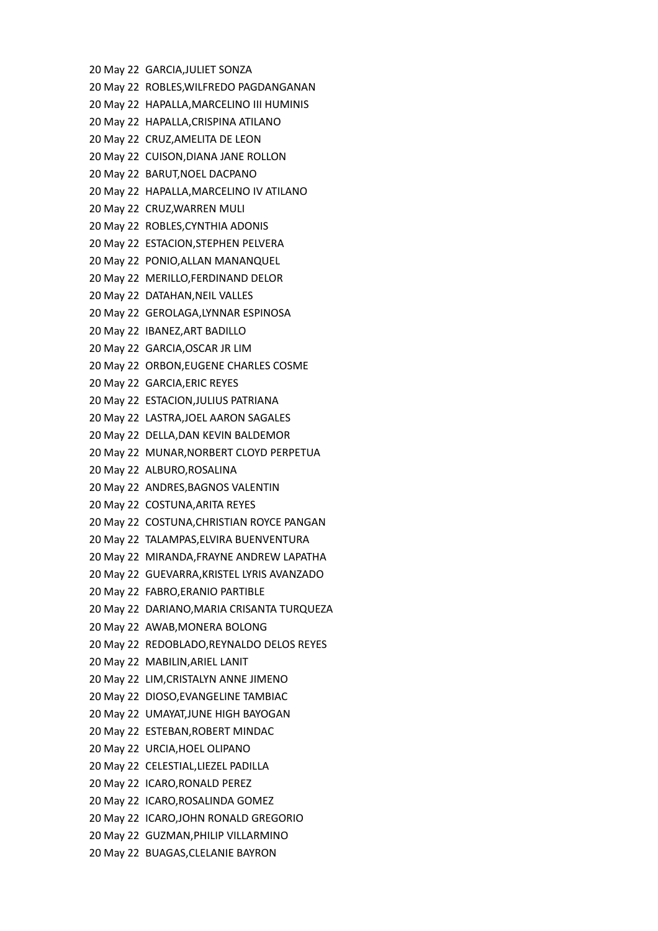20 May 22 GARCIA,JULIET SONZA 20 May 22 ROBLES,WILFREDO PAGDANGANAN 20 May 22 HAPALLA,MARCELINO III HUMINIS 20 May 22 HAPALLA,CRISPINA ATILANO 20 May 22 CRUZ,AMELITA DE LEON 20 May 22 CUISON,DIANA JANE ROLLON 20 May 22 BARUT,NOEL DACPANO 20 May 22 HAPALLA,MARCELINO IV ATILANO 20 May 22 CRUZ,WARREN MULI 20 May 22 ROBLES,CYNTHIA ADONIS 20 May 22 ESTACION,STEPHEN PELVERA 20 May 22 PONIO,ALLAN MANANQUEL 20 May 22 MERILLO,FERDINAND DELOR 20 May 22 DATAHAN,NEIL VALLES 20 May 22 GEROLAGA,LYNNAR ESPINOSA 20 May 22 IBANEZ,ART BADILLO 20 May 22 GARCIA,OSCAR JR LIM 20 May 22 ORBON,EUGENE CHARLES COSME 20 May 22 GARCIA,ERIC REYES 20 May 22 ESTACION,JULIUS PATRIANA 20 May 22 LASTRA,JOEL AARON SAGALES 20 May 22 DELLA,DAN KEVIN BALDEMOR 20 May 22 MUNAR,NORBERT CLOYD PERPETUA 20 May 22 ALBURO,ROSALINA 20 May 22 ANDRES,BAGNOS VALENTIN 20 May 22 COSTUNA,ARITA REYES 20 May 22 COSTUNA,CHRISTIAN ROYCE PANGAN 20 May 22 TALAMPAS,ELVIRA BUENVENTURA 20 May 22 MIRANDA,FRAYNE ANDREW LAPATHA 20 May 22 GUEVARRA,KRISTEL LYRIS AVANZADO 20 May 22 FABRO,ERANIO PARTIBLE 20 May 22 DARIANO,MARIA CRISANTA TURQUEZA 20 May 22 AWAB,MONERA BOLONG 20 May 22 REDOBLADO,REYNALDO DELOS REYES 20 May 22 MABILIN,ARIEL LANIT 20 May 22 LIM,CRISTALYN ANNE JIMENO 20 May 22 DIOSO,EVANGELINE TAMBIAC 20 May 22 UMAYAT,JUNE HIGH BAYOGAN 20 May 22 ESTEBAN,ROBERT MINDAC 20 May 22 URCIA,HOEL OLIPANO 20 May 22 CELESTIAL,LIEZEL PADILLA 20 May 22 ICARO,RONALD PEREZ 20 May 22 ICARO,ROSALINDA GOMEZ 20 May 22 ICARO,JOHN RONALD GREGORIO 20 May 22 GUZMAN,PHILIP VILLARMINO 20 May 22 BUAGAS,CLELANIE BAYRON